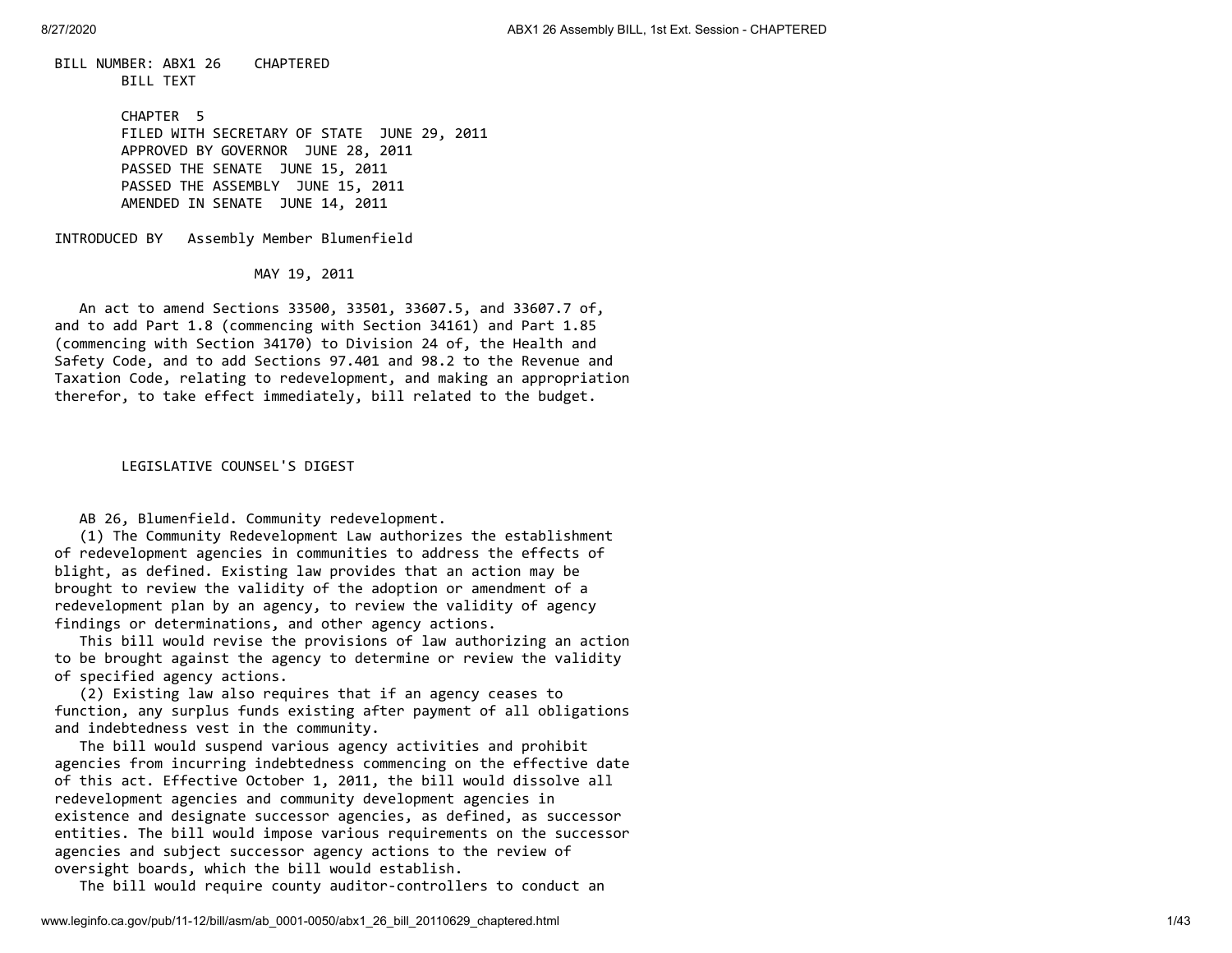BILL NUMBER: ABX1 26 CHAPTERED BILL TEXT

> CHAPTER 5 FILED WITH SECRETARY OF STATE JUNE 29, 2011 APPROVED BY GOVERNOR JUNE 28, 2011 PASSED THE SENATE JUNE 15, 2011 PASSED THE ASSEMBLY JUNE 15, 2011 AMENDED IN SENATE JUNE 14, 2011

INTRODUCED BY Assembly Member Blumenfield

MAY 19, 2011

 An act to amend Sections 33500, 33501, 33607.5, and 33607.7 of, and to add Part 1.8 (commencing with Section 34161) and Part 1.85 (commencing with Section 34170) to Division 24 of, the Health and Safety Code, and to add Sections 97.401 and 98.2 to the Revenue and Taxation Code, relating to redevelopment, and making an appropriation therefor, to take effect immediately, bill related to the budget.

LEGISLATIVE COUNSEL'S DIGEST

AB 26, Blumenfield. Community redevelopment.

 (1) The Community Redevelopment Law authorizes the establishment of redevelopment agencies in communities to address the effects of blight, as defined. Existing law provides that an action may be brought to review the validity of the adoption or amendment of a redevelopment plan by an agency, to review the validity of agency findings or determinations, and other agency actions.

 This bill would revise the provisions of law authorizing an action to be brought against the agency to determine or review the validity of specified agency actions.

 (2) Existing law also requires that if an agency ceases to function, any surplus funds existing after payment of all obligations and indebtedness vest in the community.

 The bill would suspend various agency activities and prohibit agencies from incurring indebtedness commencing on the effective date of this act. Effective October 1, 2011, the bill would dissolve all redevelopment agencies and community development agencies in existence and designate successor agencies, as defined, as successor entities. The bill would impose various requirements on the successor agencies and subject successor agency actions to the review of oversight boards, which the bill would establish.

The bill would require county auditor-controllers to conduct an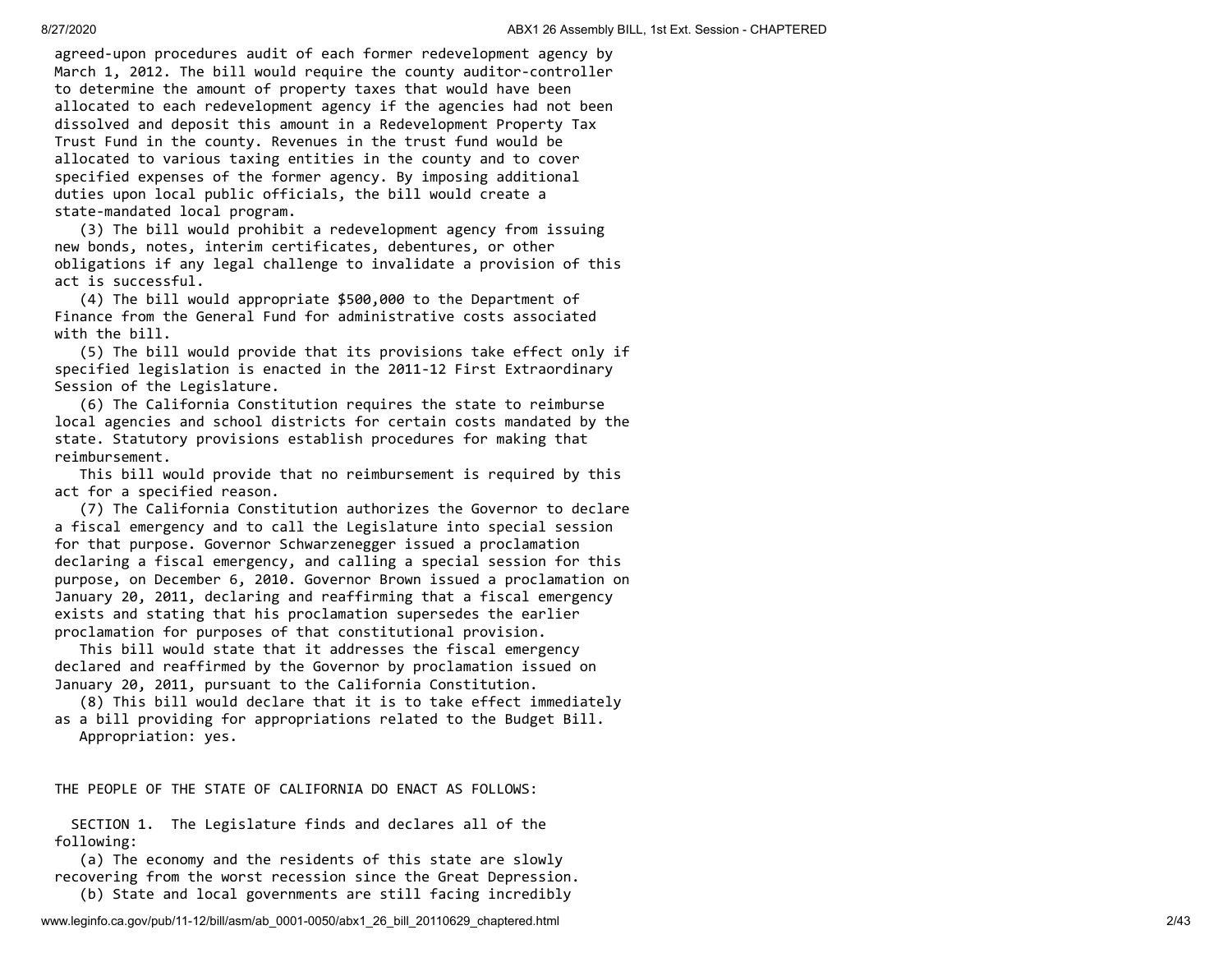agreed-upon procedures audit of each former redevelopment agency by March 1, 2012. The bill would require the county auditor-controller to determine the amount of property taxes that would have been allocated to each redevelopment agency if the agencies had not been dissolved and deposit this amount in a Redevelopment Property Tax Trust Fund in the county. Revenues in the trust fund would be allocated to various taxing entities in the county and to cover specified expenses of the former agency. By imposing additional duties upon local public officials, the bill would create a state-mandated local program.

 (3) The bill would prohibit a redevelopment agency from issuing new bonds, notes, interim certificates, debentures, or other obligations if any legal challenge to invalidate a provision of this act is successful.

 (4) The bill would appropriate \$500,000 to the Department of Finance from the General Fund for administrative costs associated with the bill.

 (5) The bill would provide that its provisions take effect only if specified legislation is enacted in the 2011-12 First Extraordinary Session of the Legislature.

 (6) The California Constitution requires the state to reimburse local agencies and school districts for certain costs mandated by the state. Statutory provisions establish procedures for making that reimbursement.

 This bill would provide that no reimbursement is required by this act for a specified reason.

 (7) The California Constitution authorizes the Governor to declare a fiscal emergency and to call the Legislature into special session for that purpose. Governor Schwarzenegger issued a proclamation declaring a fiscal emergency, and calling a special session for this purpose, on December 6, 2010. Governor Brown issued a proclamation on January 20, 2011, declaring and reaffirming that a fiscal emergency exists and stating that his proclamation supersedes the earlier proclamation for purposes of that constitutional provision.

 This bill would state that it addresses the fiscal emergency declared and reaffirmed by the Governor by proclamation issued on January 20, 2011, pursuant to the California Constitution.

 (8) This bill would declare that it is to take effect immediately as a bill providing for appropriations related to the Budget Bill. Appropriation: yes.

THE PEOPLE OF THE STATE OF CALIFORNIA DO ENACT AS FOLLOWS:

 SECTION 1. The Legislature finds and declares all of the following:

 (a) The economy and the residents of this state are slowly recovering from the worst recession since the Great Depression.

(b) State and local governments are still facing incredibly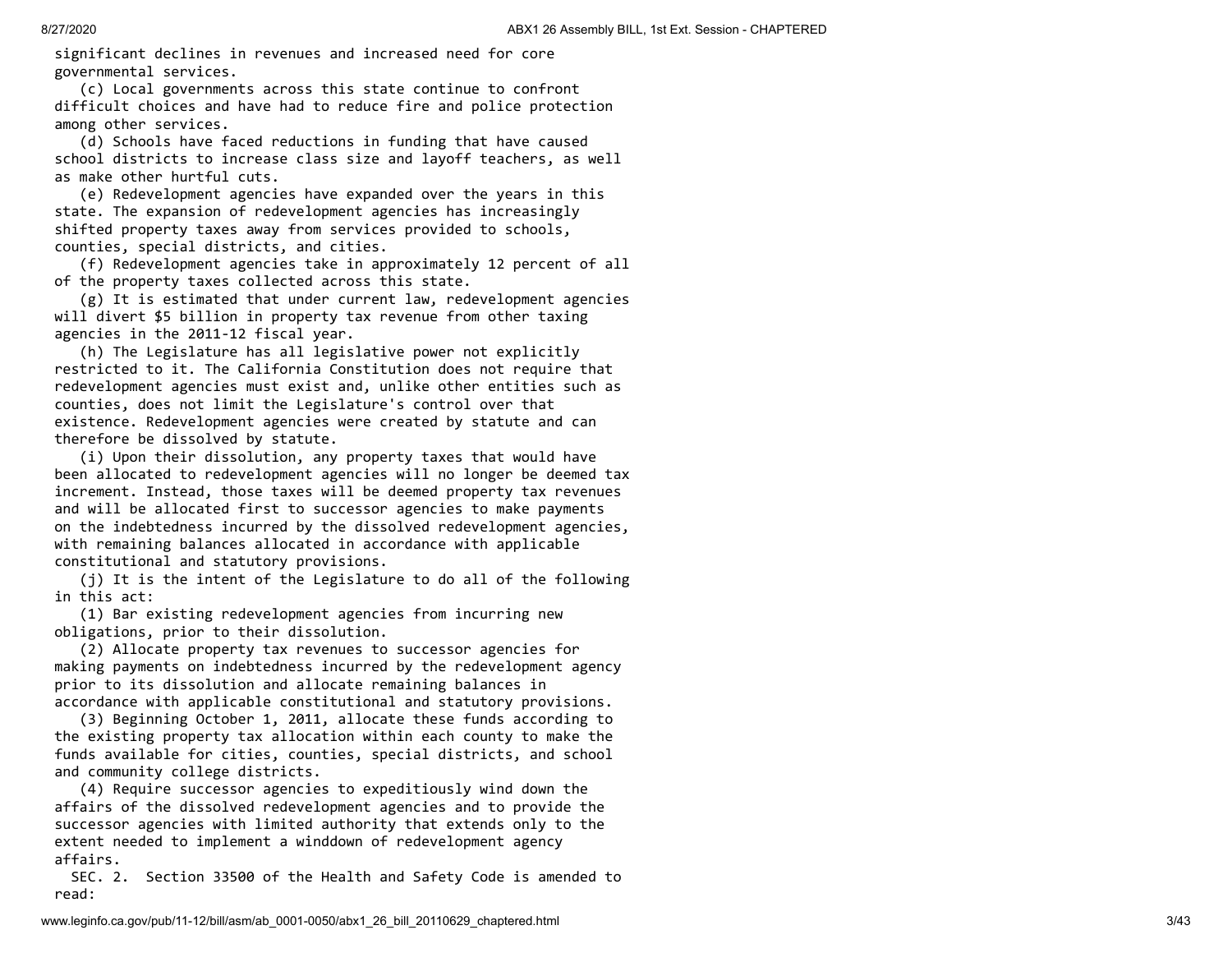significant declines in revenues and increased need for core governmental services.

 (c) Local governments across this state continue to confront difficult choices and have had to reduce fire and police protection among other services.

 (d) Schools have faced reductions in funding that have caused school districts to increase class size and layoff teachers, as well as make other hurtful cuts.

 (e) Redevelopment agencies have expanded over the years in this state. The expansion of redevelopment agencies has increasingly shifted property taxes away from services provided to schools, counties, special districts, and cities.

 (f) Redevelopment agencies take in approximately 12 percent of all of the property taxes collected across this state.

 (g) It is estimated that under current law, redevelopment agencies will divert \$5 billion in property tax revenue from other taxing agencies in the 2011-12 fiscal year.

 (h) The Legislature has all legislative power not explicitly restricted to it. The California Constitution does not require that redevelopment agencies must exist and, unlike other entities such as counties, does not limit the Legislature's control over that existence. Redevelopment agencies were created by statute and can therefore be dissolved by statute.

 (i) Upon their dissolution, any property taxes that would have been allocated to redevelopment agencies will no longer be deemed tax increment. Instead, those taxes will be deemed property tax revenues and will be allocated first to successor agencies to make payments on the indebtedness incurred by the dissolved redevelopment agencies, with remaining balances allocated in accordance with applicable constitutional and statutory provisions.

 (j) It is the intent of the Legislature to do all of the following in this act:

 (1) Bar existing redevelopment agencies from incurring new obligations, prior to their dissolution.

 (2) Allocate property tax revenues to successor agencies for making payments on indebtedness incurred by the redevelopment agency prior to its dissolution and allocate remaining balances in accordance with applicable constitutional and statutory provisions.

 (3) Beginning October 1, 2011, allocate these funds according to the existing property tax allocation within each county to make the funds available for cities, counties, special districts, and school and community college districts.

 (4) Require successor agencies to expeditiously wind down the affairs of the dissolved redevelopment agencies and to provide the successor agencies with limited authority that extends only to the extent needed to implement a winddown of redevelopment agency affairs.

 SEC. 2. Section 33500 of the Health and Safety Code is amended to read: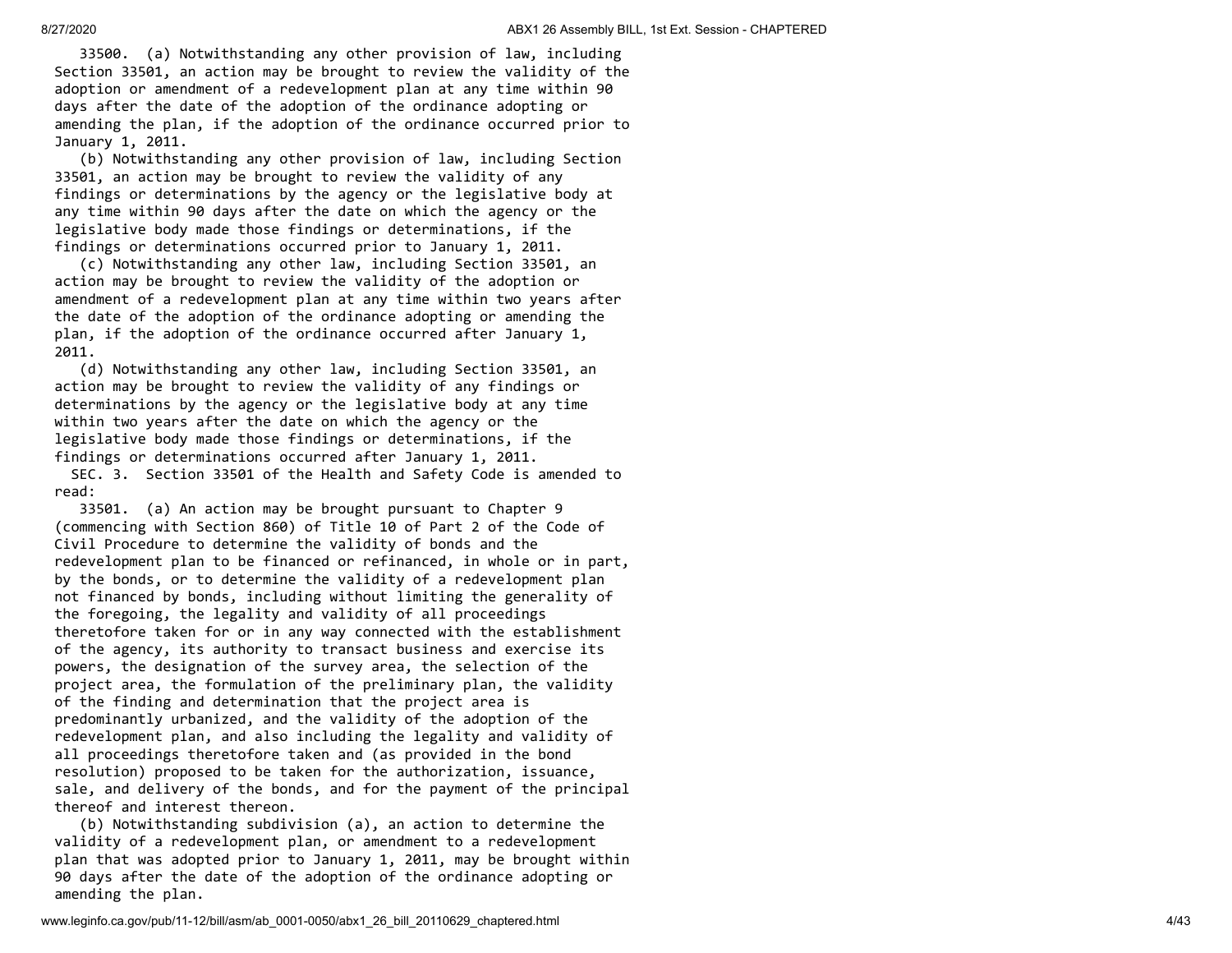33500. (a) Notwithstanding any other provision of law, including Section 33501, an action may be brought to review the validity of the adoption or amendment of a redevelopment plan at any time within 90 days after the date of the adoption of the ordinance adopting or amending the plan, if the adoption of the ordinance occurred prior to January 1, 2011.

 (b) Notwithstanding any other provision of law, including Section 33501, an action may be brought to review the validity of any findings or determinations by the agency or the legislative body at any time within 90 days after the date on which the agency or the legislative body made those findings or determinations, if the findings or determinations occurred prior to January 1, 2011.

 (c) Notwithstanding any other law, including Section 33501, an action may be brought to review the validity of the adoption or amendment of a redevelopment plan at any time within two years after the date of the adoption of the ordinance adopting or amending the plan, if the adoption of the ordinance occurred after January 1, 2011.

 (d) Notwithstanding any other law, including Section 33501, an action may be brought to review the validity of any findings or determinations by the agency or the legislative body at any time within two years after the date on which the agency or the legislative body made those findings or determinations, if the findings or determinations occurred after January 1, 2011.

 SEC. 3. Section 33501 of the Health and Safety Code is amended to read:

 33501. (a) An action may be brought pursuant to Chapter 9 (commencing with Section 860) of Title 10 of Part 2 of the Code of Civil Procedure to determine the validity of bonds and the redevelopment plan to be financed or refinanced, in whole or in part, by the bonds, or to determine the validity of a redevelopment plan not financed by bonds, including without limiting the generality of the foregoing, the legality and validity of all proceedings theretofore taken for or in any way connected with the establishment of the agency, its authority to transact business and exercise its powers, the designation of the survey area, the selection of the project area, the formulation of the preliminary plan, the validity of the finding and determination that the project area is predominantly urbanized, and the validity of the adoption of the redevelopment plan, and also including the legality and validity of all proceedings theretofore taken and (as provided in the bond resolution) proposed to be taken for the authorization, issuance, sale, and delivery of the bonds, and for the payment of the principal thereof and interest thereon.

 (b) Notwithstanding subdivision (a), an action to determine the validity of a redevelopment plan, or amendment to a redevelopment plan that was adopted prior to January 1, 2011, may be brought within 90 days after the date of the adoption of the ordinance adopting or amending the plan.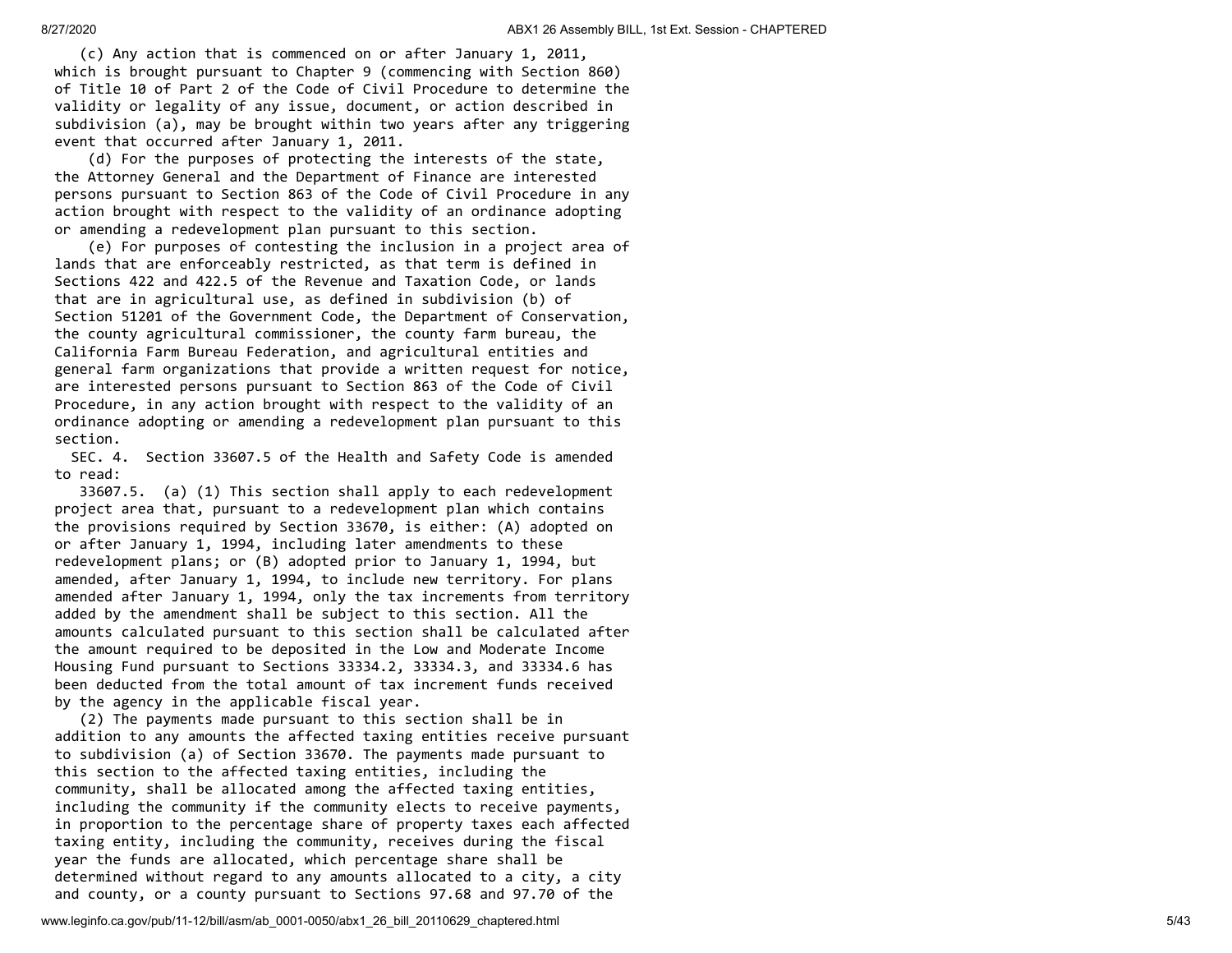(c) Any action that is commenced on or after January 1, 2011, which is brought pursuant to Chapter 9 (commencing with Section 860) of Title 10 of Part 2 of the Code of Civil Procedure to determine the validity or legality of any issue, document, or action described in subdivision (a), may be brought within two years after any triggering event that occurred after January 1, 2011.

 (d) For the purposes of protecting the interests of the state, the Attorney General and the Department of Finance are interested persons pursuant to Section 863 of the Code of Civil Procedure in any action brought with respect to the validity of an ordinance adopting or amending a redevelopment plan pursuant to this section.

 (e) For purposes of contesting the inclusion in a project area of lands that are enforceably restricted, as that term is defined in Sections 422 and 422.5 of the Revenue and Taxation Code, or lands that are in agricultural use, as defined in subdivision (b) of Section 51201 of the Government Code, the Department of Conservation, the county agricultural commissioner, the county farm bureau, the California Farm Bureau Federation, and agricultural entities and general farm organizations that provide a written request for notice, are interested persons pursuant to Section 863 of the Code of Civil Procedure, in any action brought with respect to the validity of an ordinance adopting or amending a redevelopment plan pursuant to this section.

 SEC. 4. Section 33607.5 of the Health and Safety Code is amended to read:

 33607.5. (a) (1) This section shall apply to each redevelopment project area that, pursuant to a redevelopment plan which contains the provisions required by Section 33670, is either: (A) adopted on or after January 1, 1994, including later amendments to these redevelopment plans; or (B) adopted prior to January 1, 1994, but amended, after January 1, 1994, to include new territory. For plans amended after January 1, 1994, only the tax increments from territory added by the amendment shall be subject to this section. All the amounts calculated pursuant to this section shall be calculated after the amount required to be deposited in the Low and Moderate Income Housing Fund pursuant to Sections 33334.2, 33334.3, and 33334.6 has been deducted from the total amount of tax increment funds received by the agency in the applicable fiscal year.

 (2) The payments made pursuant to this section shall be in addition to any amounts the affected taxing entities receive pursuant to subdivision (a) of Section 33670. The payments made pursuant to this section to the affected taxing entities, including the community, shall be allocated among the affected taxing entities, including the community if the community elects to receive payments, in proportion to the percentage share of property taxes each affected taxing entity, including the community, receives during the fiscal year the funds are allocated, which percentage share shall be determined without regard to any amounts allocated to a city, a city and county, or a county pursuant to Sections 97.68 and 97.70 of the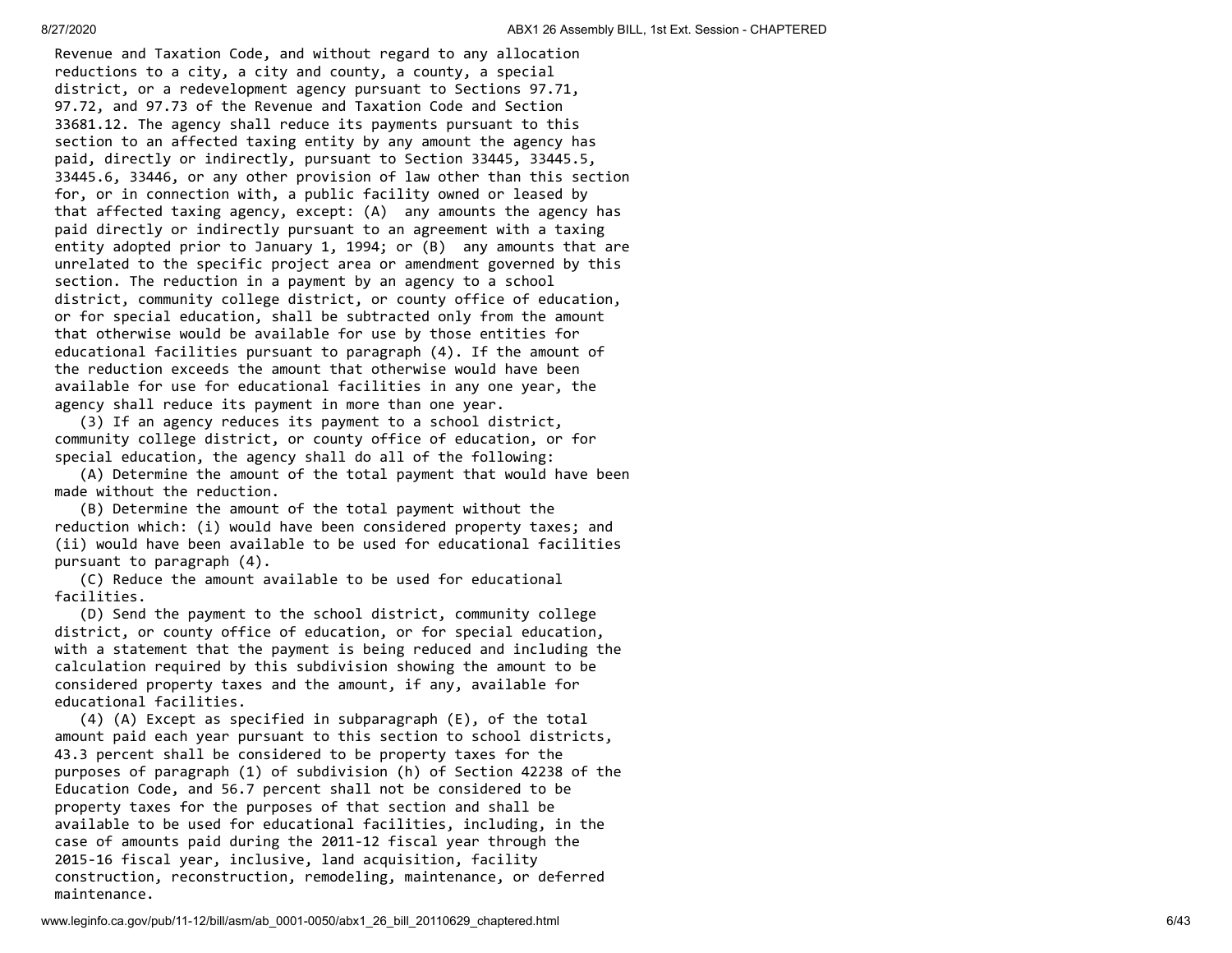Revenue and Taxation Code, and without regard to any allocation reductions to a city, a city and county, a county, a special district, or a redevelopment agency pursuant to Sections 97.71, 97.72, and 97.73 of the Revenue and Taxation Code and Section 33681.12. The agency shall reduce its payments pursuant to this section to an affected taxing entity by any amount the agency has paid, directly or indirectly, pursuant to Section 33445, 33445.5, 33445.6, 33446, or any other provision of law other than this section for, or in connection with, a public facility owned or leased by that affected taxing agency, except: (A) any amounts the agency has paid directly or indirectly pursuant to an agreement with a taxing entity adopted prior to January 1, 1994; or (B) any amounts that are unrelated to the specific project area or amendment governed by this section. The reduction in a payment by an agency to a school district, community college district, or county office of education, or for special education, shall be subtracted only from the amount that otherwise would be available for use by those entities for educational facilities pursuant to paragraph (4). If the amount of the reduction exceeds the amount that otherwise would have been available for use for educational facilities in any one year, the agency shall reduce its payment in more than one year.

 (3) If an agency reduces its payment to a school district, community college district, or county office of education, or for special education, the agency shall do all of the following:

 (A) Determine the amount of the total payment that would have been made without the reduction.

 (B) Determine the amount of the total payment without the reduction which: (i) would have been considered property taxes; and (ii) would have been available to be used for educational facilities pursuant to paragraph (4).

 (C) Reduce the amount available to be used for educational facilities.

 (D) Send the payment to the school district, community college district, or county office of education, or for special education, with a statement that the payment is being reduced and including the calculation required by this subdivision showing the amount to be considered property taxes and the amount, if any, available for educational facilities.

 (4) (A) Except as specified in subparagraph (E), of the total amount paid each year pursuant to this section to school districts, 43.3 percent shall be considered to be property taxes for the purposes of paragraph (1) of subdivision (h) of Section 42238 of the Education Code, and 56.7 percent shall not be considered to be property taxes for the purposes of that section and shall be available to be used for educational facilities, including, in the case of amounts paid during the 2011-12 fiscal year through the 2015-16 fiscal year, inclusive, land acquisition, facility construction, reconstruction, remodeling, maintenance, or deferred maintenance.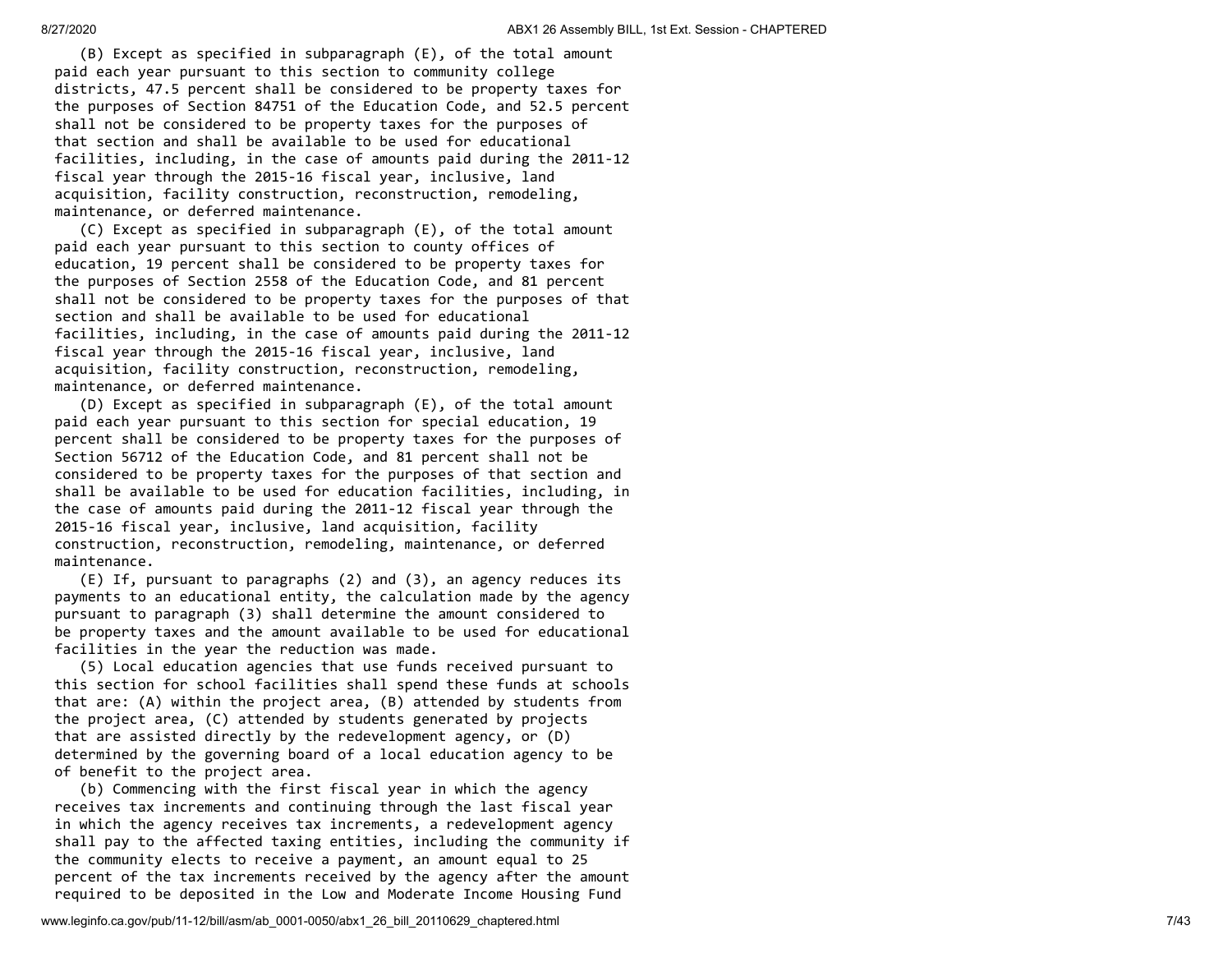(B) Except as specified in subparagraph (E), of the total amount paid each year pursuant to this section to community college districts, 47.5 percent shall be considered to be property taxes for the purposes of Section 84751 of the Education Code, and 52.5 percent shall not be considered to be property taxes for the purposes of that section and shall be available to be used for educational facilities, including, in the case of amounts paid during the 2011-12 fiscal year through the 2015-16 fiscal year, inclusive, land acquisition, facility construction, reconstruction, remodeling, maintenance, or deferred maintenance.

 (C) Except as specified in subparagraph (E), of the total amount paid each year pursuant to this section to county offices of education, 19 percent shall be considered to be property taxes for the purposes of Section 2558 of the Education Code, and 81 percent shall not be considered to be property taxes for the purposes of that section and shall be available to be used for educational facilities, including, in the case of amounts paid during the 2011-12 fiscal year through the 2015-16 fiscal year, inclusive, land acquisition, facility construction, reconstruction, remodeling, maintenance, or deferred maintenance.

 (D) Except as specified in subparagraph (E), of the total amount paid each year pursuant to this section for special education, 19 percent shall be considered to be property taxes for the purposes of Section 56712 of the Education Code, and 81 percent shall not be considered to be property taxes for the purposes of that section and shall be available to be used for education facilities, including, in the case of amounts paid during the 2011-12 fiscal year through the 2015-16 fiscal year, inclusive, land acquisition, facility construction, reconstruction, remodeling, maintenance, or deferred maintenance.

 (E) If, pursuant to paragraphs (2) and (3), an agency reduces its payments to an educational entity, the calculation made by the agency pursuant to paragraph (3) shall determine the amount considered to be property taxes and the amount available to be used for educational facilities in the year the reduction was made.

 (5) Local education agencies that use funds received pursuant to this section for school facilities shall spend these funds at schools that are: (A) within the project area, (B) attended by students from the project area, (C) attended by students generated by projects that are assisted directly by the redevelopment agency, or (D) determined by the governing board of a local education agency to be of benefit to the project area.

 (b) Commencing with the first fiscal year in which the agency receives tax increments and continuing through the last fiscal year in which the agency receives tax increments, a redevelopment agency shall pay to the affected taxing entities, including the community if the community elects to receive a payment, an amount equal to 25 percent of the tax increments received by the agency after the amount required to be deposited in the Low and Moderate Income Housing Fund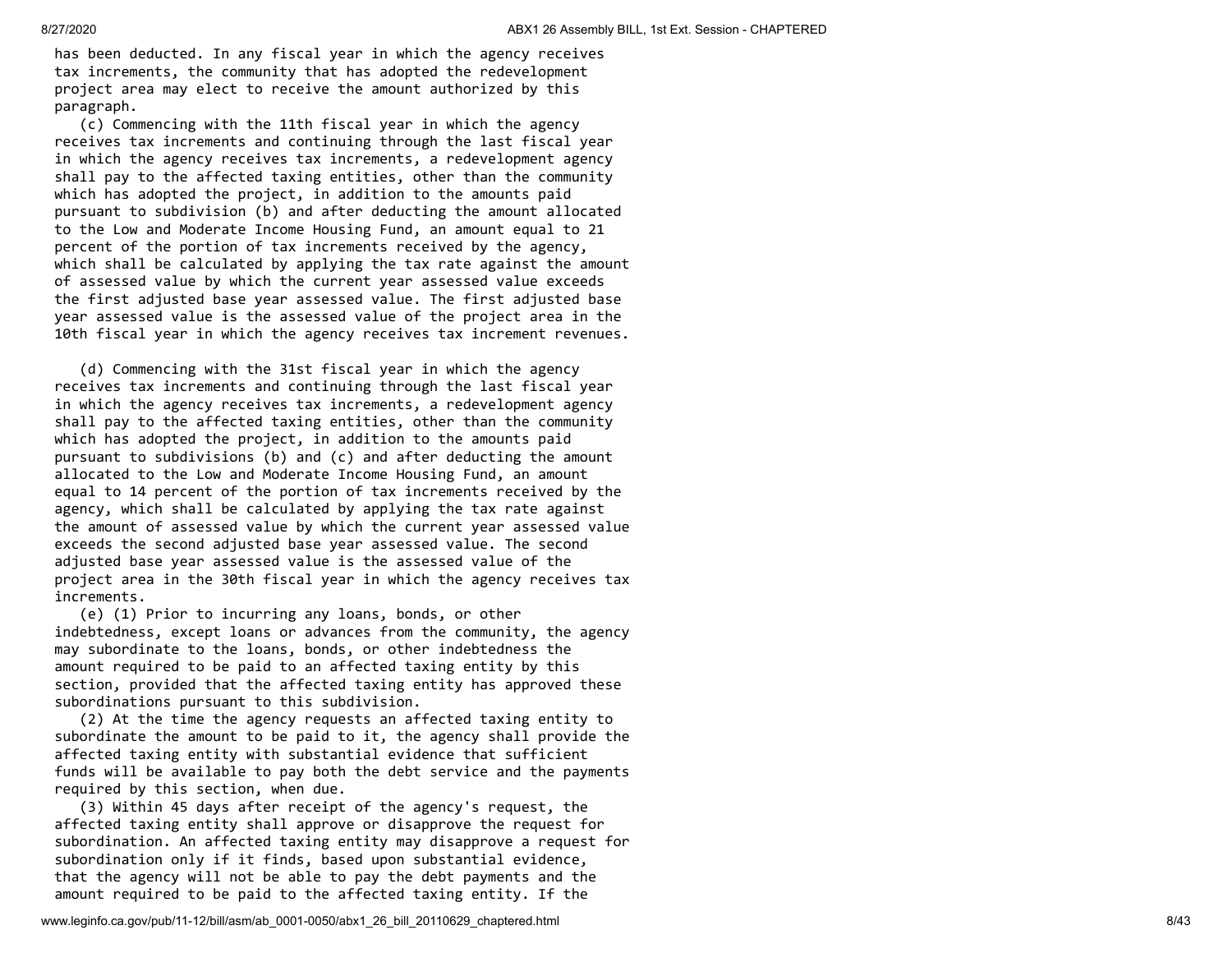has been deducted. In any fiscal year in which the agency receives tax increments, the community that has adopted the redevelopment project area may elect to receive the amount authorized by this paragraph.

 (c) Commencing with the 11th fiscal year in which the agency receives tax increments and continuing through the last fiscal year in which the agency receives tax increments, a redevelopment agency shall pay to the affected taxing entities, other than the community which has adopted the project, in addition to the amounts paid pursuant to subdivision (b) and after deducting the amount allocated to the Low and Moderate Income Housing Fund, an amount equal to 21 percent of the portion of tax increments received by the agency, which shall be calculated by applying the tax rate against the amount of assessed value by which the current year assessed value exceeds the first adjusted base year assessed value. The first adjusted base year assessed value is the assessed value of the project area in the 10th fiscal year in which the agency receives tax increment revenues.

 (d) Commencing with the 31st fiscal year in which the agency receives tax increments and continuing through the last fiscal year in which the agency receives tax increments, a redevelopment agency shall pay to the affected taxing entities, other than the community which has adopted the project, in addition to the amounts paid pursuant to subdivisions (b) and (c) and after deducting the amount allocated to the Low and Moderate Income Housing Fund, an amount equal to 14 percent of the portion of tax increments received by the agency, which shall be calculated by applying the tax rate against the amount of assessed value by which the current year assessed value exceeds the second adjusted base year assessed value. The second adjusted base year assessed value is the assessed value of the project area in the 30th fiscal year in which the agency receives tax increments.

 (e) (1) Prior to incurring any loans, bonds, or other indebtedness, except loans or advances from the community, the agency may subordinate to the loans, bonds, or other indebtedness the amount required to be paid to an affected taxing entity by this section, provided that the affected taxing entity has approved these subordinations pursuant to this subdivision.

 (2) At the time the agency requests an affected taxing entity to subordinate the amount to be paid to it, the agency shall provide the affected taxing entity with substantial evidence that sufficient funds will be available to pay both the debt service and the payments required by this section, when due.

 (3) Within 45 days after receipt of the agency's request, the affected taxing entity shall approve or disapprove the request for subordination. An affected taxing entity may disapprove a request for subordination only if it finds, based upon substantial evidence, that the agency will not be able to pay the debt payments and the amount required to be paid to the affected taxing entity. If the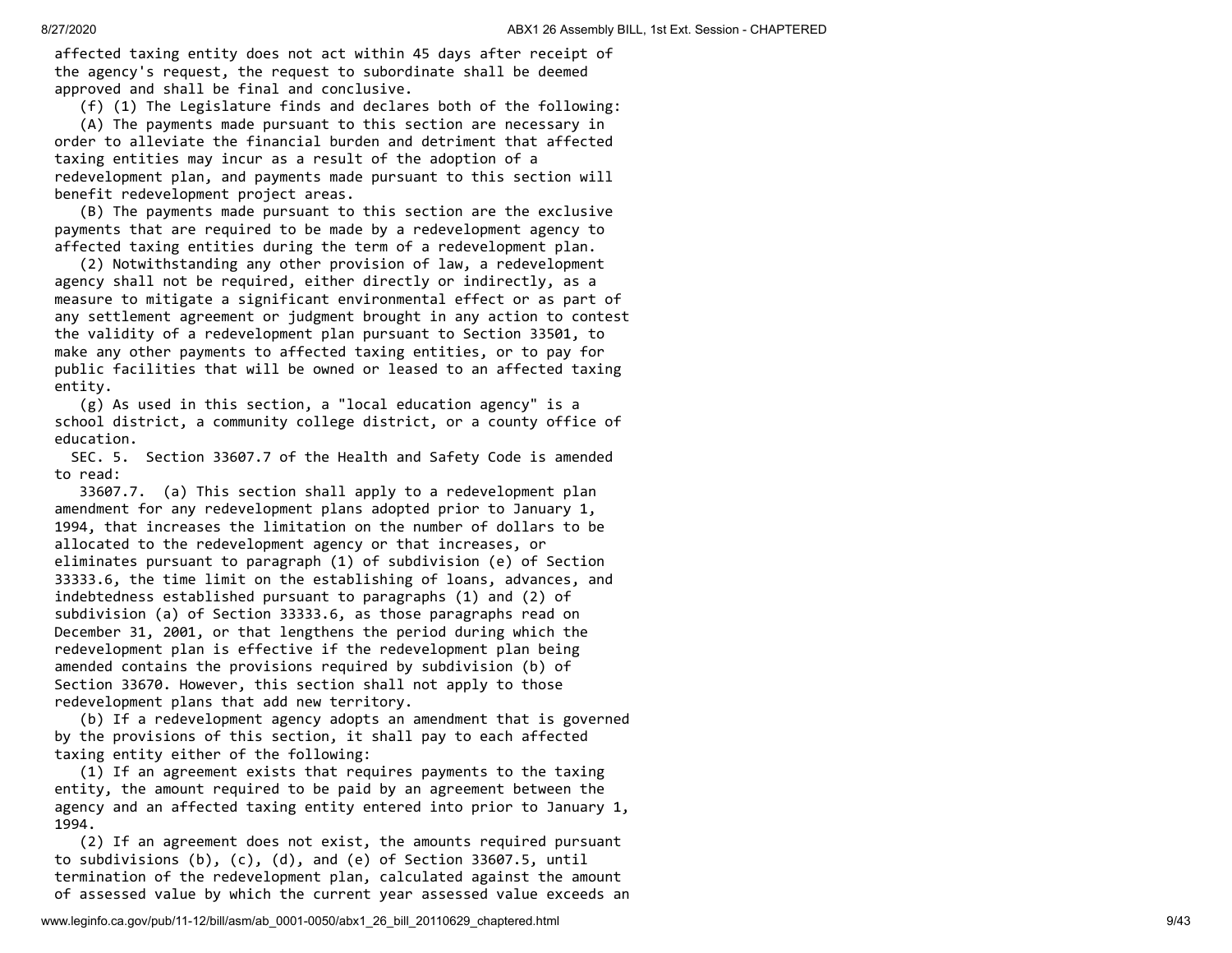affected taxing entity does not act within 45 days after receipt of the agency's request, the request to subordinate shall be deemed approved and shall be final and conclusive.

(f) (1) The Legislature finds and declares both of the following:

 (A) The payments made pursuant to this section are necessary in order to alleviate the financial burden and detriment that affected taxing entities may incur as a result of the adoption of a redevelopment plan, and payments made pursuant to this section will benefit redevelopment project areas.

 (B) The payments made pursuant to this section are the exclusive payments that are required to be made by a redevelopment agency to affected taxing entities during the term of a redevelopment plan.

 (2) Notwithstanding any other provision of law, a redevelopment agency shall not be required, either directly or indirectly, as a measure to mitigate a significant environmental effect or as part of any settlement agreement or judgment brought in any action to contest the validity of a redevelopment plan pursuant to Section 33501, to make any other payments to affected taxing entities, or to pay for public facilities that will be owned or leased to an affected taxing entity.

 (g) As used in this section, a "local education agency" is a school district, a community college district, or a county office of education.

 SEC. 5. Section 33607.7 of the Health and Safety Code is amended to read:

 33607.7. (a) This section shall apply to a redevelopment plan amendment for any redevelopment plans adopted prior to January 1, 1994, that increases the limitation on the number of dollars to be allocated to the redevelopment agency or that increases, or eliminates pursuant to paragraph (1) of subdivision (e) of Section 33333.6, the time limit on the establishing of loans, advances, and indebtedness established pursuant to paragraphs (1) and (2) of subdivision (a) of Section 33333.6, as those paragraphs read on December 31, 2001, or that lengthens the period during which the redevelopment plan is effective if the redevelopment plan being amended contains the provisions required by subdivision (b) of Section 33670. However, this section shall not apply to those redevelopment plans that add new territory.

 (b) If a redevelopment agency adopts an amendment that is governed by the provisions of this section, it shall pay to each affected taxing entity either of the following:

 (1) If an agreement exists that requires payments to the taxing entity, the amount required to be paid by an agreement between the agency and an affected taxing entity entered into prior to January 1, 1994.

 (2) If an agreement does not exist, the amounts required pursuant to subdivisions (b), (c), (d), and (e) of Section 33607.5, until termination of the redevelopment plan, calculated against the amount of assessed value by which the current year assessed value exceeds an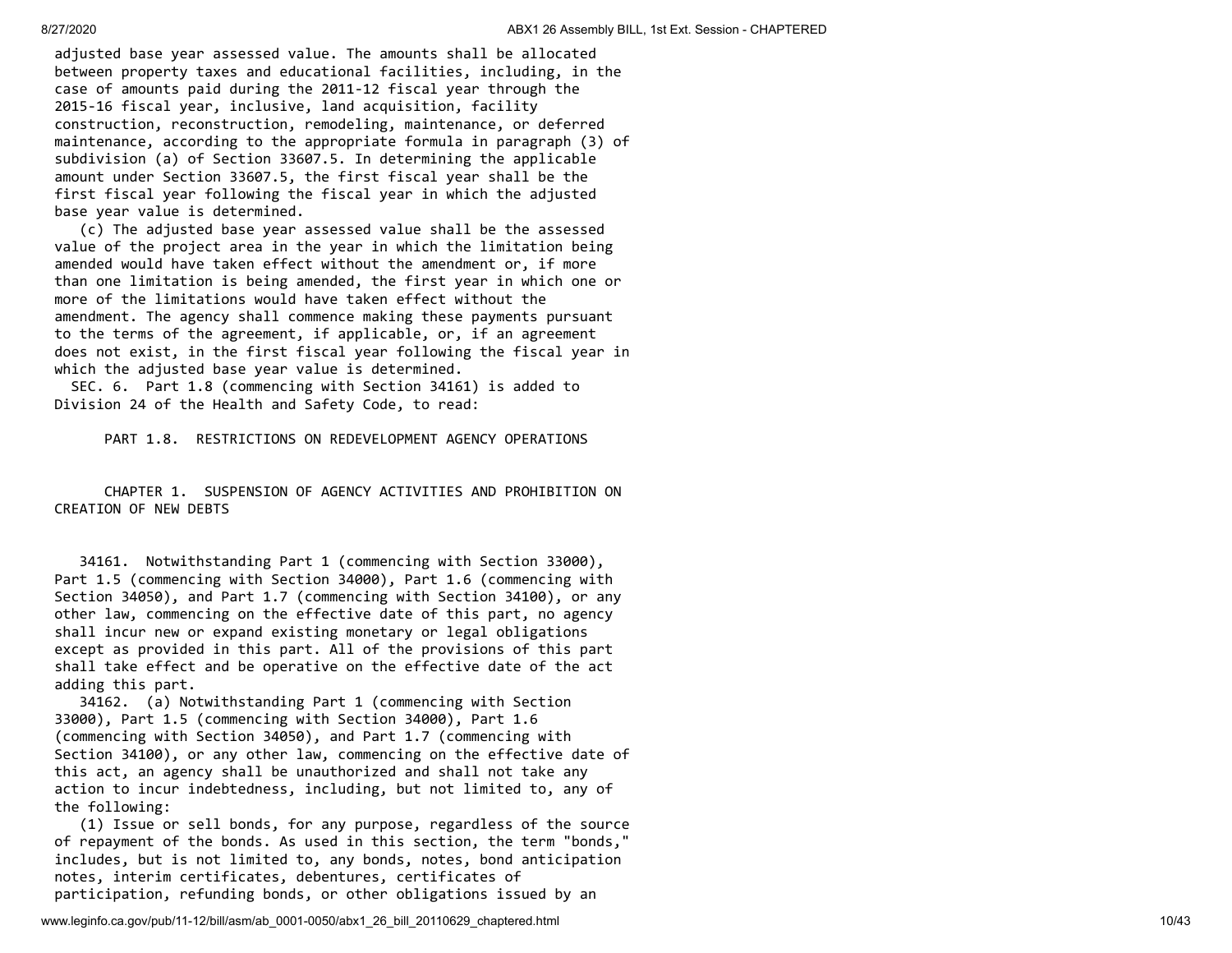adjusted base year assessed value. The amounts shall be allocated between property taxes and educational facilities, including, in the case of amounts paid during the 2011-12 fiscal year through the 2015-16 fiscal year, inclusive, land acquisition, facility construction, reconstruction, remodeling, maintenance, or deferred maintenance, according to the appropriate formula in paragraph (3) of subdivision (a) of Section 33607.5. In determining the applicable amount under Section 33607.5, the first fiscal year shall be the first fiscal year following the fiscal year in which the adjusted base year value is determined.

 (c) The adjusted base year assessed value shall be the assessed value of the project area in the year in which the limitation being amended would have taken effect without the amendment or, if more than one limitation is being amended, the first year in which one or more of the limitations would have taken effect without the amendment. The agency shall commence making these payments pursuant to the terms of the agreement, if applicable, or, if an agreement does not exist, in the first fiscal year following the fiscal year in which the adjusted base year value is determined.

 SEC. 6. Part 1.8 (commencing with Section 34161) is added to Division 24 of the Health and Safety Code, to read:

PART 1.8. RESTRICTIONS ON REDEVELOPMENT AGENCY OPERATIONS

 CHAPTER 1. SUSPENSION OF AGENCY ACTIVITIES AND PROHIBITION ON CREATION OF NEW DEBTS

 34161. Notwithstanding Part 1 (commencing with Section 33000), Part 1.5 (commencing with Section 34000), Part 1.6 (commencing with Section 34050), and Part 1.7 (commencing with Section 34100), or any other law, commencing on the effective date of this part, no agency shall incur new or expand existing monetary or legal obligations except as provided in this part. All of the provisions of this part shall take effect and be operative on the effective date of the act adding this part.

 34162. (a) Notwithstanding Part 1 (commencing with Section 33000), Part 1.5 (commencing with Section 34000), Part 1.6 (commencing with Section 34050), and Part 1.7 (commencing with Section 34100), or any other law, commencing on the effective date of this act, an agency shall be unauthorized and shall not take any action to incur indebtedness, including, but not limited to, any of the following:

 (1) Issue or sell bonds, for any purpose, regardless of the source of repayment of the bonds. As used in this section, the term "bonds," includes, but is not limited to, any bonds, notes, bond anticipation notes, interim certificates, debentures, certificates of participation, refunding bonds, or other obligations issued by an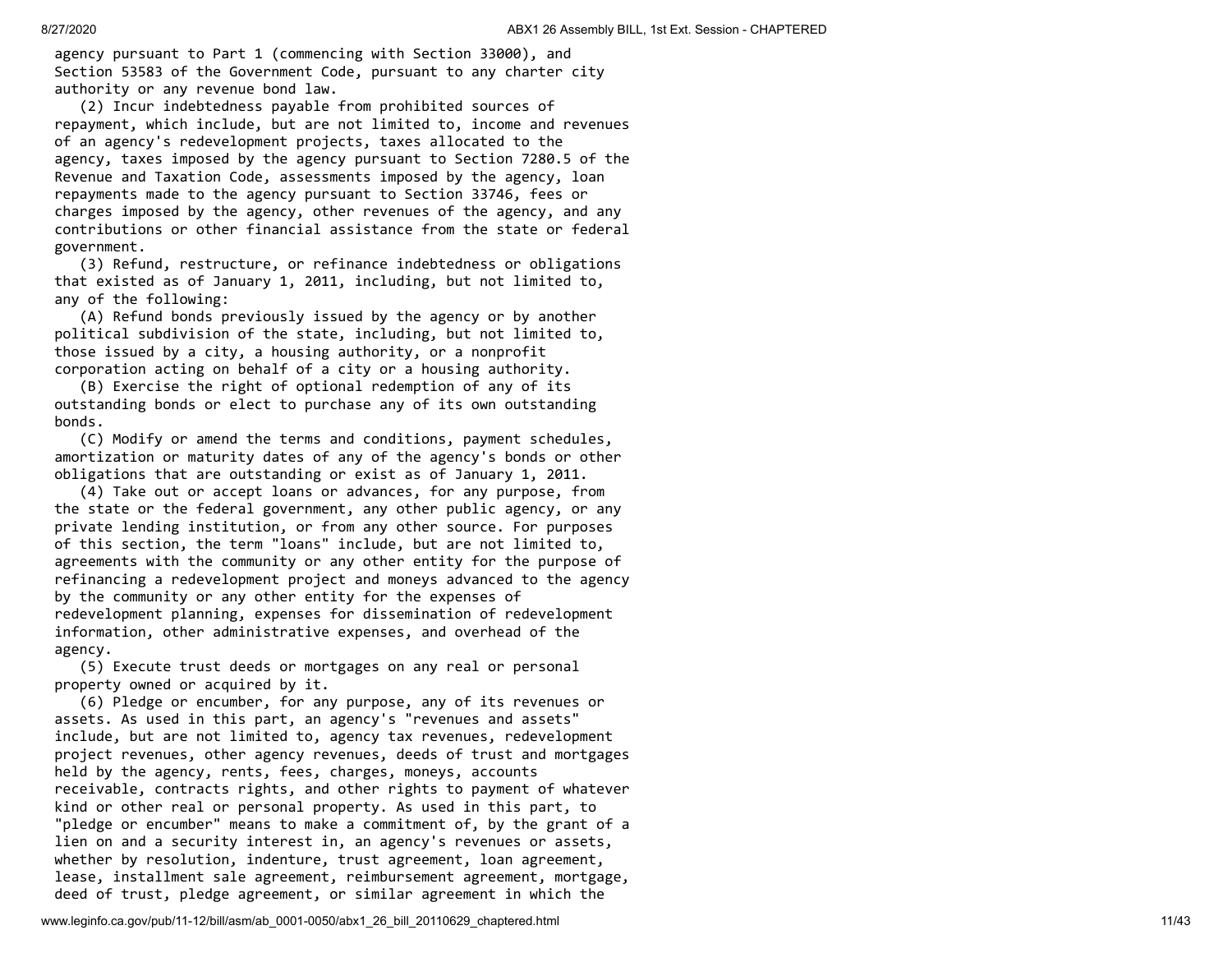agency pursuant to Part 1 (commencing with Section 33000), and Section 53583 of the Government Code, pursuant to any charter city authority or any revenue bond law.

 (2) Incur indebtedness payable from prohibited sources of repayment, which include, but are not limited to, income and revenues of an agency's redevelopment projects, taxes allocated to the agency, taxes imposed by the agency pursuant to Section 7280.5 of the Revenue and Taxation Code, assessments imposed by the agency, loan repayments made to the agency pursuant to Section 33746, fees or charges imposed by the agency, other revenues of the agency, and any contributions or other financial assistance from the state or federal government.

 (3) Refund, restructure, or refinance indebtedness or obligations that existed as of January 1, 2011, including, but not limited to, any of the following:

 (A) Refund bonds previously issued by the agency or by another political subdivision of the state, including, but not limited to, those issued by a city, a housing authority, or a nonprofit corporation acting on behalf of a city or a housing authority.

 (B) Exercise the right of optional redemption of any of its outstanding bonds or elect to purchase any of its own outstanding bonds.

 (C) Modify or amend the terms and conditions, payment schedules, amortization or maturity dates of any of the agency's bonds or other obligations that are outstanding or exist as of January 1, 2011.

 (4) Take out or accept loans or advances, for any purpose, from the state or the federal government, any other public agency, or any private lending institution, or from any other source. For purposes of this section, the term "loans" include, but are not limited to, agreements with the community or any other entity for the purpose of refinancing a redevelopment project and moneys advanced to the agency by the community or any other entity for the expenses of redevelopment planning, expenses for dissemination of redevelopment information, other administrative expenses, and overhead of the agency.

 (5) Execute trust deeds or mortgages on any real or personal property owned or acquired by it.

 (6) Pledge or encumber, for any purpose, any of its revenues or assets. As used in this part, an agency's "revenues and assets" include, but are not limited to, agency tax revenues, redevelopment project revenues, other agency revenues, deeds of trust and mortgages held by the agency, rents, fees, charges, moneys, accounts receivable, contracts rights, and other rights to payment of whatever kind or other real or personal property. As used in this part, to "pledge or encumber" means to make a commitment of, by the grant of a lien on and a security interest in, an agency's revenues or assets, whether by resolution, indenture, trust agreement, loan agreement, lease, installment sale agreement, reimbursement agreement, mortgage, deed of trust, pledge agreement, or similar agreement in which the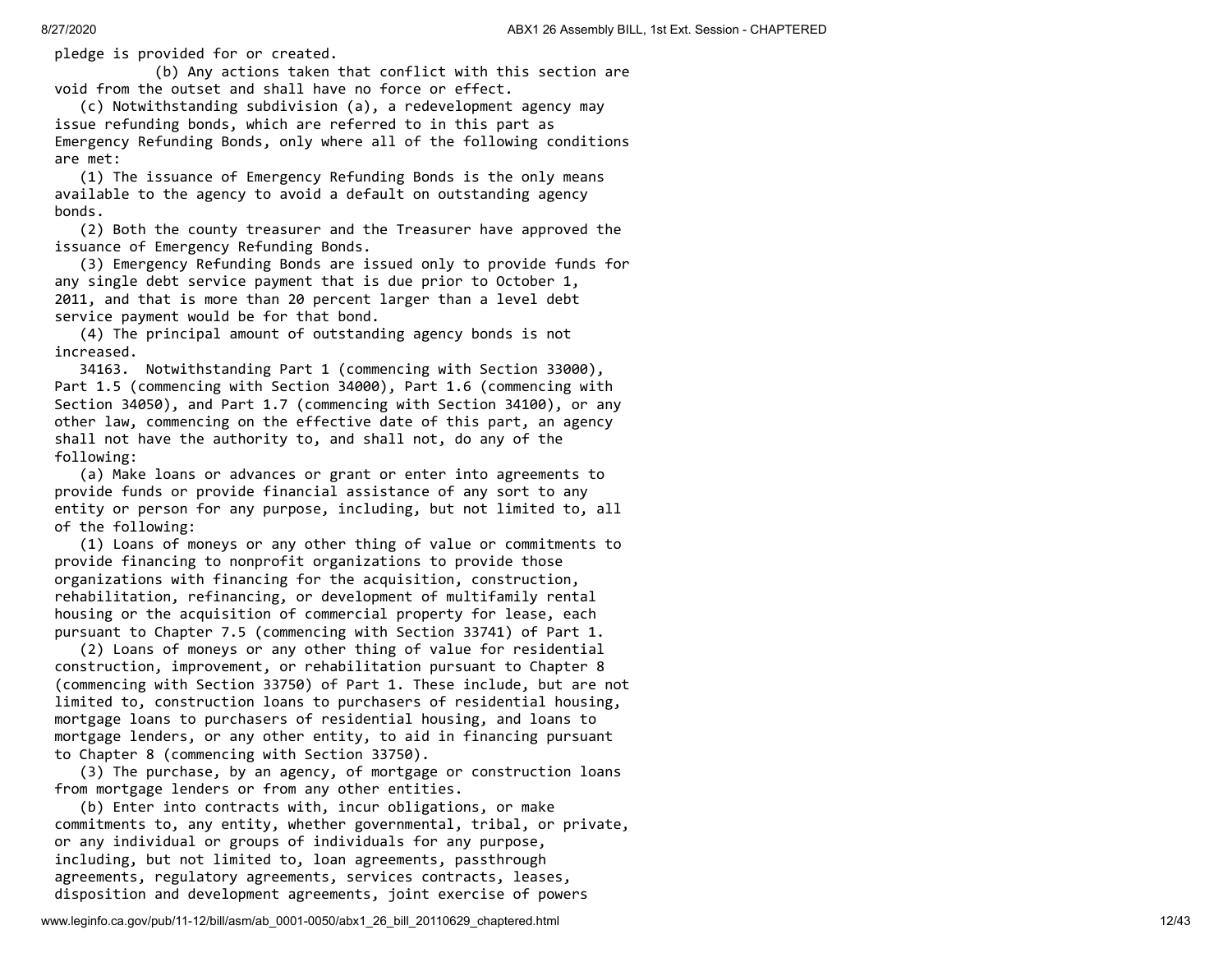pledge is provided for or created.

 (b) Any actions taken that conflict with this section are void from the outset and shall have no force or effect.

 (c) Notwithstanding subdivision (a), a redevelopment agency may issue refunding bonds, which are referred to in this part as Emergency Refunding Bonds, only where all of the following conditions are met:

 (1) The issuance of Emergency Refunding Bonds is the only means available to the agency to avoid a default on outstanding agency bonds.

 (2) Both the county treasurer and the Treasurer have approved the issuance of Emergency Refunding Bonds.

 (3) Emergency Refunding Bonds are issued only to provide funds for any single debt service payment that is due prior to October 1, 2011, and that is more than 20 percent larger than a level debt service payment would be for that bond.

 (4) The principal amount of outstanding agency bonds is not increased.

 34163. Notwithstanding Part 1 (commencing with Section 33000), Part 1.5 (commencing with Section 34000), Part 1.6 (commencing with Section 34050), and Part 1.7 (commencing with Section 34100), or any other law, commencing on the effective date of this part, an agency shall not have the authority to, and shall not, do any of the following:

 (a) Make loans or advances or grant or enter into agreements to provide funds or provide financial assistance of any sort to any entity or person for any purpose, including, but not limited to, all of the following:

 (1) Loans of moneys or any other thing of value or commitments to provide financing to nonprofit organizations to provide those organizations with financing for the acquisition, construction, rehabilitation, refinancing, or development of multifamily rental housing or the acquisition of commercial property for lease, each pursuant to Chapter 7.5 (commencing with Section 33741) of Part 1.

 (2) Loans of moneys or any other thing of value for residential construction, improvement, or rehabilitation pursuant to Chapter 8 (commencing with Section 33750) of Part 1. These include, but are not limited to, construction loans to purchasers of residential housing, mortgage loans to purchasers of residential housing, and loans to mortgage lenders, or any other entity, to aid in financing pursuant to Chapter 8 (commencing with Section 33750).

 (3) The purchase, by an agency, of mortgage or construction loans from mortgage lenders or from any other entities.

 (b) Enter into contracts with, incur obligations, or make commitments to, any entity, whether governmental, tribal, or private, or any individual or groups of individuals for any purpose, including, but not limited to, loan agreements, passthrough agreements, regulatory agreements, services contracts, leases, disposition and development agreements, joint exercise of powers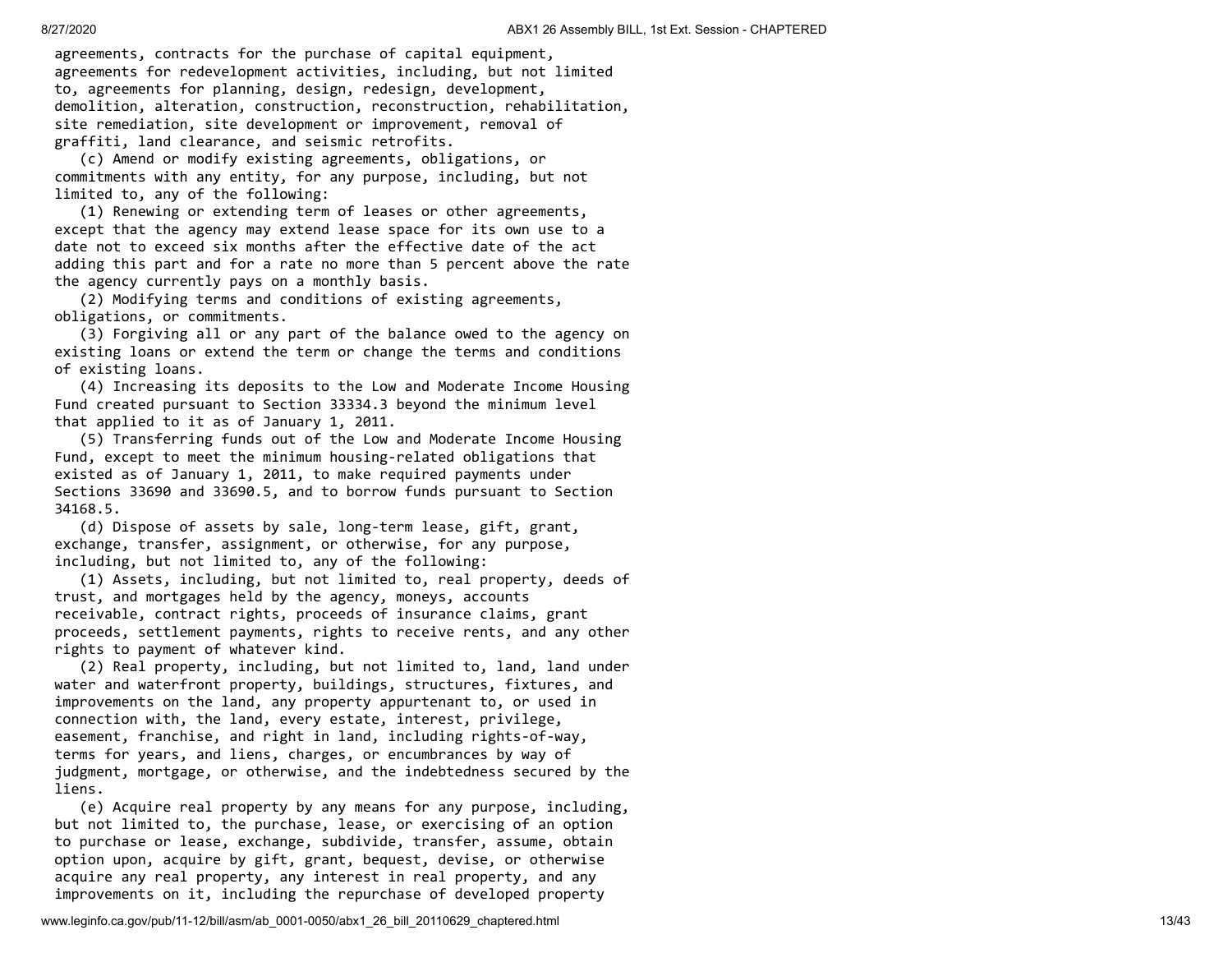agreements, contracts for the purchase of capital equipment, agreements for redevelopment activities, including, but not limited to, agreements for planning, design, redesign, development, demolition, alteration, construction, reconstruction, rehabilitation, site remediation, site development or improvement, removal of graffiti, land clearance, and seismic retrofits.

 (c) Amend or modify existing agreements, obligations, or commitments with any entity, for any purpose, including, but not limited to, any of the following:

 (1) Renewing or extending term of leases or other agreements, except that the agency may extend lease space for its own use to a date not to exceed six months after the effective date of the act adding this part and for a rate no more than 5 percent above the rate the agency currently pays on a monthly basis.

 (2) Modifying terms and conditions of existing agreements, obligations, or commitments.

 (3) Forgiving all or any part of the balance owed to the agency on existing loans or extend the term or change the terms and conditions of existing loans.

 (4) Increasing its deposits to the Low and Moderate Income Housing Fund created pursuant to Section 33334.3 beyond the minimum level that applied to it as of January 1, 2011.

 (5) Transferring funds out of the Low and Moderate Income Housing Fund, except to meet the minimum housing-related obligations that existed as of January 1, 2011, to make required payments under Sections 33690 and 33690.5, and to borrow funds pursuant to Section 34168.5.

 (d) Dispose of assets by sale, long-term lease, gift, grant, exchange, transfer, assignment, or otherwise, for any purpose, including, but not limited to, any of the following:

 (1) Assets, including, but not limited to, real property, deeds of trust, and mortgages held by the agency, moneys, accounts receivable, contract rights, proceeds of insurance claims, grant proceeds, settlement payments, rights to receive rents, and any other rights to payment of whatever kind.

 (2) Real property, including, but not limited to, land, land under water and waterfront property, buildings, structures, fixtures, and improvements on the land, any property appurtenant to, or used in connection with, the land, every estate, interest, privilege, easement, franchise, and right in land, including rights-of-way, terms for years, and liens, charges, or encumbrances by way of judgment, mortgage, or otherwise, and the indebtedness secured by the liens.

 (e) Acquire real property by any means for any purpose, including, but not limited to, the purchase, lease, or exercising of an option to purchase or lease, exchange, subdivide, transfer, assume, obtain option upon, acquire by gift, grant, bequest, devise, or otherwise acquire any real property, any interest in real property, and any improvements on it, including the repurchase of developed property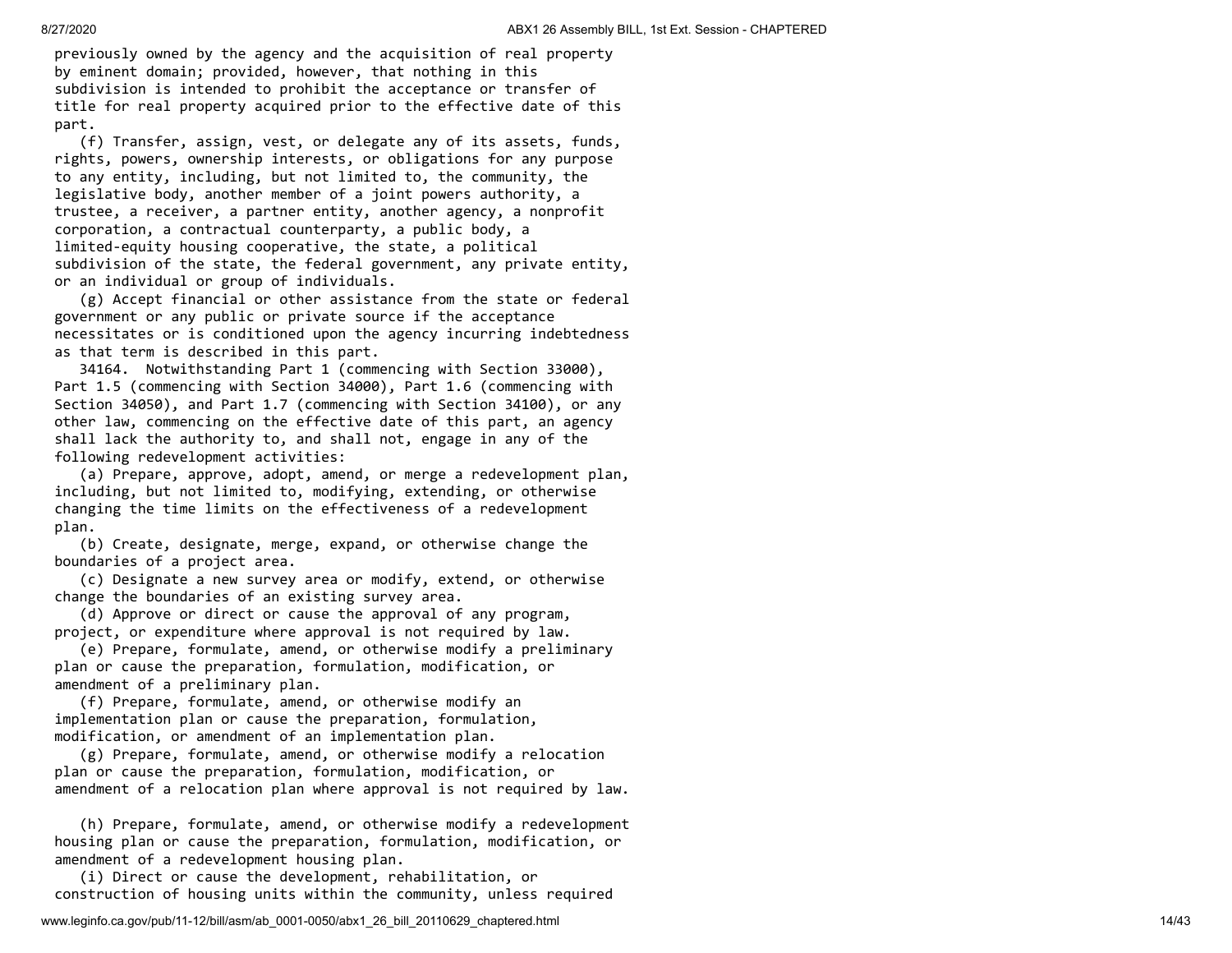previously owned by the agency and the acquisition of real property by eminent domain; provided, however, that nothing in this subdivision is intended to prohibit the acceptance or transfer of title for real property acquired prior to the effective date of this part.

 (f) Transfer, assign, vest, or delegate any of its assets, funds, rights, powers, ownership interests, or obligations for any purpose to any entity, including, but not limited to, the community, the legislative body, another member of a joint powers authority, a trustee, a receiver, a partner entity, another agency, a nonprofit corporation, a contractual counterparty, a public body, a limited-equity housing cooperative, the state, a political subdivision of the state, the federal government, any private entity, or an individual or group of individuals.

 (g) Accept financial or other assistance from the state or federal government or any public or private source if the acceptance necessitates or is conditioned upon the agency incurring indebtedness as that term is described in this part.

 34164. Notwithstanding Part 1 (commencing with Section 33000), Part 1.5 (commencing with Section 34000), Part 1.6 (commencing with Section 34050), and Part 1.7 (commencing with Section 34100), or any other law, commencing on the effective date of this part, an agency shall lack the authority to, and shall not, engage in any of the following redevelopment activities:

 (a) Prepare, approve, adopt, amend, or merge a redevelopment plan, including, but not limited to, modifying, extending, or otherwise changing the time limits on the effectiveness of a redevelopment plan.

 (b) Create, designate, merge, expand, or otherwise change the boundaries of a project area.

 (c) Designate a new survey area or modify, extend, or otherwise change the boundaries of an existing survey area.

 (d) Approve or direct or cause the approval of any program, project, or expenditure where approval is not required by law.

 (e) Prepare, formulate, amend, or otherwise modify a preliminary plan or cause the preparation, formulation, modification, or amendment of a preliminary plan.

 (f) Prepare, formulate, amend, or otherwise modify an implementation plan or cause the preparation, formulation, modification, or amendment of an implementation plan.

 (g) Prepare, formulate, amend, or otherwise modify a relocation plan or cause the preparation, formulation, modification, or amendment of a relocation plan where approval is not required by law.

 (h) Prepare, formulate, amend, or otherwise modify a redevelopment housing plan or cause the preparation, formulation, modification, or amendment of a redevelopment housing plan.

 (i) Direct or cause the development, rehabilitation, or construction of housing units within the community, unless required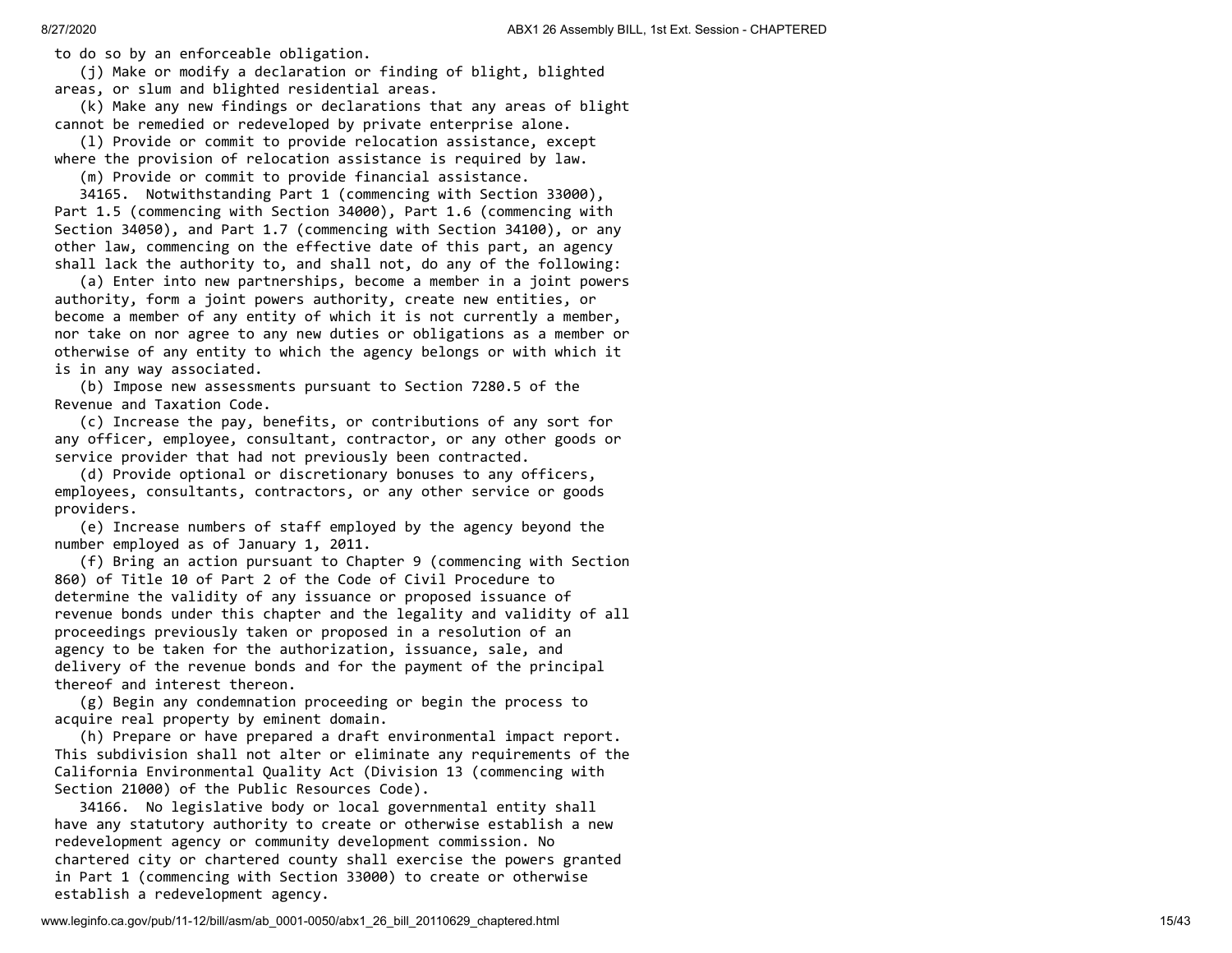to do so by an enforceable obligation.

(j) Make or modify a declaration or finding of blight, blighted

areas, or slum and blighted residential areas.

 (k) Make any new findings or declarations that any areas of blight cannot be remedied or redeveloped by private enterprise alone.

 (l) Provide or commit to provide relocation assistance, except where the provision of relocation assistance is required by law.

(m) Provide or commit to provide financial assistance.

 34165. Notwithstanding Part 1 (commencing with Section 33000), Part 1.5 (commencing with Section 34000), Part 1.6 (commencing with Section 34050), and Part 1.7 (commencing with Section 34100), or any other law, commencing on the effective date of this part, an agency shall lack the authority to, and shall not, do any of the following:

 (a) Enter into new partnerships, become a member in a joint powers authority, form a joint powers authority, create new entities, or become a member of any entity of which it is not currently a member, nor take on nor agree to any new duties or obligations as a member or otherwise of any entity to which the agency belongs or with which it is in any way associated.

 (b) Impose new assessments pursuant to Section 7280.5 of the Revenue and Taxation Code.

 (c) Increase the pay, benefits, or contributions of any sort for any officer, employee, consultant, contractor, or any other goods or service provider that had not previously been contracted.

 (d) Provide optional or discretionary bonuses to any officers, employees, consultants, contractors, or any other service or goods providers.

 (e) Increase numbers of staff employed by the agency beyond the number employed as of January 1, 2011.

 (f) Bring an action pursuant to Chapter 9 (commencing with Section 860) of Title 10 of Part 2 of the Code of Civil Procedure to determine the validity of any issuance or proposed issuance of revenue bonds under this chapter and the legality and validity of all proceedings previously taken or proposed in a resolution of an agency to be taken for the authorization, issuance, sale, and delivery of the revenue bonds and for the payment of the principal thereof and interest thereon.

 (g) Begin any condemnation proceeding or begin the process to acquire real property by eminent domain.

 (h) Prepare or have prepared a draft environmental impact report. This subdivision shall not alter or eliminate any requirements of the California Environmental Quality Act (Division 13 (commencing with Section 21000) of the Public Resources Code).

 34166. No legislative body or local governmental entity shall have any statutory authority to create or otherwise establish a new redevelopment agency or community development commission. No chartered city or chartered county shall exercise the powers granted in Part 1 (commencing with Section 33000) to create or otherwise establish a redevelopment agency.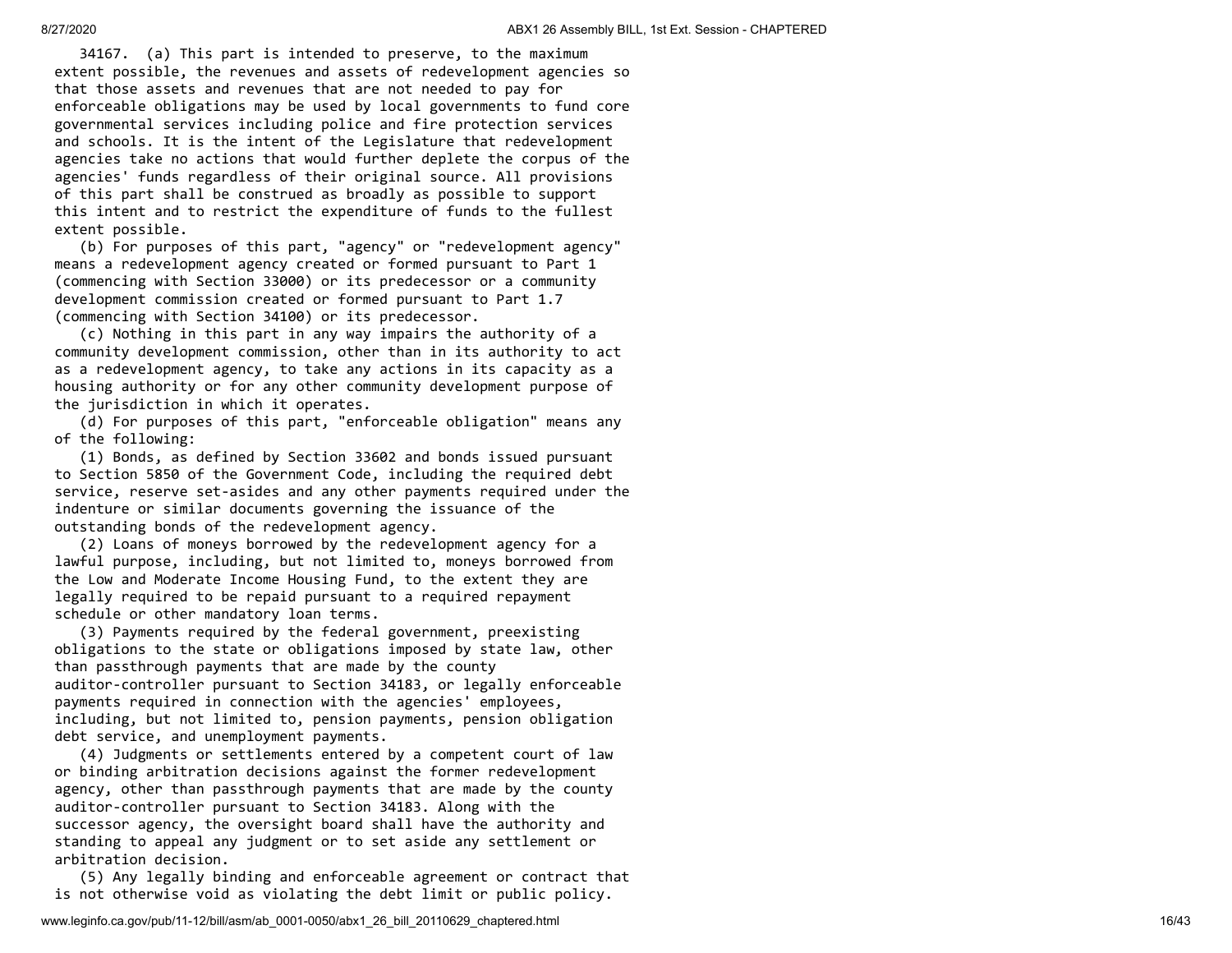34167. (a) This part is intended to preserve, to the maximum extent possible, the revenues and assets of redevelopment agencies so that those assets and revenues that are not needed to pay for enforceable obligations may be used by local governments to fund core governmental services including police and fire protection services and schools. It is the intent of the Legislature that redevelopment agencies take no actions that would further deplete the corpus of the agencies' funds regardless of their original source. All provisions of this part shall be construed as broadly as possible to support this intent and to restrict the expenditure of funds to the fullest extent possible.

 (b) For purposes of this part, "agency" or "redevelopment agency" means a redevelopment agency created or formed pursuant to Part 1 (commencing with Section 33000) or its predecessor or a community development commission created or formed pursuant to Part 1.7 (commencing with Section 34100) or its predecessor.

 (c) Nothing in this part in any way impairs the authority of a community development commission, other than in its authority to act as a redevelopment agency, to take any actions in its capacity as a housing authority or for any other community development purpose of the jurisdiction in which it operates.

 (d) For purposes of this part, "enforceable obligation" means any of the following:

 (1) Bonds, as defined by Section 33602 and bonds issued pursuant to Section 5850 of the Government Code, including the required debt service, reserve set-asides and any other payments required under the indenture or similar documents governing the issuance of the outstanding bonds of the redevelopment agency.

 (2) Loans of moneys borrowed by the redevelopment agency for a lawful purpose, including, but not limited to, moneys borrowed from the Low and Moderate Income Housing Fund, to the extent they are legally required to be repaid pursuant to a required repayment schedule or other mandatory loan terms.

 (3) Payments required by the federal government, preexisting obligations to the state or obligations imposed by state law, other than passthrough payments that are made by the county auditor-controller pursuant to Section 34183, or legally enforceable payments required in connection with the agencies' employees, including, but not limited to, pension payments, pension obligation debt service, and unemployment payments.

 (4) Judgments or settlements entered by a competent court of law or binding arbitration decisions against the former redevelopment agency, other than passthrough payments that are made by the county auditor-controller pursuant to Section 34183. Along with the successor agency, the oversight board shall have the authority and standing to appeal any judgment or to set aside any settlement or arbitration decision.

 (5) Any legally binding and enforceable agreement or contract that is not otherwise void as violating the debt limit or public policy.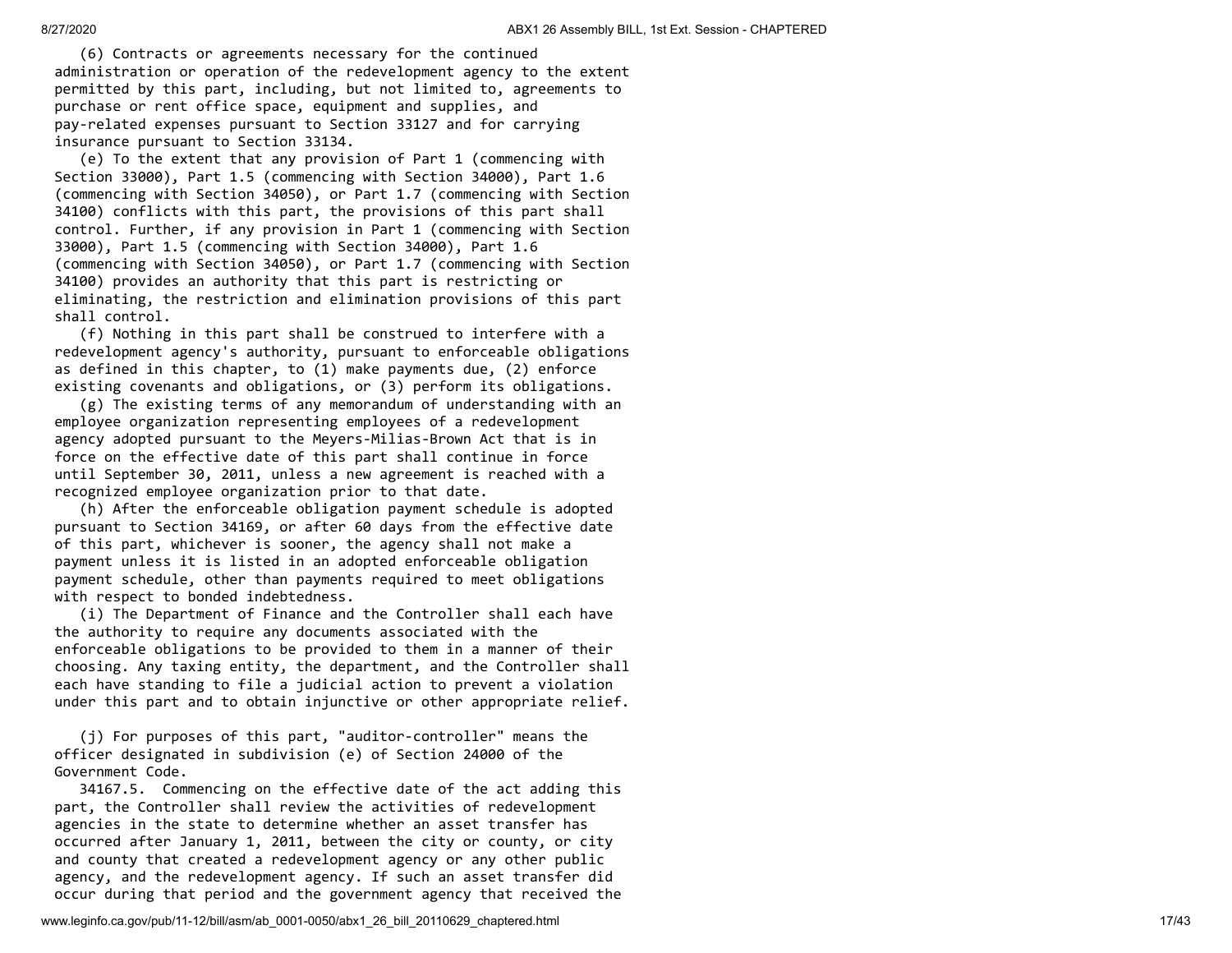(6) Contracts or agreements necessary for the continued administration or operation of the redevelopment agency to the extent permitted by this part, including, but not limited to, agreements to purchase or rent office space, equipment and supplies, and pay-related expenses pursuant to Section 33127 and for carrying insurance pursuant to Section 33134.

 (e) To the extent that any provision of Part 1 (commencing with Section 33000), Part 1.5 (commencing with Section 34000), Part 1.6 (commencing with Section 34050), or Part 1.7 (commencing with Section 34100) conflicts with this part, the provisions of this part shall control. Further, if any provision in Part 1 (commencing with Section 33000), Part 1.5 (commencing with Section 34000), Part 1.6 (commencing with Section 34050), or Part 1.7 (commencing with Section 34100) provides an authority that this part is restricting or eliminating, the restriction and elimination provisions of this part shall control.

 (f) Nothing in this part shall be construed to interfere with a redevelopment agency's authority, pursuant to enforceable obligations as defined in this chapter, to (1) make payments due, (2) enforce existing covenants and obligations, or (3) perform its obligations.

 (g) The existing terms of any memorandum of understanding with an employee organization representing employees of a redevelopment agency adopted pursuant to the Meyers-Milias-Brown Act that is in force on the effective date of this part shall continue in force until September 30, 2011, unless a new agreement is reached with a recognized employee organization prior to that date.

 (h) After the enforceable obligation payment schedule is adopted pursuant to Section 34169, or after 60 days from the effective date of this part, whichever is sooner, the agency shall not make a payment unless it is listed in an adopted enforceable obligation payment schedule, other than payments required to meet obligations with respect to bonded indebtedness.

 (i) The Department of Finance and the Controller shall each have the authority to require any documents associated with the enforceable obligations to be provided to them in a manner of their choosing. Any taxing entity, the department, and the Controller shall each have standing to file a judicial action to prevent a violation under this part and to obtain injunctive or other appropriate relief.

 (j) For purposes of this part, "auditor-controller" means the officer designated in subdivision (e) of Section 24000 of the Government Code.

 34167.5. Commencing on the effective date of the act adding this part, the Controller shall review the activities of redevelopment agencies in the state to determine whether an asset transfer has occurred after January 1, 2011, between the city or county, or city and county that created a redevelopment agency or any other public agency, and the redevelopment agency. If such an asset transfer did occur during that period and the government agency that received the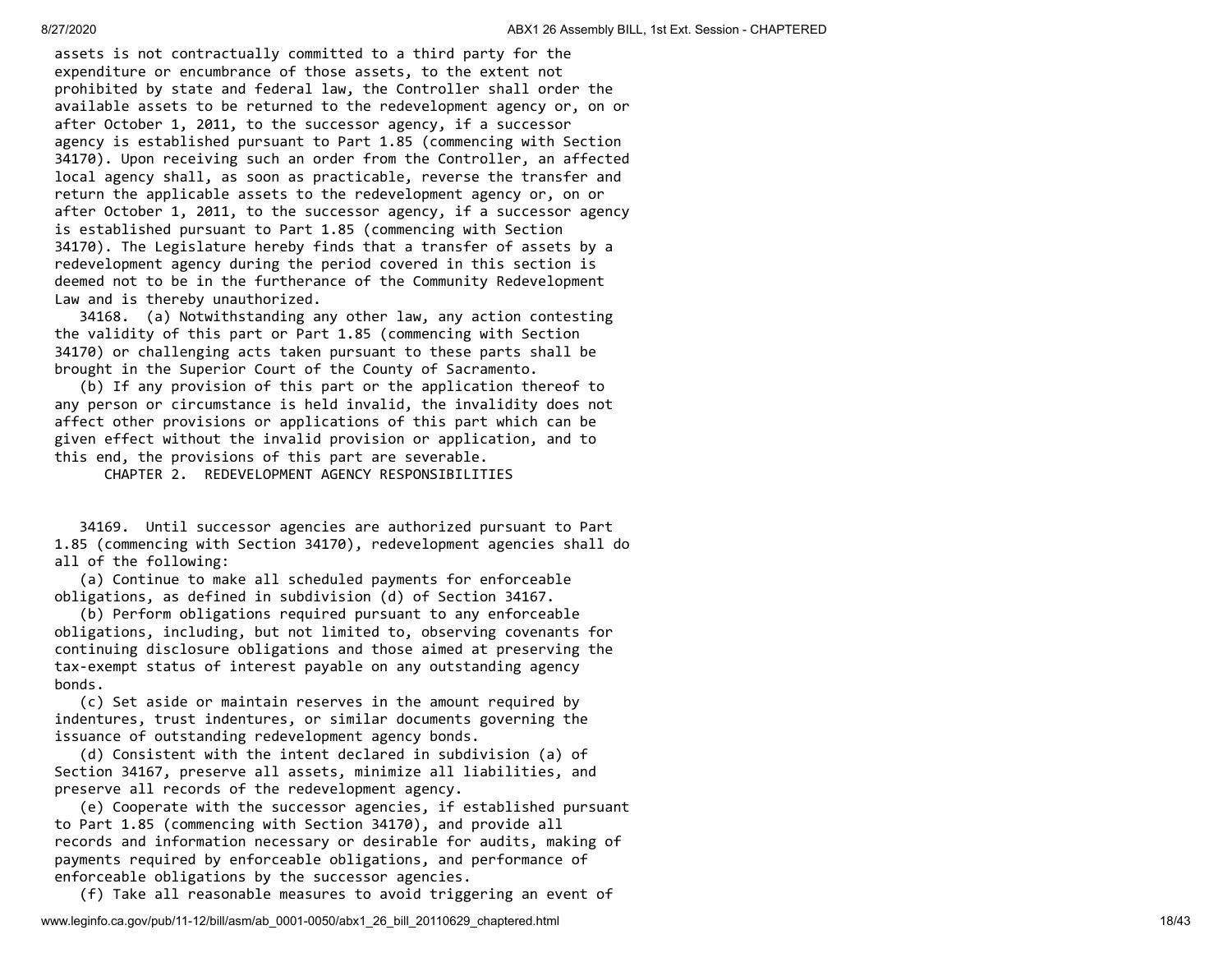assets is not contractually committed to a third party for the expenditure or encumbrance of those assets, to the extent not prohibited by state and federal law, the Controller shall order the available assets to be returned to the redevelopment agency or, on or after October 1, 2011, to the successor agency, if a successor agency is established pursuant to Part 1.85 (commencing with Section 34170). Upon receiving such an order from the Controller, an affected local agency shall, as soon as practicable, reverse the transfer and return the applicable assets to the redevelopment agency or, on or after October 1, 2011, to the successor agency, if a successor agency is established pursuant to Part 1.85 (commencing with Section 34170). The Legislature hereby finds that a transfer of assets by a redevelopment agency during the period covered in this section is deemed not to be in the furtherance of the Community Redevelopment Law and is thereby unauthorized.

 34168. (a) Notwithstanding any other law, any action contesting the validity of this part or Part 1.85 (commencing with Section 34170) or challenging acts taken pursuant to these parts shall be brought in the Superior Court of the County of Sacramento.

 (b) If any provision of this part or the application thereof to any person or circumstance is held invalid, the invalidity does not affect other provisions or applications of this part which can be given effect without the invalid provision or application, and to this end, the provisions of this part are severable.

CHAPTER 2. REDEVELOPMENT AGENCY RESPONSIBILITIES

 34169. Until successor agencies are authorized pursuant to Part 1.85 (commencing with Section 34170), redevelopment agencies shall do all of the following:

 (a) Continue to make all scheduled payments for enforceable obligations, as defined in subdivision (d) of Section 34167.

 (b) Perform obligations required pursuant to any enforceable obligations, including, but not limited to, observing covenants for continuing disclosure obligations and those aimed at preserving the tax-exempt status of interest payable on any outstanding agency bonds.

 (c) Set aside or maintain reserves in the amount required by indentures, trust indentures, or similar documents governing the issuance of outstanding redevelopment agency bonds.

 (d) Consistent with the intent declared in subdivision (a) of Section 34167, preserve all assets, minimize all liabilities, and preserve all records of the redevelopment agency.

 (e) Cooperate with the successor agencies, if established pursuant to Part 1.85 (commencing with Section 34170), and provide all records and information necessary or desirable for audits, making of payments required by enforceable obligations, and performance of enforceable obligations by the successor agencies.

(f) Take all reasonable measures to avoid triggering an event of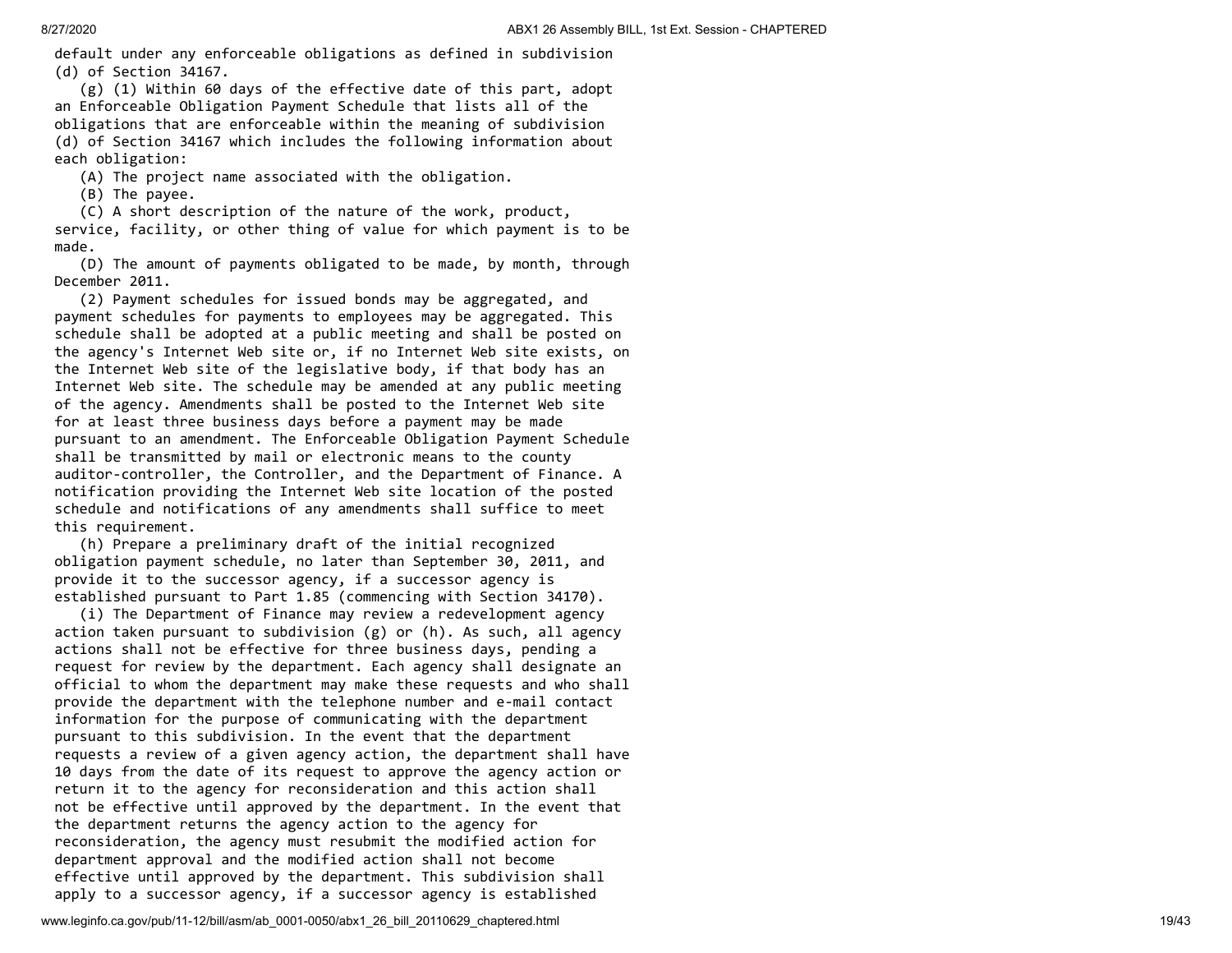default under any enforceable obligations as defined in subdivision (d) of Section 34167.

 (g) (1) Within 60 days of the effective date of this part, adopt an Enforceable Obligation Payment Schedule that lists all of the obligations that are enforceable within the meaning of subdivision (d) of Section 34167 which includes the following information about each obligation:

(A) The project name associated with the obligation.

(B) The payee.

 (C) A short description of the nature of the work, product, service, facility, or other thing of value for which payment is to be made.

 (D) The amount of payments obligated to be made, by month, through December 2011.

 (2) Payment schedules for issued bonds may be aggregated, and payment schedules for payments to employees may be aggregated. This schedule shall be adopted at a public meeting and shall be posted on the agency's Internet Web site or, if no Internet Web site exists, on the Internet Web site of the legislative body, if that body has an Internet Web site. The schedule may be amended at any public meeting of the agency. Amendments shall be posted to the Internet Web site for at least three business days before a payment may be made pursuant to an amendment. The Enforceable Obligation Payment Schedule shall be transmitted by mail or electronic means to the county auditor-controller, the Controller, and the Department of Finance. A notification providing the Internet Web site location of the posted schedule and notifications of any amendments shall suffice to meet this requirement.

 (h) Prepare a preliminary draft of the initial recognized obligation payment schedule, no later than September 30, 2011, and provide it to the successor agency, if a successor agency is established pursuant to Part 1.85 (commencing with Section 34170).

 (i) The Department of Finance may review a redevelopment agency action taken pursuant to subdivision (g) or (h). As such, all agency actions shall not be effective for three business days, pending a request for review by the department. Each agency shall designate an official to whom the department may make these requests and who shall provide the department with the telephone number and e-mail contact information for the purpose of communicating with the department pursuant to this subdivision. In the event that the department requests a review of a given agency action, the department shall have 10 days from the date of its request to approve the agency action or return it to the agency for reconsideration and this action shall not be effective until approved by the department. In the event that the department returns the agency action to the agency for reconsideration, the agency must resubmit the modified action for department approval and the modified action shall not become effective until approved by the department. This subdivision shall apply to a successor agency, if a successor agency is established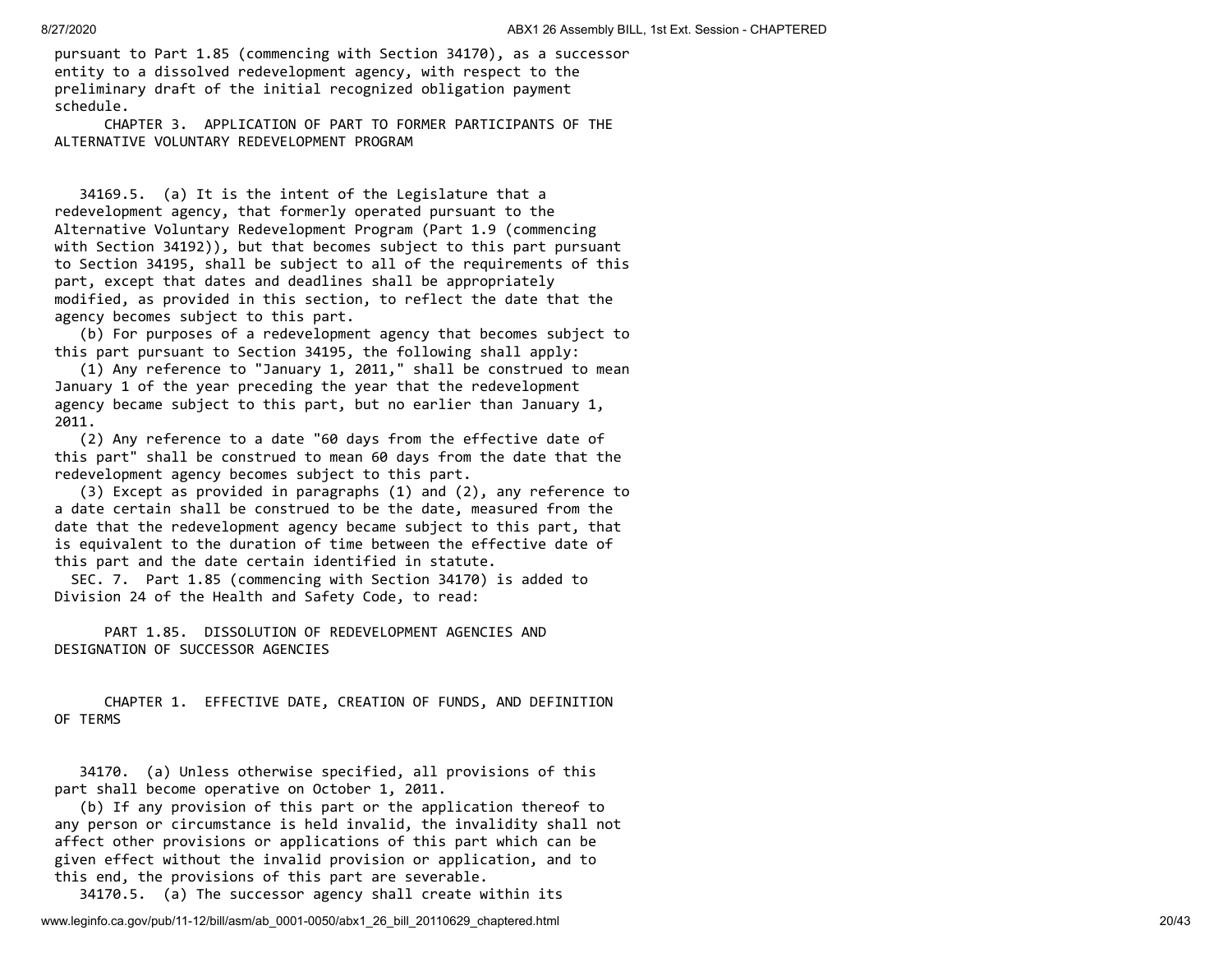pursuant to Part 1.85 (commencing with Section 34170), as a successor entity to a dissolved redevelopment agency, with respect to the preliminary draft of the initial recognized obligation payment schedule.

 CHAPTER 3. APPLICATION OF PART TO FORMER PARTICIPANTS OF THE ALTERNATIVE VOLUNTARY REDEVELOPMENT PROGRAM

 34169.5. (a) It is the intent of the Legislature that a redevelopment agency, that formerly operated pursuant to the Alternative Voluntary Redevelopment Program (Part 1.9 (commencing with Section 34192)), but that becomes subject to this part pursuant to Section 34195, shall be subject to all of the requirements of this part, except that dates and deadlines shall be appropriately modified, as provided in this section, to reflect the date that the agency becomes subject to this part.

 (b) For purposes of a redevelopment agency that becomes subject to this part pursuant to Section 34195, the following shall apply:

 (1) Any reference to "January 1, 2011," shall be construed to mean January 1 of the year preceding the year that the redevelopment agency became subject to this part, but no earlier than January 1, 2011.

 (2) Any reference to a date "60 days from the effective date of this part" shall be construed to mean 60 days from the date that the redevelopment agency becomes subject to this part.

 (3) Except as provided in paragraphs (1) and (2), any reference to a date certain shall be construed to be the date, measured from the date that the redevelopment agency became subject to this part, that is equivalent to the duration of time between the effective date of this part and the date certain identified in statute.

 SEC. 7. Part 1.85 (commencing with Section 34170) is added to Division 24 of the Health and Safety Code, to read:

 PART 1.85. DISSOLUTION OF REDEVELOPMENT AGENCIES AND DESIGNATION OF SUCCESSOR AGENCIES

 CHAPTER 1. EFFECTIVE DATE, CREATION OF FUNDS, AND DEFINITION OF TERMS

 34170. (a) Unless otherwise specified, all provisions of this part shall become operative on October 1, 2011.

 (b) If any provision of this part or the application thereof to any person or circumstance is held invalid, the invalidity shall not affect other provisions or applications of this part which can be given effect without the invalid provision or application, and to this end, the provisions of this part are severable.

34170.5. (a) The successor agency shall create within its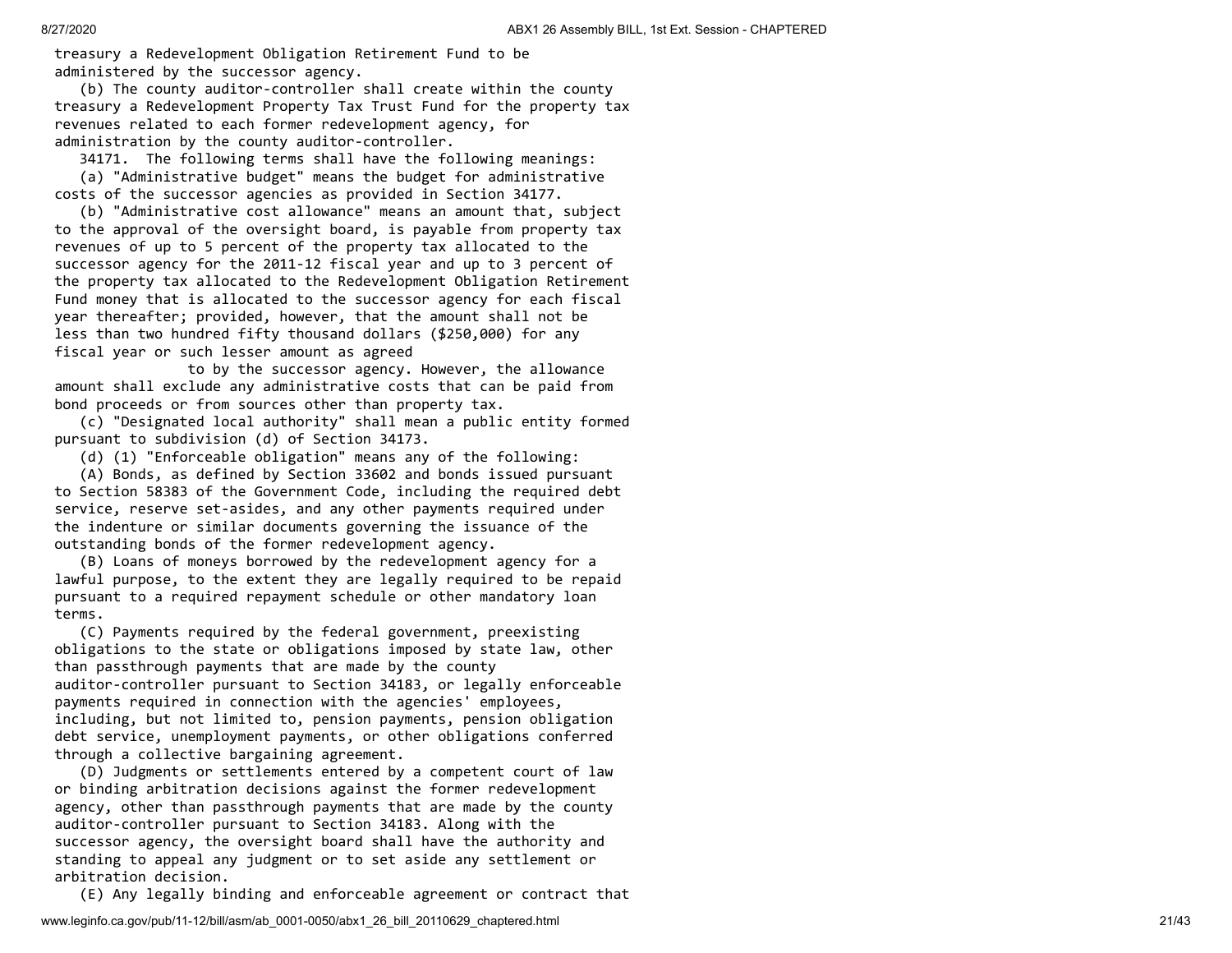treasury a Redevelopment Obligation Retirement Fund to be administered by the successor agency.

 (b) The county auditor-controller shall create within the county treasury a Redevelopment Property Tax Trust Fund for the property tax revenues related to each former redevelopment agency, for administration by the county auditor-controller.

34171. The following terms shall have the following meanings:

 (a) "Administrative budget" means the budget for administrative costs of the successor agencies as provided in Section 34177.

 (b) "Administrative cost allowance" means an amount that, subject to the approval of the oversight board, is payable from property tax revenues of up to 5 percent of the property tax allocated to the successor agency for the 2011-12 fiscal year and up to 3 percent of the property tax allocated to the Redevelopment Obligation Retirement Fund money that is allocated to the successor agency for each fiscal year thereafter; provided, however, that the amount shall not be less than two hundred fifty thousand dollars (\$250,000) for any fiscal year or such lesser amount as agreed

 to by the successor agency. However, the allowance amount shall exclude any administrative costs that can be paid from bond proceeds or from sources other than property tax.

 (c) "Designated local authority" shall mean a public entity formed pursuant to subdivision (d) of Section 34173.

(d) (1) "Enforceable obligation" means any of the following:

 (A) Bonds, as defined by Section 33602 and bonds issued pursuant to Section 58383 of the Government Code, including the required debt service, reserve set-asides, and any other payments required under the indenture or similar documents governing the issuance of the outstanding bonds of the former redevelopment agency.

 (B) Loans of moneys borrowed by the redevelopment agency for a lawful purpose, to the extent they are legally required to be repaid pursuant to a required repayment schedule or other mandatory loan terms.

 (C) Payments required by the federal government, preexisting obligations to the state or obligations imposed by state law, other than passthrough payments that are made by the county auditor-controller pursuant to Section 34183, or legally enforceable payments required in connection with the agencies' employees, including, but not limited to, pension payments, pension obligation debt service, unemployment payments, or other obligations conferred through a collective bargaining agreement.

 (D) Judgments or settlements entered by a competent court of law or binding arbitration decisions against the former redevelopment agency, other than passthrough payments that are made by the county auditor-controller pursuant to Section 34183. Along with the successor agency, the oversight board shall have the authority and standing to appeal any judgment or to set aside any settlement or arbitration decision.

(E) Any legally binding and enforceable agreement or contract that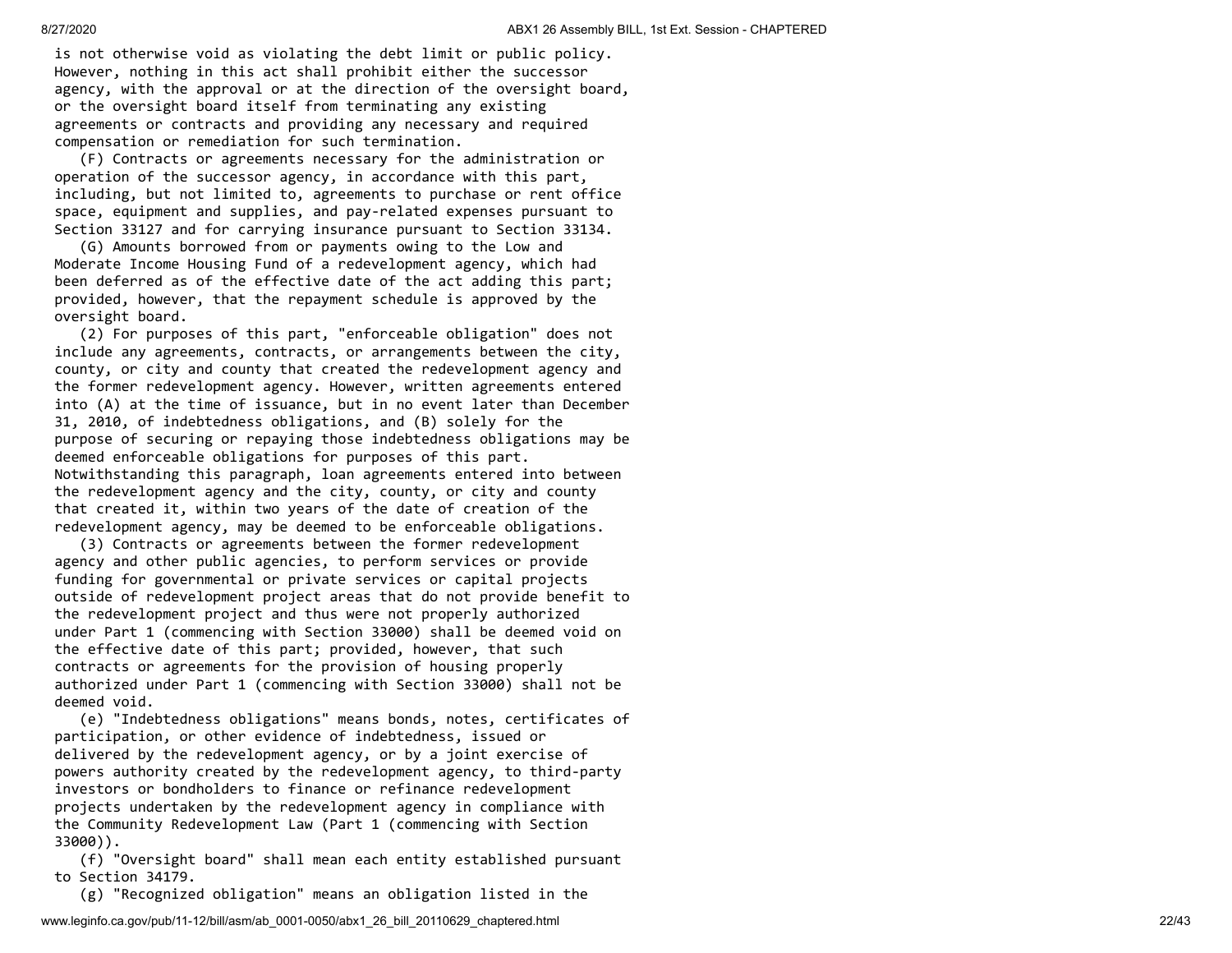is not otherwise void as violating the debt limit or public policy. However, nothing in this act shall prohibit either the successor agency, with the approval or at the direction of the oversight board, or the oversight board itself from terminating any existing agreements or contracts and providing any necessary and required compensation or remediation for such termination.

 (F) Contracts or agreements necessary for the administration or operation of the successor agency, in accordance with this part, including, but not limited to, agreements to purchase or rent office space, equipment and supplies, and pay-related expenses pursuant to Section 33127 and for carrying insurance pursuant to Section 33134.

 (G) Amounts borrowed from or payments owing to the Low and Moderate Income Housing Fund of a redevelopment agency, which had been deferred as of the effective date of the act adding this part; provided, however, that the repayment schedule is approved by the oversight board.

 (2) For purposes of this part, "enforceable obligation" does not include any agreements, contracts, or arrangements between the city, county, or city and county that created the redevelopment agency and the former redevelopment agency. However, written agreements entered into (A) at the time of issuance, but in no event later than December 31, 2010, of indebtedness obligations, and (B) solely for the purpose of securing or repaying those indebtedness obligations may be deemed enforceable obligations for purposes of this part. Notwithstanding this paragraph, loan agreements entered into between the redevelopment agency and the city, county, or city and county that created it, within two years of the date of creation of the redevelopment agency, may be deemed to be enforceable obligations.

 (3) Contracts or agreements between the former redevelopment agency and other public agencies, to perform services or provide funding for governmental or private services or capital projects outside of redevelopment project areas that do not provide benefit to the redevelopment project and thus were not properly authorized under Part 1 (commencing with Section 33000) shall be deemed void on the effective date of this part; provided, however, that such contracts or agreements for the provision of housing properly authorized under Part 1 (commencing with Section 33000) shall not be deemed void.

 (e) "Indebtedness obligations" means bonds, notes, certificates of participation, or other evidence of indebtedness, issued or delivered by the redevelopment agency, or by a joint exercise of powers authority created by the redevelopment agency, to third-party investors or bondholders to finance or refinance redevelopment projects undertaken by the redevelopment agency in compliance with the Community Redevelopment Law (Part 1 (commencing with Section 33000)).

 (f) "Oversight board" shall mean each entity established pursuant to Section 34179.

(g) "Recognized obligation" means an obligation listed in the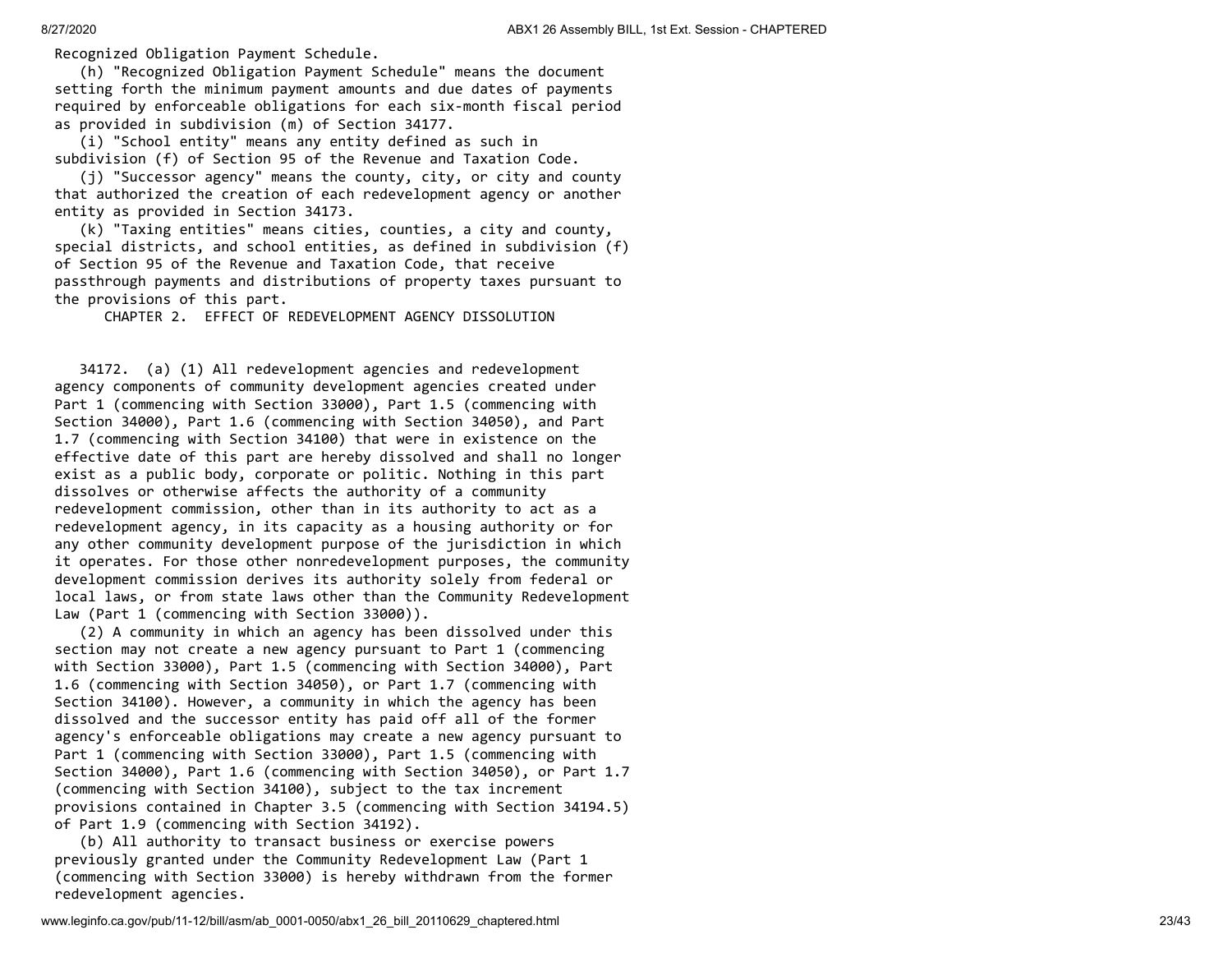Recognized Obligation Payment Schedule.

 (h) "Recognized Obligation Payment Schedule" means the document setting forth the minimum payment amounts and due dates of payments required by enforceable obligations for each six-month fiscal period as provided in subdivision (m) of Section 34177.

 (i) "School entity" means any entity defined as such in subdivision (f) of Section 95 of the Revenue and Taxation Code.

 (j) "Successor agency" means the county, city, or city and county that authorized the creation of each redevelopment agency or another entity as provided in Section 34173.

 (k) "Taxing entities" means cities, counties, a city and county, special districts, and school entities, as defined in subdivision (f) of Section 95 of the Revenue and Taxation Code, that receive passthrough payments and distributions of property taxes pursuant to the provisions of this part.

CHAPTER 2. EFFECT OF REDEVELOPMENT AGENCY DISSOLUTION

 34172. (a) (1) All redevelopment agencies and redevelopment agency components of community development agencies created under Part 1 (commencing with Section 33000), Part 1.5 (commencing with Section 34000), Part 1.6 (commencing with Section 34050), and Part 1.7 (commencing with Section 34100) that were in existence on the effective date of this part are hereby dissolved and shall no longer exist as a public body, corporate or politic. Nothing in this part dissolves or otherwise affects the authority of a community redevelopment commission, other than in its authority to act as a redevelopment agency, in its capacity as a housing authority or for any other community development purpose of the jurisdiction in which it operates. For those other nonredevelopment purposes, the community development commission derives its authority solely from federal or local laws, or from state laws other than the Community Redevelopment Law (Part 1 (commencing with Section 33000)).

 (2) A community in which an agency has been dissolved under this section may not create a new agency pursuant to Part 1 (commencing with Section 33000), Part 1.5 (commencing with Section 34000), Part 1.6 (commencing with Section 34050), or Part 1.7 (commencing with Section 34100). However, a community in which the agency has been dissolved and the successor entity has paid off all of the former agency's enforceable obligations may create a new agency pursuant to Part 1 (commencing with Section 33000), Part 1.5 (commencing with Section 34000), Part 1.6 (commencing with Section 34050), or Part 1.7 (commencing with Section 34100), subject to the tax increment provisions contained in Chapter 3.5 (commencing with Section 34194.5) of Part 1.9 (commencing with Section 34192).

 (b) All authority to transact business or exercise powers previously granted under the Community Redevelopment Law (Part 1 (commencing with Section 33000) is hereby withdrawn from the former redevelopment agencies.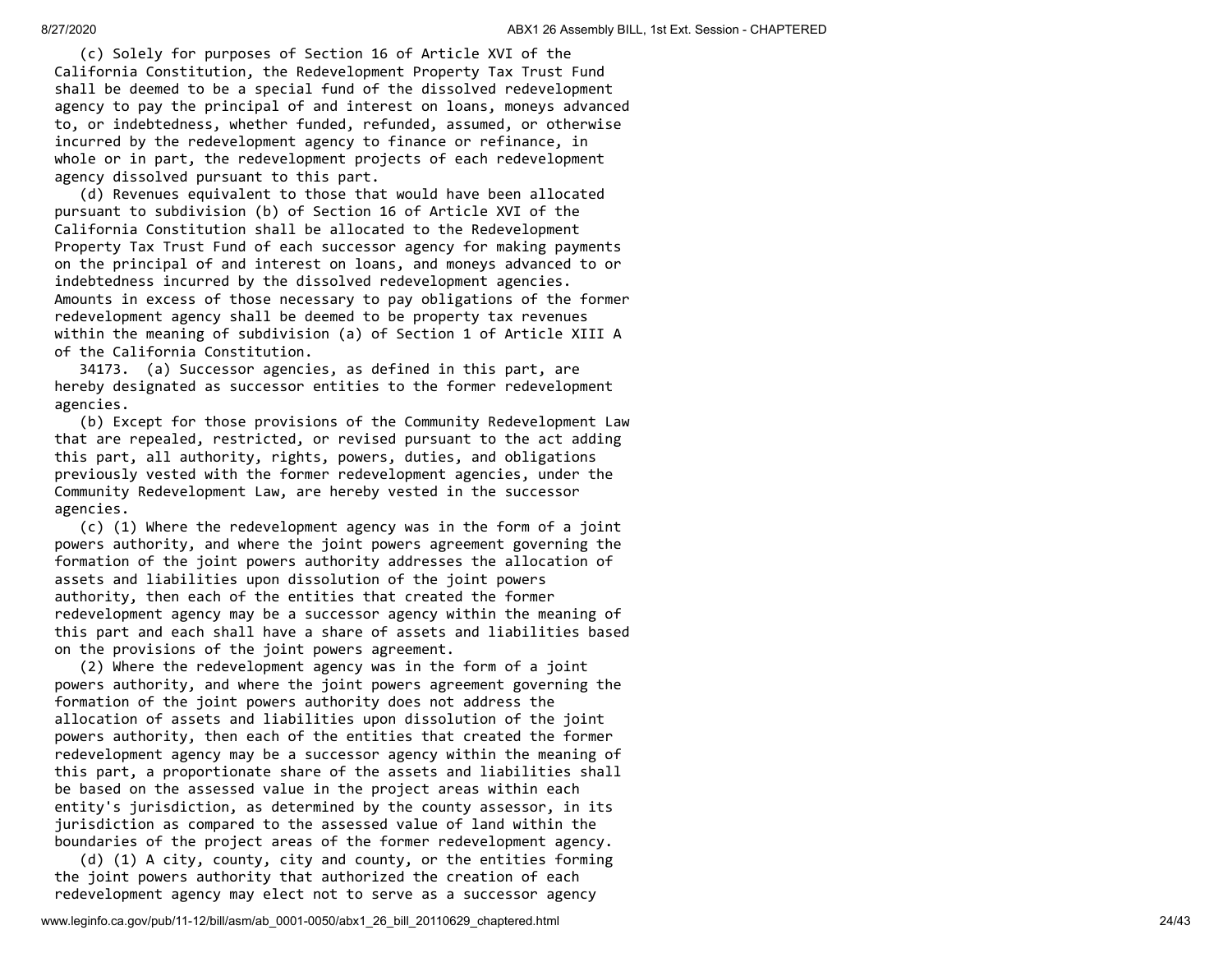(c) Solely for purposes of Section 16 of Article XVI of the California Constitution, the Redevelopment Property Tax Trust Fund shall be deemed to be a special fund of the dissolved redevelopment agency to pay the principal of and interest on loans, moneys advanced to, or indebtedness, whether funded, refunded, assumed, or otherwise incurred by the redevelopment agency to finance or refinance, in whole or in part, the redevelopment projects of each redevelopment agency dissolved pursuant to this part.

 (d) Revenues equivalent to those that would have been allocated pursuant to subdivision (b) of Section 16 of Article XVI of the California Constitution shall be allocated to the Redevelopment Property Tax Trust Fund of each successor agency for making payments on the principal of and interest on loans, and moneys advanced to or indebtedness incurred by the dissolved redevelopment agencies. Amounts in excess of those necessary to pay obligations of the former redevelopment agency shall be deemed to be property tax revenues within the meaning of subdivision (a) of Section 1 of Article XIII A of the California Constitution.

 34173. (a) Successor agencies, as defined in this part, are hereby designated as successor entities to the former redevelopment agencies.

 (b) Except for those provisions of the Community Redevelopment Law that are repealed, restricted, or revised pursuant to the act adding this part, all authority, rights, powers, duties, and obligations previously vested with the former redevelopment agencies, under the Community Redevelopment Law, are hereby vested in the successor agencies.

 (c) (1) Where the redevelopment agency was in the form of a joint powers authority, and where the joint powers agreement governing the formation of the joint powers authority addresses the allocation of assets and liabilities upon dissolution of the joint powers authority, then each of the entities that created the former redevelopment agency may be a successor agency within the meaning of this part and each shall have a share of assets and liabilities based on the provisions of the joint powers agreement.

 (2) Where the redevelopment agency was in the form of a joint powers authority, and where the joint powers agreement governing the formation of the joint powers authority does not address the allocation of assets and liabilities upon dissolution of the joint powers authority, then each of the entities that created the former redevelopment agency may be a successor agency within the meaning of this part, a proportionate share of the assets and liabilities shall be based on the assessed value in the project areas within each entity's jurisdiction, as determined by the county assessor, in its jurisdiction as compared to the assessed value of land within the boundaries of the project areas of the former redevelopment agency.

 (d) (1) A city, county, city and county, or the entities forming the joint powers authority that authorized the creation of each redevelopment agency may elect not to serve as a successor agency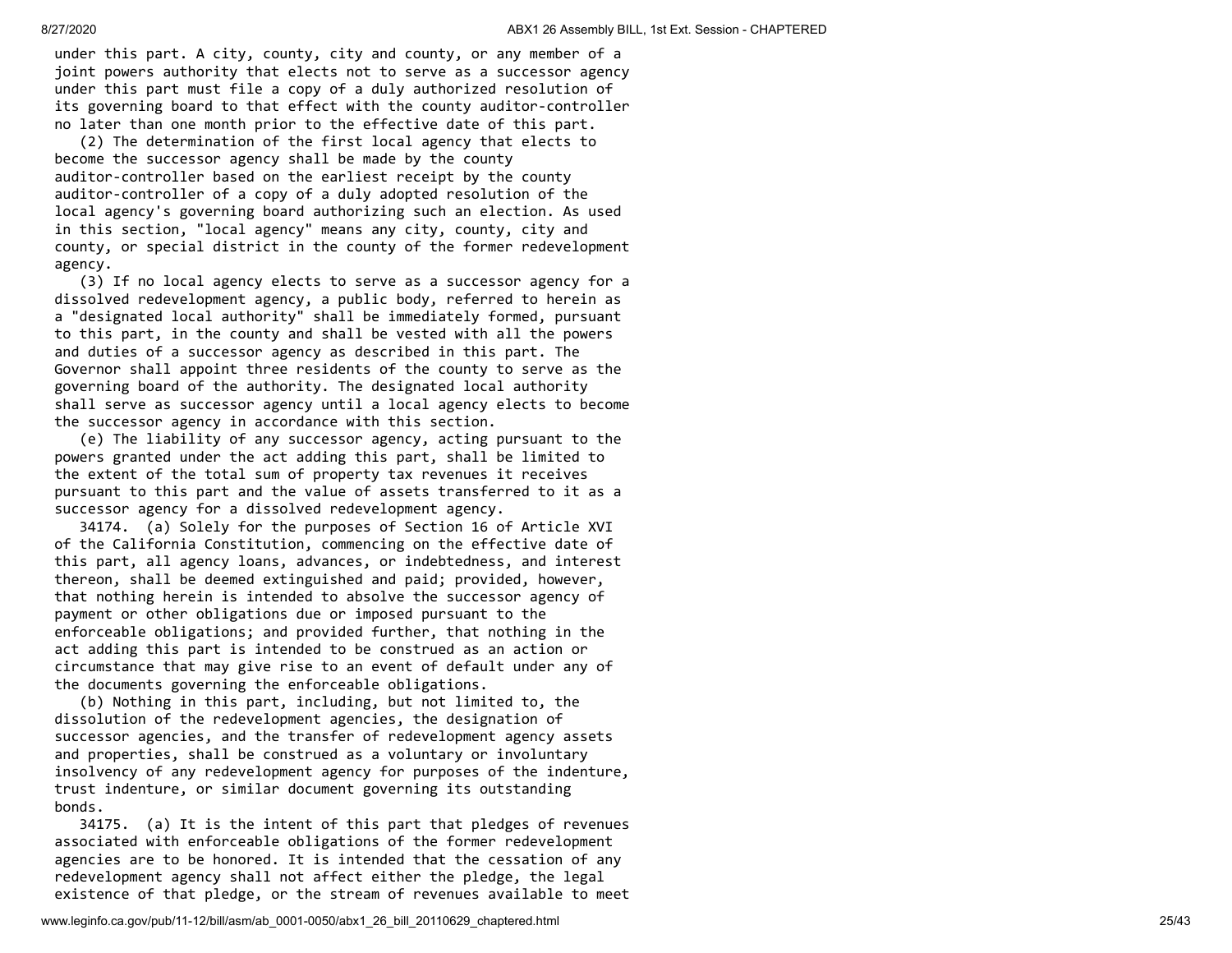under this part. A city, county, city and county, or any member of a joint powers authority that elects not to serve as a successor agency under this part must file a copy of a duly authorized resolution of its governing board to that effect with the county auditor-controller no later than one month prior to the effective date of this part.

 (2) The determination of the first local agency that elects to become the successor agency shall be made by the county auditor-controller based on the earliest receipt by the county auditor-controller of a copy of a duly adopted resolution of the local agency's governing board authorizing such an election. As used in this section, "local agency" means any city, county, city and county, or special district in the county of the former redevelopment agency.

 (3) If no local agency elects to serve as a successor agency for a dissolved redevelopment agency, a public body, referred to herein as a "designated local authority" shall be immediately formed, pursuant to this part, in the county and shall be vested with all the powers and duties of a successor agency as described in this part. The Governor shall appoint three residents of the county to serve as the governing board of the authority. The designated local authority shall serve as successor agency until a local agency elects to become the successor agency in accordance with this section.

 (e) The liability of any successor agency, acting pursuant to the powers granted under the act adding this part, shall be limited to the extent of the total sum of property tax revenues it receives pursuant to this part and the value of assets transferred to it as a successor agency for a dissolved redevelopment agency.

 34174. (a) Solely for the purposes of Section 16 of Article XVI of the California Constitution, commencing on the effective date of this part, all agency loans, advances, or indebtedness, and interest thereon, shall be deemed extinguished and paid; provided, however, that nothing herein is intended to absolve the successor agency of payment or other obligations due or imposed pursuant to the enforceable obligations; and provided further, that nothing in the act adding this part is intended to be construed as an action or circumstance that may give rise to an event of default under any of the documents governing the enforceable obligations.

 (b) Nothing in this part, including, but not limited to, the dissolution of the redevelopment agencies, the designation of successor agencies, and the transfer of redevelopment agency assets and properties, shall be construed as a voluntary or involuntary insolvency of any redevelopment agency for purposes of the indenture, trust indenture, or similar document governing its outstanding bonds.

 34175. (a) It is the intent of this part that pledges of revenues associated with enforceable obligations of the former redevelopment agencies are to be honored. It is intended that the cessation of any redevelopment agency shall not affect either the pledge, the legal existence of that pledge, or the stream of revenues available to meet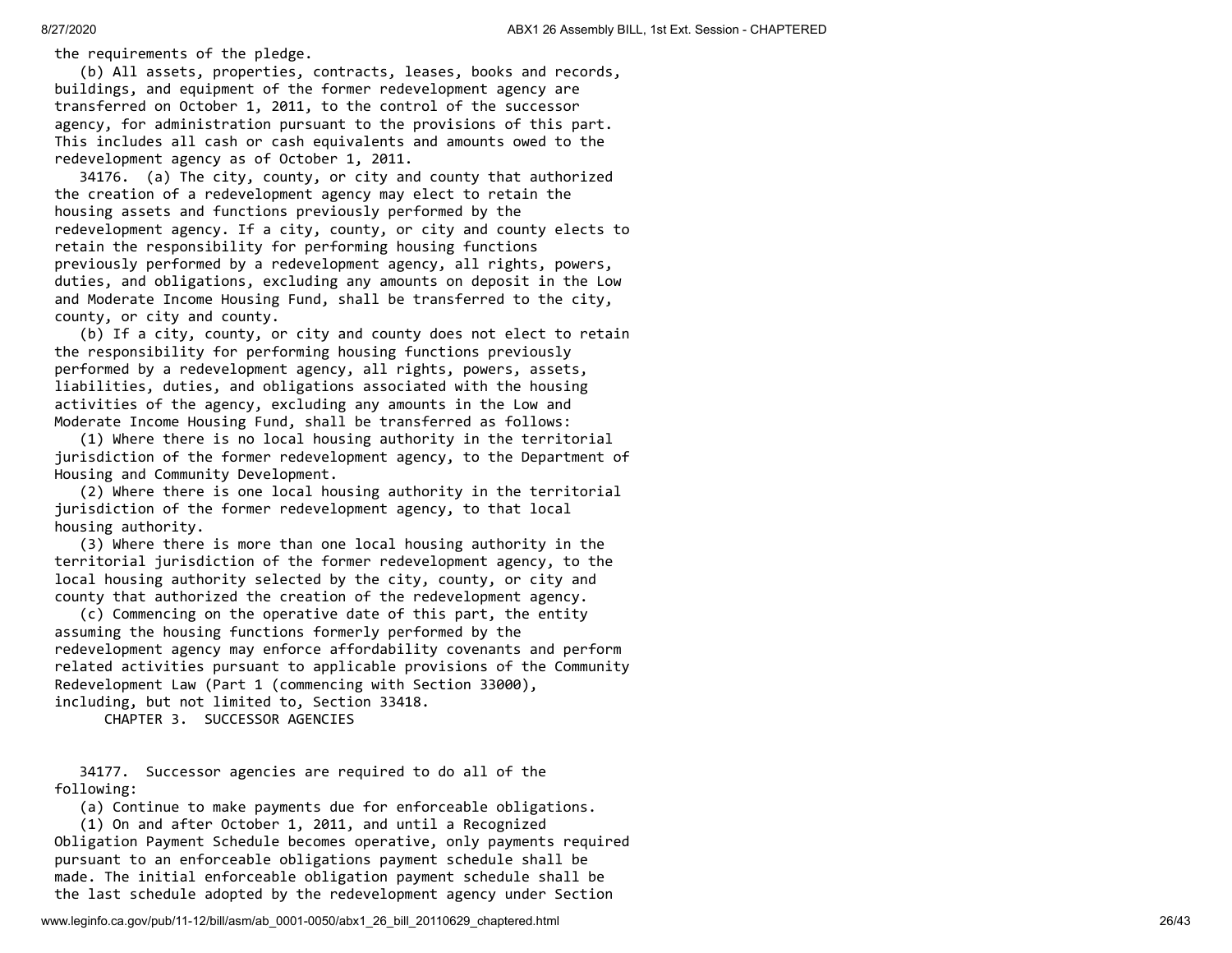the requirements of the pledge.

 (b) All assets, properties, contracts, leases, books and records, buildings, and equipment of the former redevelopment agency are transferred on October 1, 2011, to the control of the successor agency, for administration pursuant to the provisions of this part. This includes all cash or cash equivalents and amounts owed to the redevelopment agency as of October 1, 2011.

 34176. (a) The city, county, or city and county that authorized the creation of a redevelopment agency may elect to retain the housing assets and functions previously performed by the redevelopment agency. If a city, county, or city and county elects to retain the responsibility for performing housing functions previously performed by a redevelopment agency, all rights, powers, duties, and obligations, excluding any amounts on deposit in the Low and Moderate Income Housing Fund, shall be transferred to the city, county, or city and county.

 (b) If a city, county, or city and county does not elect to retain the responsibility for performing housing functions previously performed by a redevelopment agency, all rights, powers, assets, liabilities, duties, and obligations associated with the housing activities of the agency, excluding any amounts in the Low and Moderate Income Housing Fund, shall be transferred as follows:

 (1) Where there is no local housing authority in the territorial jurisdiction of the former redevelopment agency, to the Department of Housing and Community Development.

 (2) Where there is one local housing authority in the territorial jurisdiction of the former redevelopment agency, to that local housing authority.

 (3) Where there is more than one local housing authority in the territorial jurisdiction of the former redevelopment agency, to the local housing authority selected by the city, county, or city and county that authorized the creation of the redevelopment agency.

 (c) Commencing on the operative date of this part, the entity assuming the housing functions formerly performed by the redevelopment agency may enforce affordability covenants and perform related activities pursuant to applicable provisions of the Community Redevelopment Law (Part 1 (commencing with Section 33000), including, but not limited to, Section 33418.

CHAPTER 3. SUCCESSOR AGENCIES

 34177. Successor agencies are required to do all of the following:

(a) Continue to make payments due for enforceable obligations.

 (1) On and after October 1, 2011, and until a Recognized Obligation Payment Schedule becomes operative, only payments required pursuant to an enforceable obligations payment schedule shall be made. The initial enforceable obligation payment schedule shall be the last schedule adopted by the redevelopment agency under Section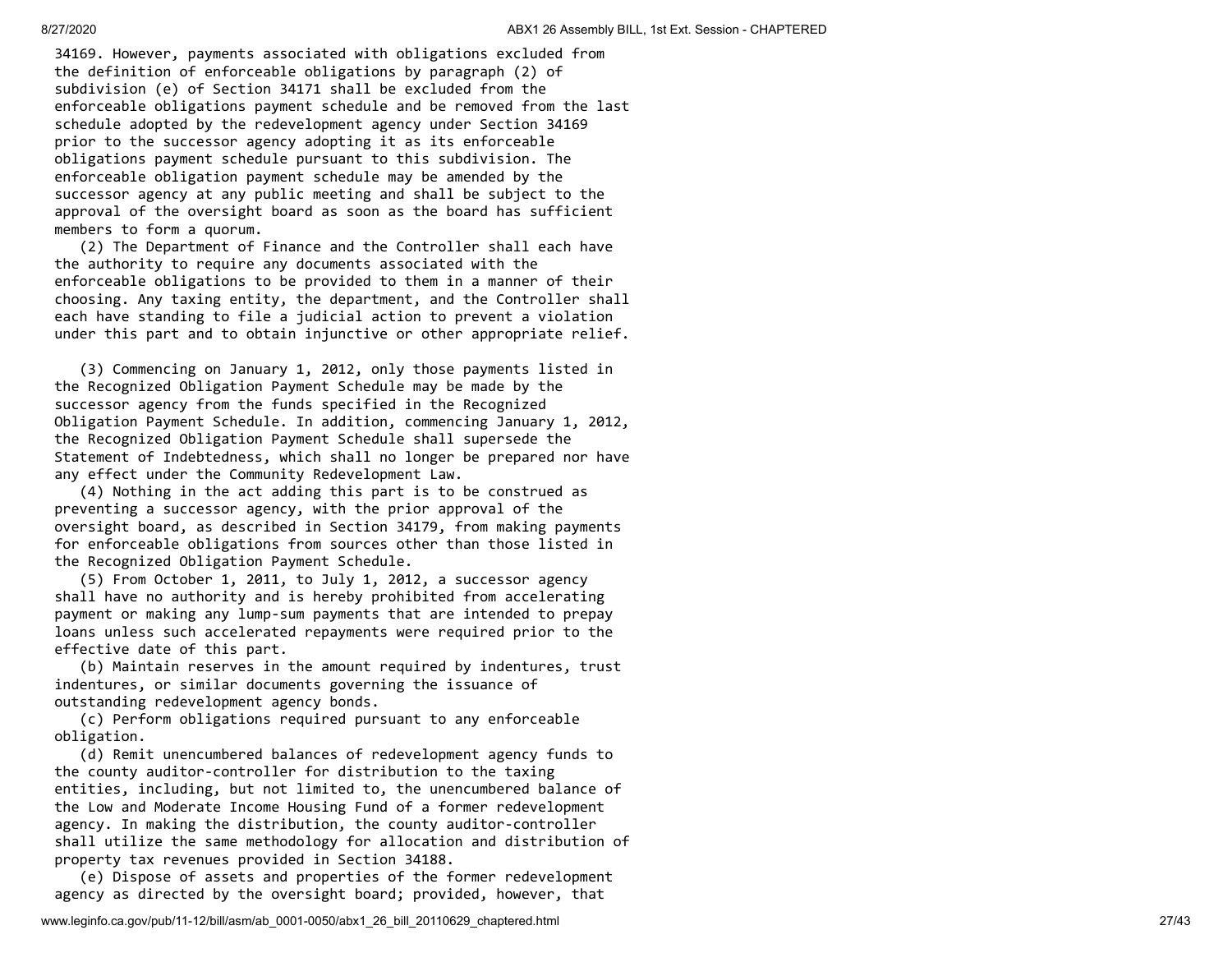34169. However, payments associated with obligations excluded from the definition of enforceable obligations by paragraph (2) of subdivision (e) of Section 34171 shall be excluded from the enforceable obligations payment schedule and be removed from the last schedule adopted by the redevelopment agency under Section 34169 prior to the successor agency adopting it as its enforceable obligations payment schedule pursuant to this subdivision. The enforceable obligation payment schedule may be amended by the successor agency at any public meeting and shall be subject to the approval of the oversight board as soon as the board has sufficient members to form a quorum.

 (2) The Department of Finance and the Controller shall each have the authority to require any documents associated with the enforceable obligations to be provided to them in a manner of their choosing. Any taxing entity, the department, and the Controller shall each have standing to file a judicial action to prevent a violation under this part and to obtain injunctive or other appropriate relief.

 (3) Commencing on January 1, 2012, only those payments listed in the Recognized Obligation Payment Schedule may be made by the successor agency from the funds specified in the Recognized Obligation Payment Schedule. In addition, commencing January 1, 2012, the Recognized Obligation Payment Schedule shall supersede the Statement of Indebtedness, which shall no longer be prepared nor have any effect under the Community Redevelopment Law.

 (4) Nothing in the act adding this part is to be construed as preventing a successor agency, with the prior approval of the oversight board, as described in Section 34179, from making payments for enforceable obligations from sources other than those listed in the Recognized Obligation Payment Schedule.

 (5) From October 1, 2011, to July 1, 2012, a successor agency shall have no authority and is hereby prohibited from accelerating payment or making any lump-sum payments that are intended to prepay loans unless such accelerated repayments were required prior to the effective date of this part.

 (b) Maintain reserves in the amount required by indentures, trust indentures, or similar documents governing the issuance of outstanding redevelopment agency bonds.

 (c) Perform obligations required pursuant to any enforceable obligation.

 (d) Remit unencumbered balances of redevelopment agency funds to the county auditor-controller for distribution to the taxing entities, including, but not limited to, the unencumbered balance of the Low and Moderate Income Housing Fund of a former redevelopment agency. In making the distribution, the county auditor-controller shall utilize the same methodology for allocation and distribution of property tax revenues provided in Section 34188.

 (e) Dispose of assets and properties of the former redevelopment agency as directed by the oversight board; provided, however, that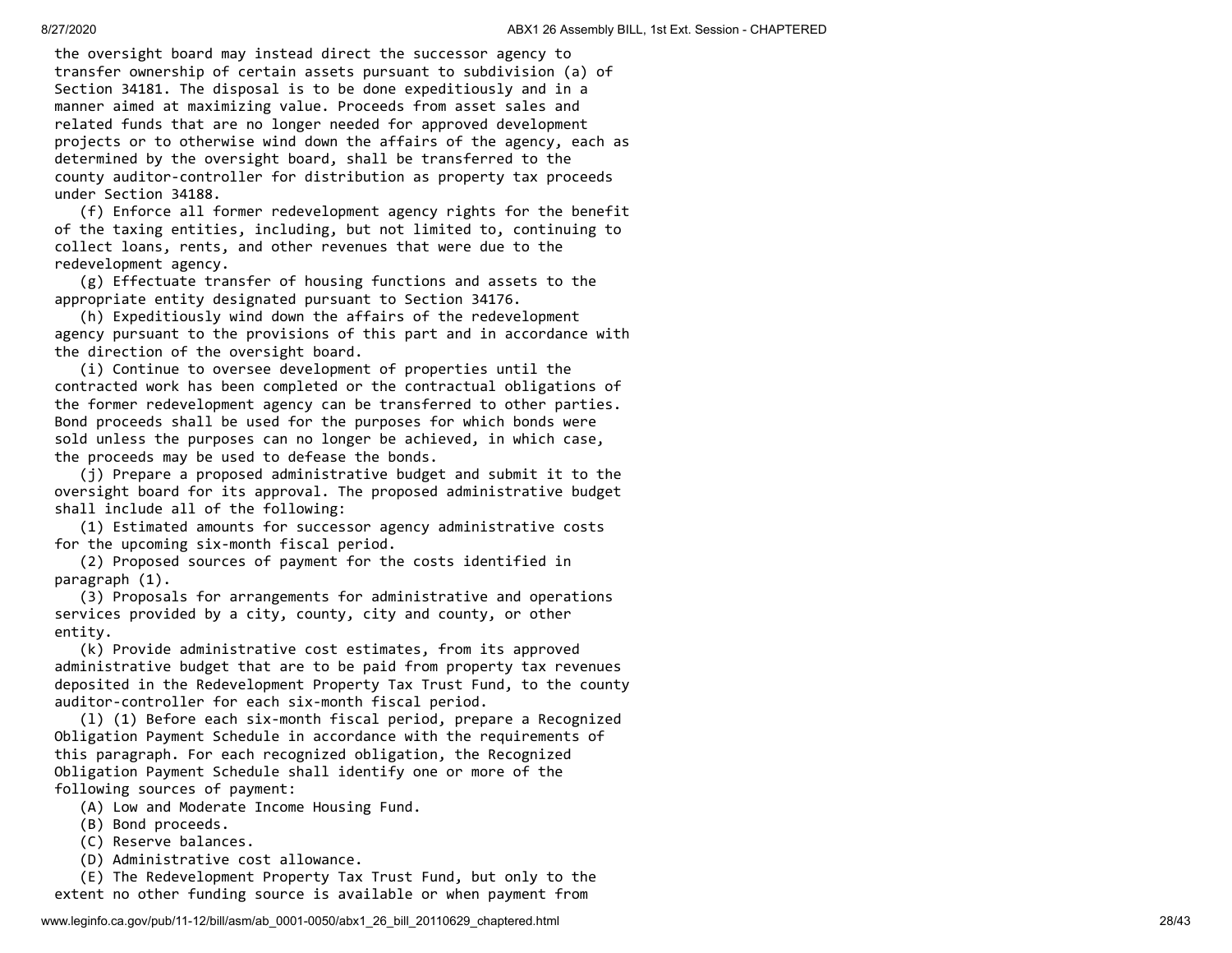the oversight board may instead direct the successor agency to transfer ownership of certain assets pursuant to subdivision (a) of Section 34181. The disposal is to be done expeditiously and in a manner aimed at maximizing value. Proceeds from asset sales and related funds that are no longer needed for approved development projects or to otherwise wind down the affairs of the agency, each as determined by the oversight board, shall be transferred to the county auditor-controller for distribution as property tax proceeds under Section 34188.

 (f) Enforce all former redevelopment agency rights for the benefit of the taxing entities, including, but not limited to, continuing to collect loans, rents, and other revenues that were due to the redevelopment agency.

 (g) Effectuate transfer of housing functions and assets to the appropriate entity designated pursuant to Section 34176.

 (h) Expeditiously wind down the affairs of the redevelopment agency pursuant to the provisions of this part and in accordance with the direction of the oversight board.

 (i) Continue to oversee development of properties until the contracted work has been completed or the contractual obligations of the former redevelopment agency can be transferred to other parties. Bond proceeds shall be used for the purposes for which bonds were sold unless the purposes can no longer be achieved, in which case, the proceeds may be used to defease the bonds.

 (j) Prepare a proposed administrative budget and submit it to the oversight board for its approval. The proposed administrative budget shall include all of the following:

 (1) Estimated amounts for successor agency administrative costs for the upcoming six-month fiscal period.

 (2) Proposed sources of payment for the costs identified in paragraph (1).

 (3) Proposals for arrangements for administrative and operations services provided by a city, county, city and county, or other entity.

 (k) Provide administrative cost estimates, from its approved administrative budget that are to be paid from property tax revenues deposited in the Redevelopment Property Tax Trust Fund, to the county auditor-controller for each six-month fiscal period.

 (l) (1) Before each six-month fiscal period, prepare a Recognized Obligation Payment Schedule in accordance with the requirements of this paragraph. For each recognized obligation, the Recognized Obligation Payment Schedule shall identify one or more of the following sources of payment:

(A) Low and Moderate Income Housing Fund.

- (B) Bond proceeds.
- (C) Reserve balances.

(D) Administrative cost allowance.

 (E) The Redevelopment Property Tax Trust Fund, but only to the extent no other funding source is available or when payment from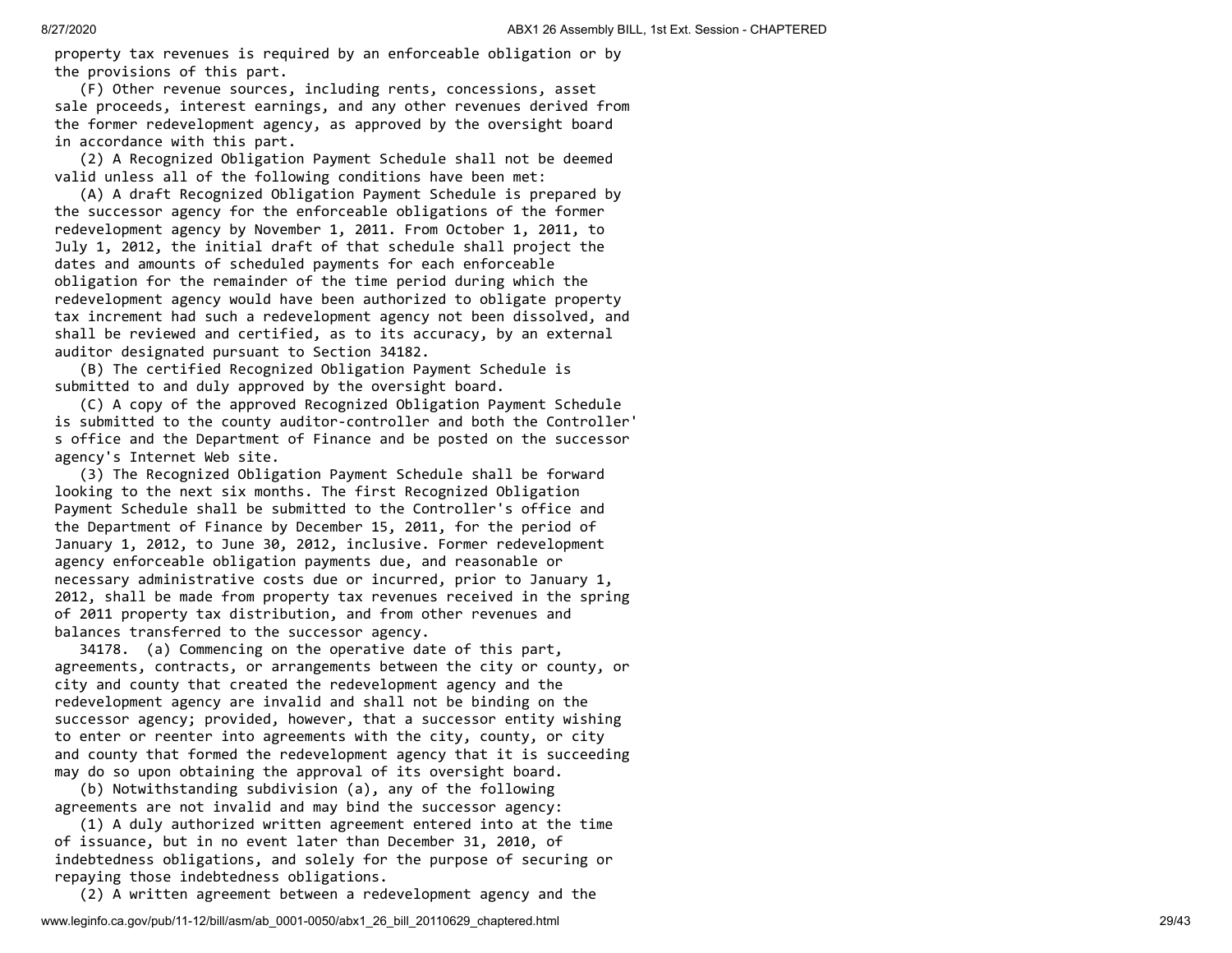property tax revenues is required by an enforceable obligation or by the provisions of this part.

 (F) Other revenue sources, including rents, concessions, asset sale proceeds, interest earnings, and any other revenues derived from the former redevelopment agency, as approved by the oversight board in accordance with this part.

 (2) A Recognized Obligation Payment Schedule shall not be deemed valid unless all of the following conditions have been met:

 (A) A draft Recognized Obligation Payment Schedule is prepared by the successor agency for the enforceable obligations of the former redevelopment agency by November 1, 2011. From October 1, 2011, to July 1, 2012, the initial draft of that schedule shall project the dates and amounts of scheduled payments for each enforceable obligation for the remainder of the time period during which the redevelopment agency would have been authorized to obligate property tax increment had such a redevelopment agency not been dissolved, and shall be reviewed and certified, as to its accuracy, by an external auditor designated pursuant to Section 34182.

 (B) The certified Recognized Obligation Payment Schedule is submitted to and duly approved by the oversight board.

 (C) A copy of the approved Recognized Obligation Payment Schedule is submitted to the county auditor-controller and both the Controller' s office and the Department of Finance and be posted on the successor agency's Internet Web site.

 (3) The Recognized Obligation Payment Schedule shall be forward looking to the next six months. The first Recognized Obligation Payment Schedule shall be submitted to the Controller's office and the Department of Finance by December 15, 2011, for the period of January 1, 2012, to June 30, 2012, inclusive. Former redevelopment agency enforceable obligation payments due, and reasonable or necessary administrative costs due or incurred, prior to January 1, 2012, shall be made from property tax revenues received in the spring of 2011 property tax distribution, and from other revenues and balances transferred to the successor agency.

 34178. (a) Commencing on the operative date of this part, agreements, contracts, or arrangements between the city or county, or city and county that created the redevelopment agency and the redevelopment agency are invalid and shall not be binding on the successor agency; provided, however, that a successor entity wishing to enter or reenter into agreements with the city, county, or city and county that formed the redevelopment agency that it is succeeding may do so upon obtaining the approval of its oversight board.

 (b) Notwithstanding subdivision (a), any of the following agreements are not invalid and may bind the successor agency:

 (1) A duly authorized written agreement entered into at the time of issuance, but in no event later than December 31, 2010, of indebtedness obligations, and solely for the purpose of securing or repaying those indebtedness obligations.

(2) A written agreement between a redevelopment agency and the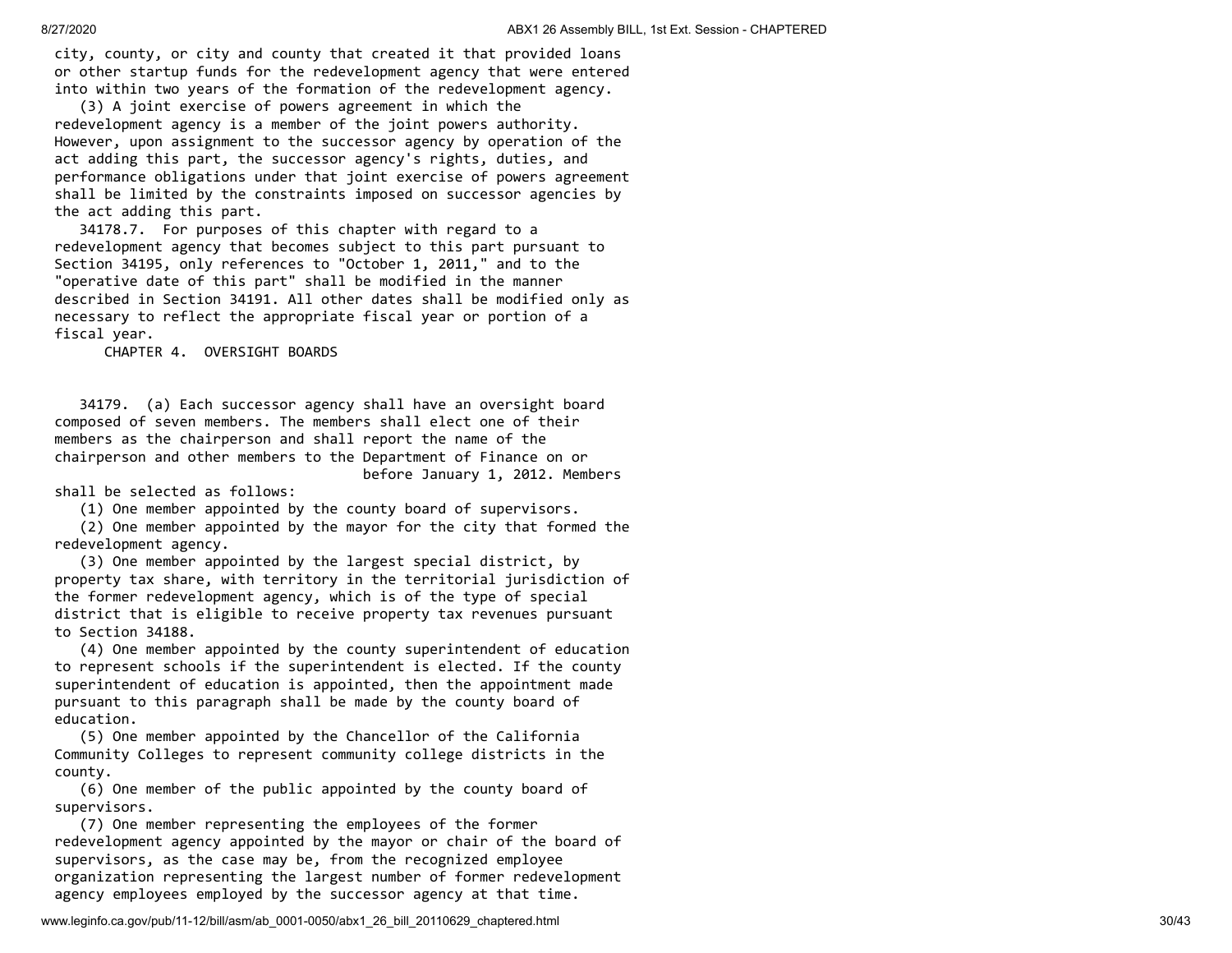city, county, or city and county that created it that provided loans or other startup funds for the redevelopment agency that were entered into within two years of the formation of the redevelopment agency.

 (3) A joint exercise of powers agreement in which the redevelopment agency is a member of the joint powers authority. However, upon assignment to the successor agency by operation of the act adding this part, the successor agency's rights, duties, and performance obligations under that joint exercise of powers agreement shall be limited by the constraints imposed on successor agencies by the act adding this part.

 34178.7. For purposes of this chapter with regard to a redevelopment agency that becomes subject to this part pursuant to Section 34195, only references to "October 1, 2011," and to the "operative date of this part" shall be modified in the manner described in Section 34191. All other dates shall be modified only as necessary to reflect the appropriate fiscal year or portion of a fiscal year.

CHAPTER 4. OVERSIGHT BOARDS

 34179. (a) Each successor agency shall have an oversight board composed of seven members. The members shall elect one of their members as the chairperson and shall report the name of the chairperson and other members to the Department of Finance on or before January 1, 2012. Members

shall be selected as follows:

(1) One member appointed by the county board of supervisors.

 (2) One member appointed by the mayor for the city that formed the redevelopment agency.

 (3) One member appointed by the largest special district, by property tax share, with territory in the territorial jurisdiction of the former redevelopment agency, which is of the type of special district that is eligible to receive property tax revenues pursuant to Section 34188.

 (4) One member appointed by the county superintendent of education to represent schools if the superintendent is elected. If the county superintendent of education is appointed, then the appointment made pursuant to this paragraph shall be made by the county board of education.

 (5) One member appointed by the Chancellor of the California Community Colleges to represent community college districts in the county.

 (6) One member of the public appointed by the county board of supervisors.

 (7) One member representing the employees of the former redevelopment agency appointed by the mayor or chair of the board of supervisors, as the case may be, from the recognized employee organization representing the largest number of former redevelopment agency employees employed by the successor agency at that time.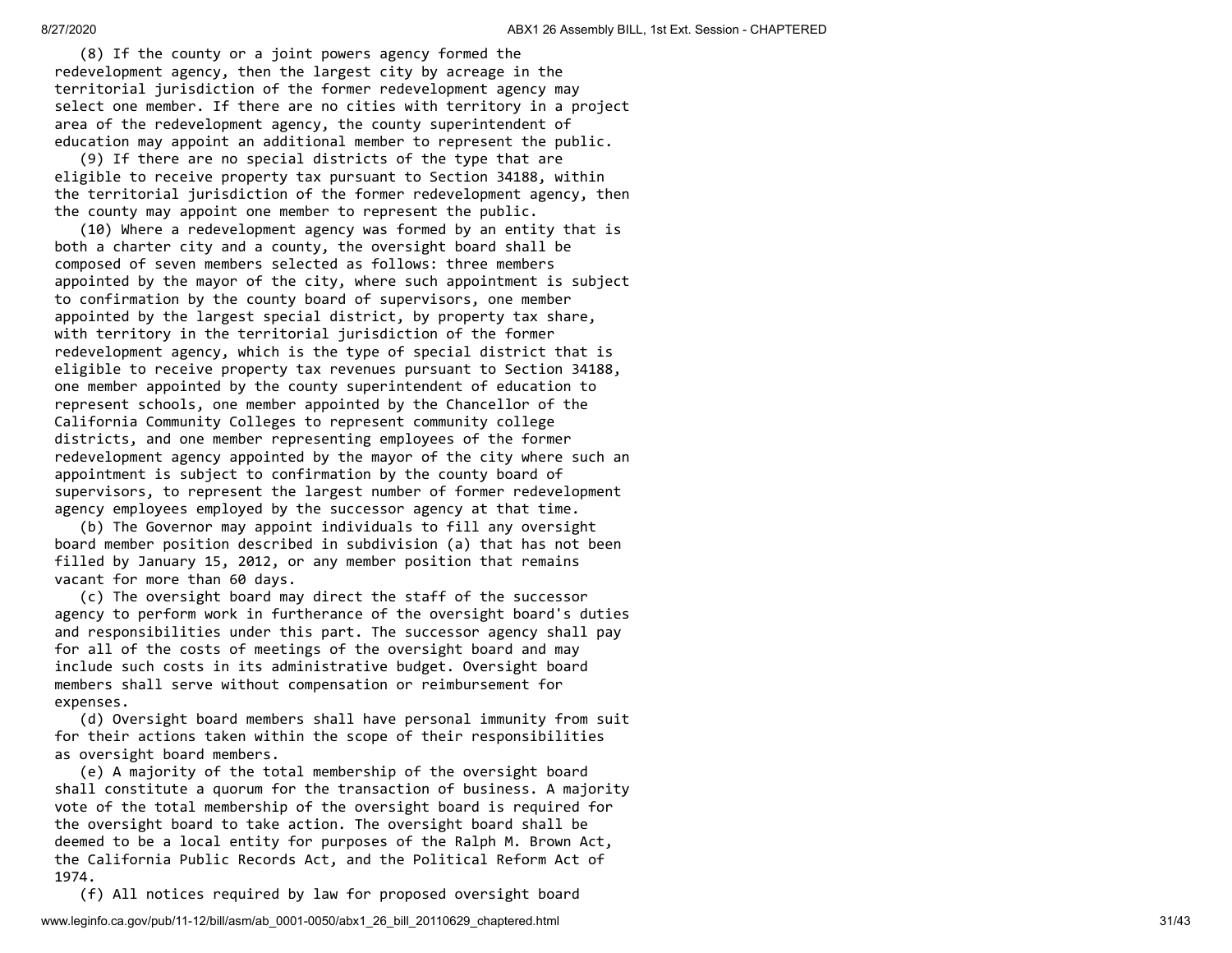(8) If the county or a joint powers agency formed the redevelopment agency, then the largest city by acreage in the territorial jurisdiction of the former redevelopment agency may select one member. If there are no cities with territory in a project area of the redevelopment agency, the county superintendent of education may appoint an additional member to represent the public.

 (9) If there are no special districts of the type that are eligible to receive property tax pursuant to Section 34188, within the territorial jurisdiction of the former redevelopment agency, then the county may appoint one member to represent the public.

 (10) Where a redevelopment agency was formed by an entity that is both a charter city and a county, the oversight board shall be composed of seven members selected as follows: three members appointed by the mayor of the city, where such appointment is subject to confirmation by the county board of supervisors, one member appointed by the largest special district, by property tax share, with territory in the territorial jurisdiction of the former redevelopment agency, which is the type of special district that is eligible to receive property tax revenues pursuant to Section 34188, one member appointed by the county superintendent of education to represent schools, one member appointed by the Chancellor of the California Community Colleges to represent community college districts, and one member representing employees of the former redevelopment agency appointed by the mayor of the city where such an appointment is subject to confirmation by the county board of supervisors, to represent the largest number of former redevelopment agency employees employed by the successor agency at that time.

 (b) The Governor may appoint individuals to fill any oversight board member position described in subdivision (a) that has not been filled by January 15, 2012, or any member position that remains vacant for more than 60 days.

 (c) The oversight board may direct the staff of the successor agency to perform work in furtherance of the oversight board's duties and responsibilities under this part. The successor agency shall pay for all of the costs of meetings of the oversight board and may include such costs in its administrative budget. Oversight board members shall serve without compensation or reimbursement for expenses.

 (d) Oversight board members shall have personal immunity from suit for their actions taken within the scope of their responsibilities as oversight board members.

 (e) A majority of the total membership of the oversight board shall constitute a quorum for the transaction of business. A majority vote of the total membership of the oversight board is required for the oversight board to take action. The oversight board shall be deemed to be a local entity for purposes of the Ralph M. Brown Act, the California Public Records Act, and the Political Reform Act of 1974.

(f) All notices required by law for proposed oversight board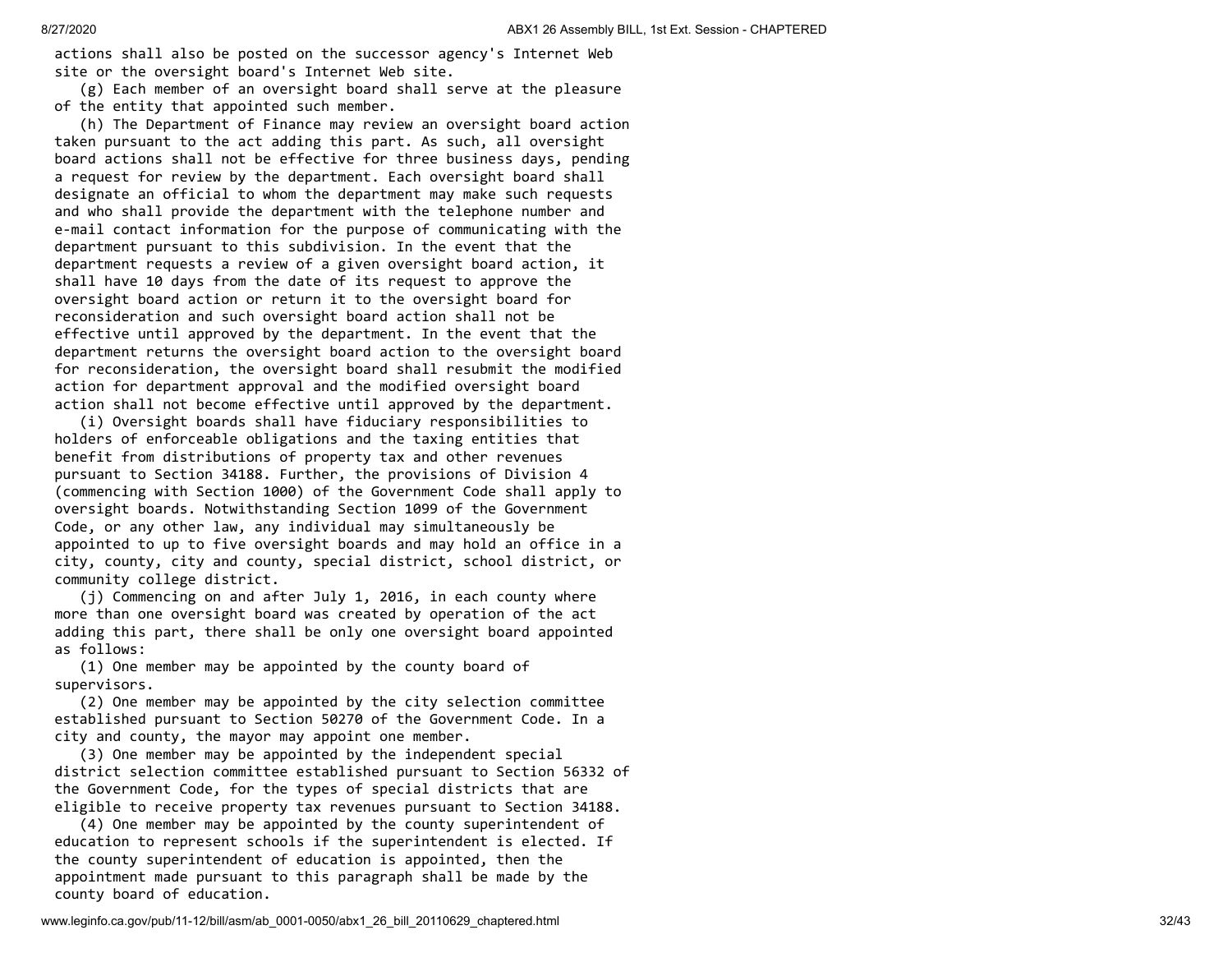actions shall also be posted on the successor agency's Internet Web site or the oversight board's Internet Web site.

 (g) Each member of an oversight board shall serve at the pleasure of the entity that appointed such member.

 (h) The Department of Finance may review an oversight board action taken pursuant to the act adding this part. As such, all oversight board actions shall not be effective for three business days, pending a request for review by the department. Each oversight board shall designate an official to whom the department may make such requests and who shall provide the department with the telephone number and e-mail contact information for the purpose of communicating with the department pursuant to this subdivision. In the event that the department requests a review of a given oversight board action, it shall have 10 days from the date of its request to approve the oversight board action or return it to the oversight board for reconsideration and such oversight board action shall not be effective until approved by the department. In the event that the department returns the oversight board action to the oversight board for reconsideration, the oversight board shall resubmit the modified action for department approval and the modified oversight board action shall not become effective until approved by the department.

 (i) Oversight boards shall have fiduciary responsibilities to holders of enforceable obligations and the taxing entities that benefit from distributions of property tax and other revenues pursuant to Section 34188. Further, the provisions of Division 4 (commencing with Section 1000) of the Government Code shall apply to oversight boards. Notwithstanding Section 1099 of the Government Code, or any other law, any individual may simultaneously be appointed to up to five oversight boards and may hold an office in a city, county, city and county, special district, school district, or community college district.

 (j) Commencing on and after July 1, 2016, in each county where more than one oversight board was created by operation of the act adding this part, there shall be only one oversight board appointed as follows:

 (1) One member may be appointed by the county board of supervisors.

 (2) One member may be appointed by the city selection committee established pursuant to Section 50270 of the Government Code. In a city and county, the mayor may appoint one member.

 (3) One member may be appointed by the independent special district selection committee established pursuant to Section 56332 of the Government Code, for the types of special districts that are eligible to receive property tax revenues pursuant to Section 34188.

 (4) One member may be appointed by the county superintendent of education to represent schools if the superintendent is elected. If the county superintendent of education is appointed, then the appointment made pursuant to this paragraph shall be made by the county board of education.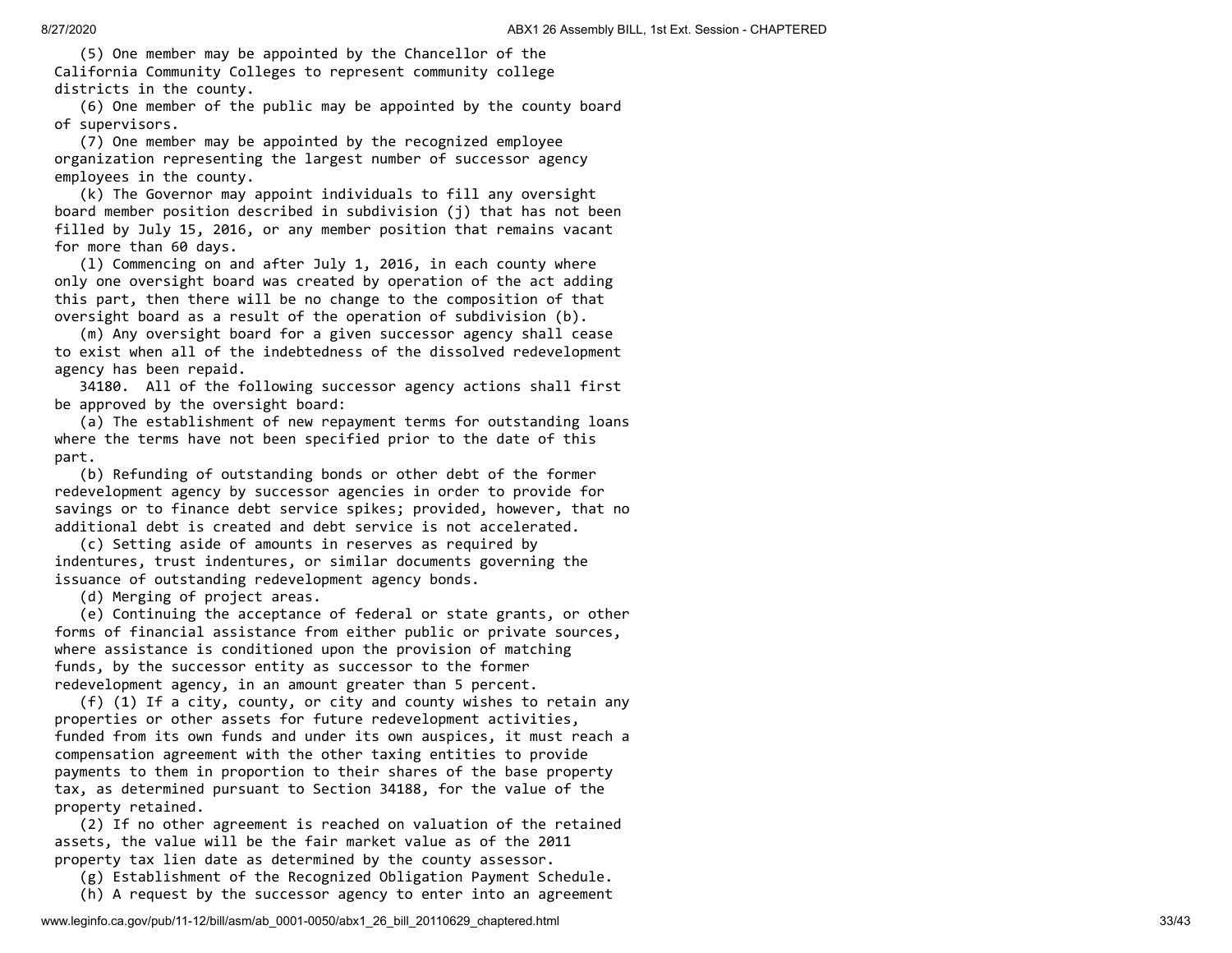(5) One member may be appointed by the Chancellor of the California Community Colleges to represent community college districts in the county.

 (6) One member of the public may be appointed by the county board of supervisors.

 (7) One member may be appointed by the recognized employee organization representing the largest number of successor agency employees in the county.

 (k) The Governor may appoint individuals to fill any oversight board member position described in subdivision (j) that has not been filled by July 15, 2016, or any member position that remains vacant for more than 60 days.

 (l) Commencing on and after July 1, 2016, in each county where only one oversight board was created by operation of the act adding this part, then there will be no change to the composition of that oversight board as a result of the operation of subdivision (b).

 (m) Any oversight board for a given successor agency shall cease to exist when all of the indebtedness of the dissolved redevelopment agency has been repaid.

 34180. All of the following successor agency actions shall first be approved by the oversight board:

 (a) The establishment of new repayment terms for outstanding loans where the terms have not been specified prior to the date of this part.

 (b) Refunding of outstanding bonds or other debt of the former redevelopment agency by successor agencies in order to provide for savings or to finance debt service spikes; provided, however, that no additional debt is created and debt service is not accelerated.

 (c) Setting aside of amounts in reserves as required by indentures, trust indentures, or similar documents governing the issuance of outstanding redevelopment agency bonds.

(d) Merging of project areas.

 (e) Continuing the acceptance of federal or state grants, or other forms of financial assistance from either public or private sources, where assistance is conditioned upon the provision of matching funds, by the successor entity as successor to the former redevelopment agency, in an amount greater than 5 percent.

 (f) (1) If a city, county, or city and county wishes to retain any properties or other assets for future redevelopment activities, funded from its own funds and under its own auspices, it must reach a compensation agreement with the other taxing entities to provide payments to them in proportion to their shares of the base property tax, as determined pursuant to Section 34188, for the value of the property retained.

 (2) If no other agreement is reached on valuation of the retained assets, the value will be the fair market value as of the 2011 property tax lien date as determined by the county assessor.

(g) Establishment of the Recognized Obligation Payment Schedule.

(h) A request by the successor agency to enter into an agreement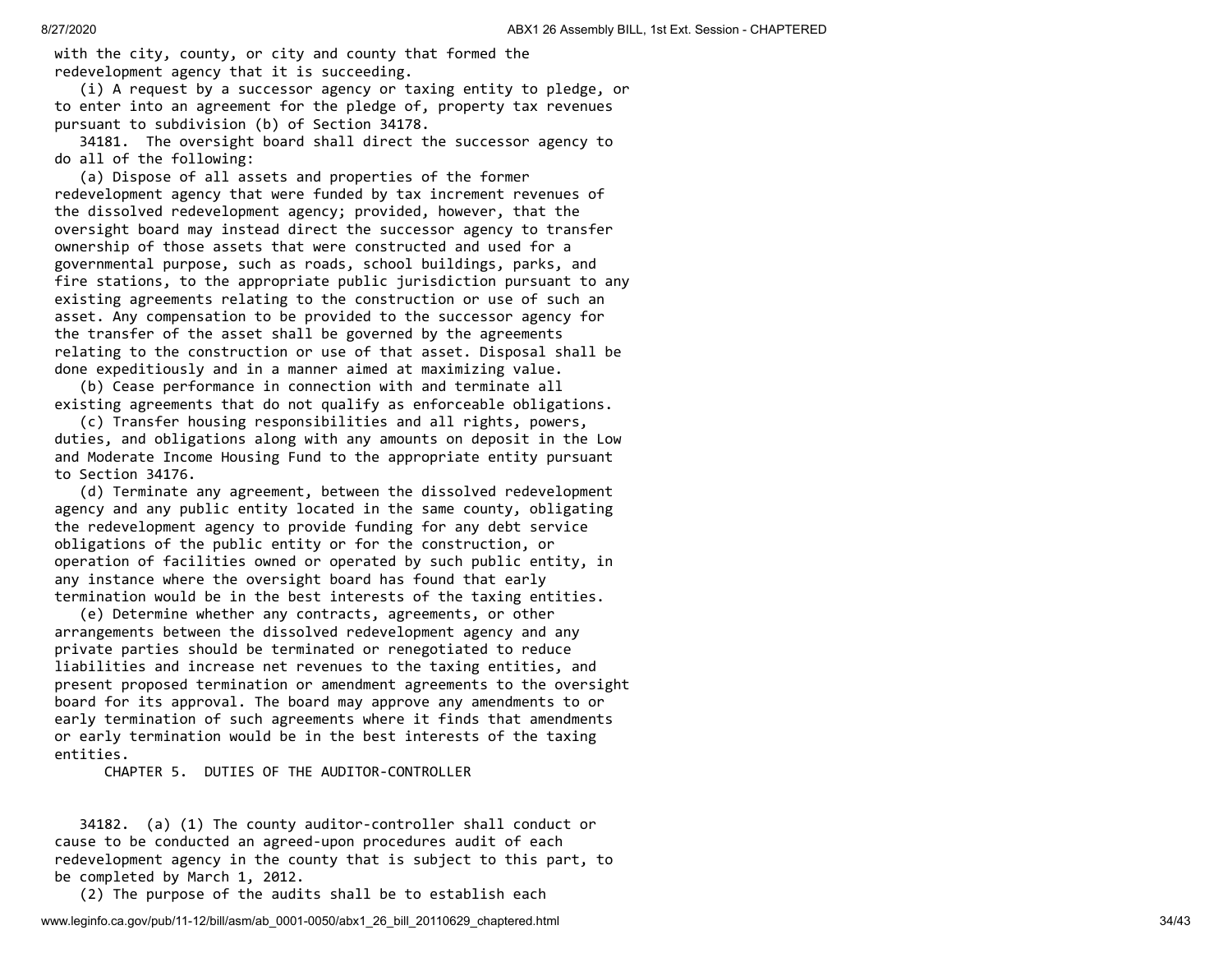with the city, county, or city and county that formed the redevelopment agency that it is succeeding.

 (i) A request by a successor agency or taxing entity to pledge, or to enter into an agreement for the pledge of, property tax revenues pursuant to subdivision (b) of Section 34178.

 34181. The oversight board shall direct the successor agency to do all of the following:

 (a) Dispose of all assets and properties of the former redevelopment agency that were funded by tax increment revenues of the dissolved redevelopment agency; provided, however, that the oversight board may instead direct the successor agency to transfer ownership of those assets that were constructed and used for a governmental purpose, such as roads, school buildings, parks, and fire stations, to the appropriate public jurisdiction pursuant to any existing agreements relating to the construction or use of such an asset. Any compensation to be provided to the successor agency for the transfer of the asset shall be governed by the agreements relating to the construction or use of that asset. Disposal shall be done expeditiously and in a manner aimed at maximizing value.

 (b) Cease performance in connection with and terminate all existing agreements that do not qualify as enforceable obligations.

 (c) Transfer housing responsibilities and all rights, powers, duties, and obligations along with any amounts on deposit in the Low and Moderate Income Housing Fund to the appropriate entity pursuant to Section 34176.

 (d) Terminate any agreement, between the dissolved redevelopment agency and any public entity located in the same county, obligating the redevelopment agency to provide funding for any debt service obligations of the public entity or for the construction, or operation of facilities owned or operated by such public entity, in any instance where the oversight board has found that early termination would be in the best interests of the taxing entities.

 (e) Determine whether any contracts, agreements, or other arrangements between the dissolved redevelopment agency and any private parties should be terminated or renegotiated to reduce liabilities and increase net revenues to the taxing entities, and present proposed termination or amendment agreements to the oversight board for its approval. The board may approve any amendments to or early termination of such agreements where it finds that amendments or early termination would be in the best interests of the taxing entities.

CHAPTER 5. DUTIES OF THE AUDITOR-CONTROLLER

 34182. (a) (1) The county auditor-controller shall conduct or cause to be conducted an agreed-upon procedures audit of each redevelopment agency in the county that is subject to this part, to be completed by March 1, 2012.

(2) The purpose of the audits shall be to establish each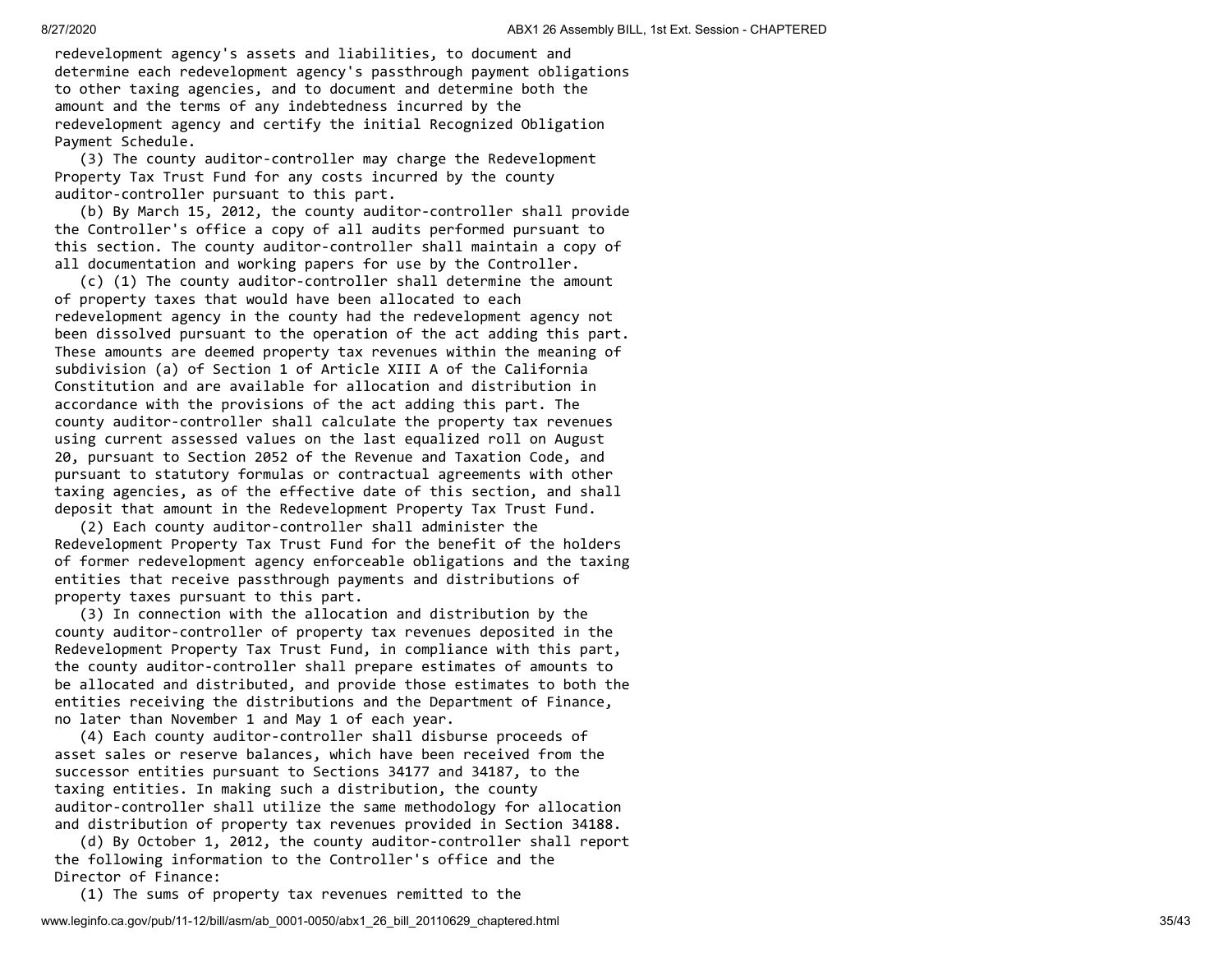redevelopment agency's assets and liabilities, to document and determine each redevelopment agency's passthrough payment obligations to other taxing agencies, and to document and determine both the amount and the terms of any indebtedness incurred by the redevelopment agency and certify the initial Recognized Obligation Payment Schedule.

 (3) The county auditor-controller may charge the Redevelopment Property Tax Trust Fund for any costs incurred by the county auditor-controller pursuant to this part.

 (b) By March 15, 2012, the county auditor-controller shall provide the Controller's office a copy of all audits performed pursuant to this section. The county auditor-controller shall maintain a copy of all documentation and working papers for use by the Controller.

 (c) (1) The county auditor-controller shall determine the amount of property taxes that would have been allocated to each redevelopment agency in the county had the redevelopment agency not been dissolved pursuant to the operation of the act adding this part. These amounts are deemed property tax revenues within the meaning of subdivision (a) of Section 1 of Article XIII A of the California Constitution and are available for allocation and distribution in accordance with the provisions of the act adding this part. The county auditor-controller shall calculate the property tax revenues using current assessed values on the last equalized roll on August 20, pursuant to Section 2052 of the Revenue and Taxation Code, and pursuant to statutory formulas or contractual agreements with other taxing agencies, as of the effective date of this section, and shall deposit that amount in the Redevelopment Property Tax Trust Fund.

 (2) Each county auditor-controller shall administer the Redevelopment Property Tax Trust Fund for the benefit of the holders of former redevelopment agency enforceable obligations and the taxing entities that receive passthrough payments and distributions of property taxes pursuant to this part.

 (3) In connection with the allocation and distribution by the county auditor-controller of property tax revenues deposited in the Redevelopment Property Tax Trust Fund, in compliance with this part, the county auditor-controller shall prepare estimates of amounts to be allocated and distributed, and provide those estimates to both the entities receiving the distributions and the Department of Finance, no later than November 1 and May 1 of each year.

 (4) Each county auditor-controller shall disburse proceeds of asset sales or reserve balances, which have been received from the successor entities pursuant to Sections 34177 and 34187, to the taxing entities. In making such a distribution, the county auditor-controller shall utilize the same methodology for allocation and distribution of property tax revenues provided in Section 34188.

 (d) By October 1, 2012, the county auditor-controller shall report the following information to the Controller's office and the Director of Finance:

(1) The sums of property tax revenues remitted to the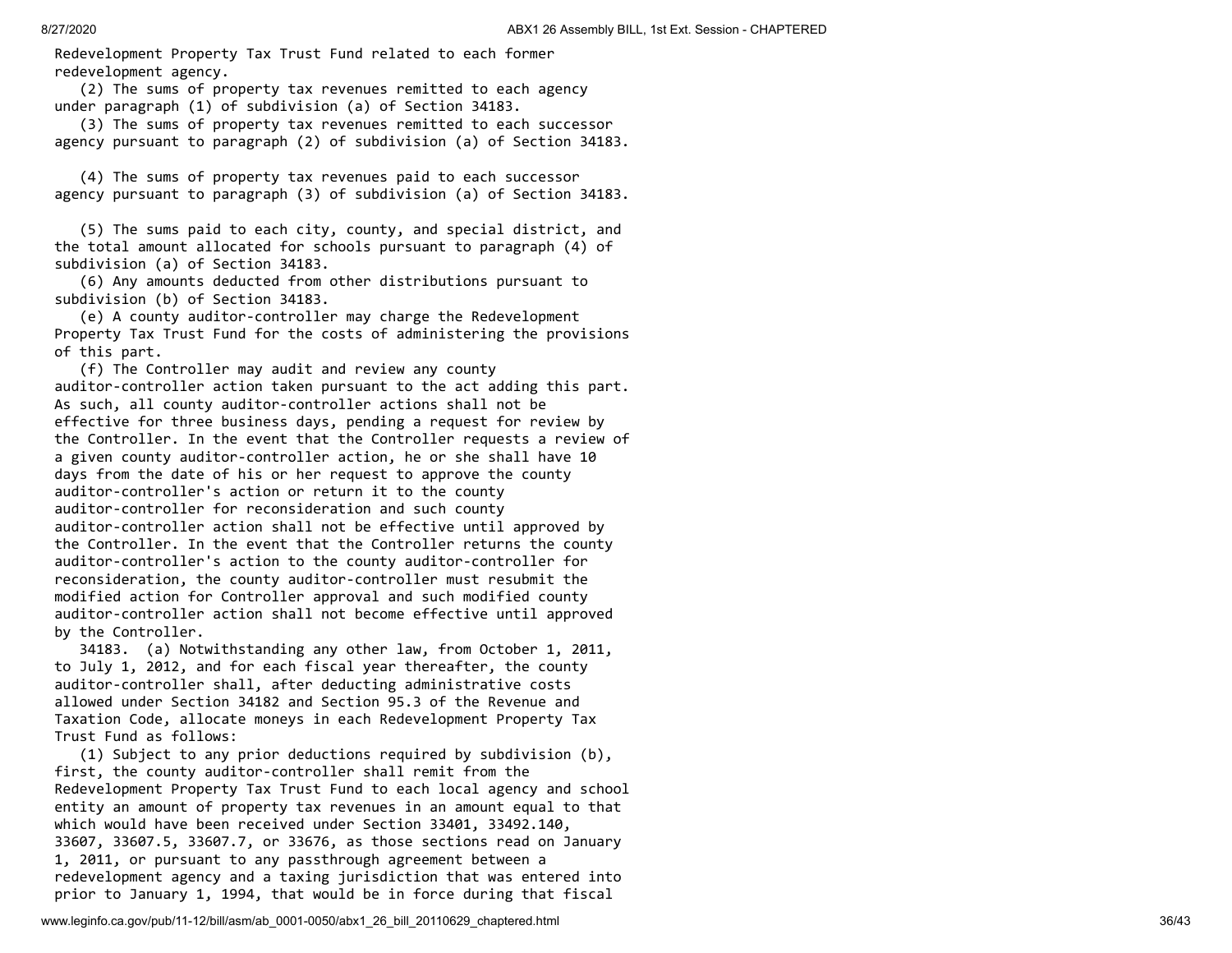Redevelopment Property Tax Trust Fund related to each former redevelopment agency.

 (2) The sums of property tax revenues remitted to each agency under paragraph (1) of subdivision (a) of Section 34183.

 (3) The sums of property tax revenues remitted to each successor agency pursuant to paragraph (2) of subdivision (a) of Section 34183.

 (4) The sums of property tax revenues paid to each successor agency pursuant to paragraph (3) of subdivision (a) of Section 34183.

 (5) The sums paid to each city, county, and special district, and the total amount allocated for schools pursuant to paragraph (4) of subdivision (a) of Section 34183.

 (6) Any amounts deducted from other distributions pursuant to subdivision (b) of Section 34183.

 (e) A county auditor-controller may charge the Redevelopment Property Tax Trust Fund for the costs of administering the provisions of this part.

 (f) The Controller may audit and review any county auditor-controller action taken pursuant to the act adding this part. As such, all county auditor-controller actions shall not be effective for three business days, pending a request for review by the Controller. In the event that the Controller requests a review of a given county auditor-controller action, he or she shall have 10 days from the date of his or her request to approve the county auditor-controller's action or return it to the county auditor-controller for reconsideration and such county auditor-controller action shall not be effective until approved by the Controller. In the event that the Controller returns the county auditor-controller's action to the county auditor-controller for reconsideration, the county auditor-controller must resubmit the modified action for Controller approval and such modified county auditor-controller action shall not become effective until approved by the Controller.

 34183. (a) Notwithstanding any other law, from October 1, 2011, to July 1, 2012, and for each fiscal year thereafter, the county auditor-controller shall, after deducting administrative costs allowed under Section 34182 and Section 95.3 of the Revenue and Taxation Code, allocate moneys in each Redevelopment Property Tax Trust Fund as follows:

 (1) Subject to any prior deductions required by subdivision (b), first, the county auditor-controller shall remit from the Redevelopment Property Tax Trust Fund to each local agency and school entity an amount of property tax revenues in an amount equal to that which would have been received under Section 33401, 33492.140, 33607, 33607.5, 33607.7, or 33676, as those sections read on January 1, 2011, or pursuant to any passthrough agreement between a redevelopment agency and a taxing jurisdiction that was entered into prior to January 1, 1994, that would be in force during that fiscal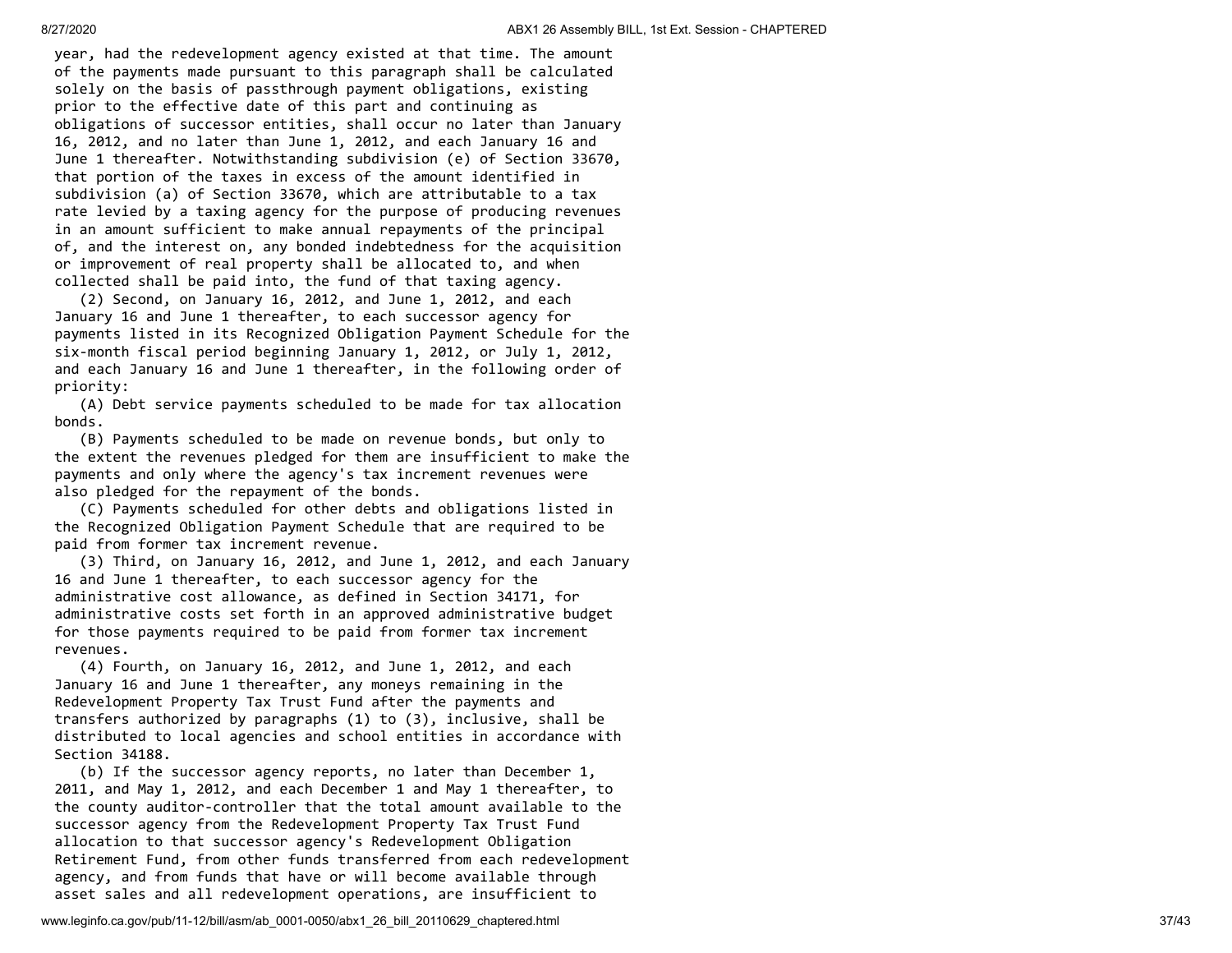year, had the redevelopment agency existed at that time. The amount of the payments made pursuant to this paragraph shall be calculated solely on the basis of passthrough payment obligations, existing prior to the effective date of this part and continuing as obligations of successor entities, shall occur no later than January 16, 2012, and no later than June 1, 2012, and each January 16 and June 1 thereafter. Notwithstanding subdivision (e) of Section 33670, that portion of the taxes in excess of the amount identified in subdivision (a) of Section 33670, which are attributable to a tax rate levied by a taxing agency for the purpose of producing revenues in an amount sufficient to make annual repayments of the principal of, and the interest on, any bonded indebtedness for the acquisition or improvement of real property shall be allocated to, and when collected shall be paid into, the fund of that taxing agency.

 (2) Second, on January 16, 2012, and June 1, 2012, and each January 16 and June 1 thereafter, to each successor agency for payments listed in its Recognized Obligation Payment Schedule for the six-month fiscal period beginning January 1, 2012, or July 1, 2012, and each January 16 and June 1 thereafter, in the following order of priority:

 (A) Debt service payments scheduled to be made for tax allocation bonds.

 (B) Payments scheduled to be made on revenue bonds, but only to the extent the revenues pledged for them are insufficient to make the payments and only where the agency's tax increment revenues were also pledged for the repayment of the bonds.

 (C) Payments scheduled for other debts and obligations listed in the Recognized Obligation Payment Schedule that are required to be paid from former tax increment revenue.

 (3) Third, on January 16, 2012, and June 1, 2012, and each January 16 and June 1 thereafter, to each successor agency for the administrative cost allowance, as defined in Section 34171, for administrative costs set forth in an approved administrative budget for those payments required to be paid from former tax increment revenues.

 (4) Fourth, on January 16, 2012, and June 1, 2012, and each January 16 and June 1 thereafter, any moneys remaining in the Redevelopment Property Tax Trust Fund after the payments and transfers authorized by paragraphs (1) to (3), inclusive, shall be distributed to local agencies and school entities in accordance with Section 34188.

 (b) If the successor agency reports, no later than December 1, 2011, and May 1, 2012, and each December 1 and May 1 thereafter, to the county auditor-controller that the total amount available to the successor agency from the Redevelopment Property Tax Trust Fund allocation to that successor agency's Redevelopment Obligation Retirement Fund, from other funds transferred from each redevelopment agency, and from funds that have or will become available through asset sales and all redevelopment operations, are insufficient to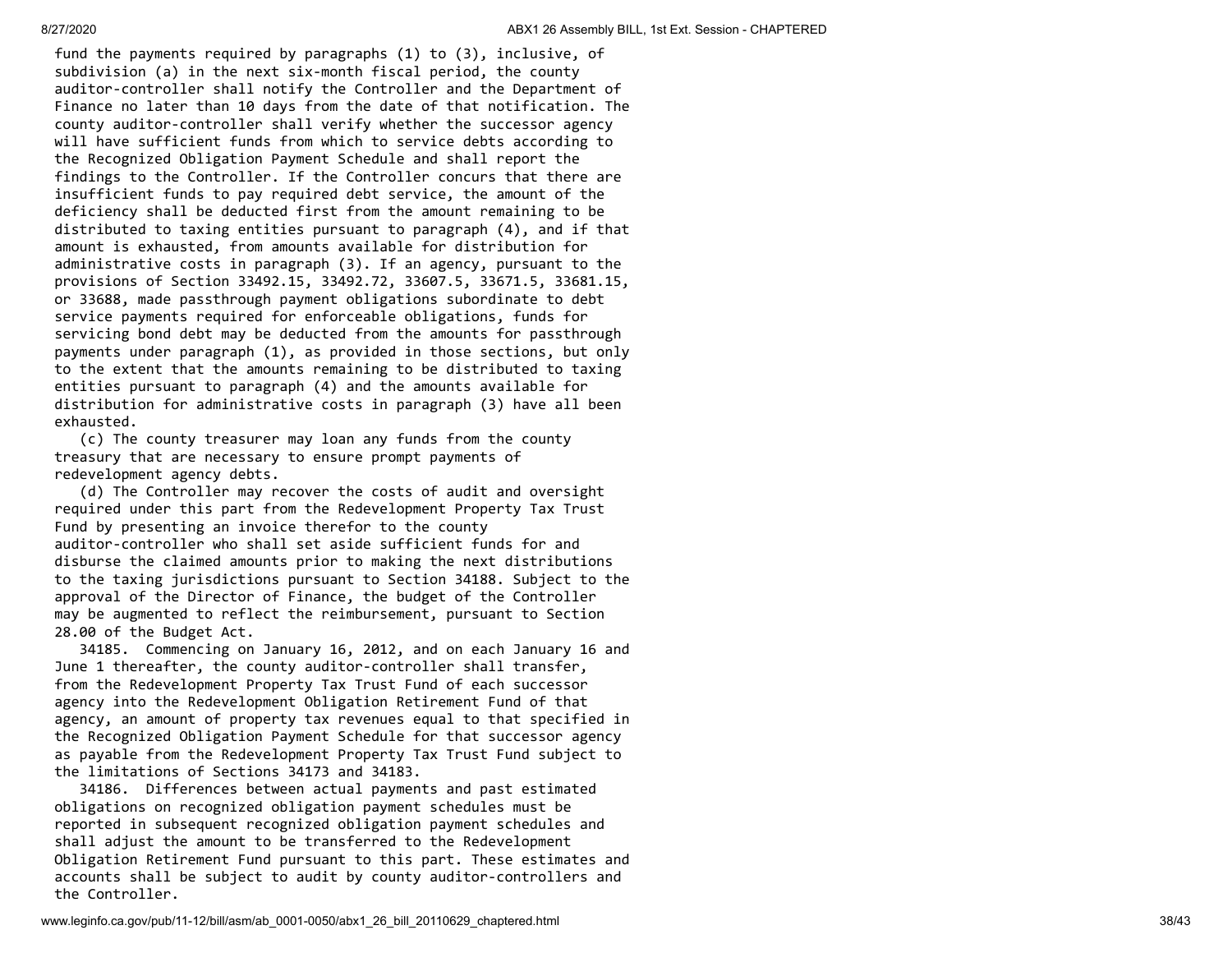fund the payments required by paragraphs (1) to (3), inclusive, of subdivision (a) in the next six-month fiscal period, the county auditor-controller shall notify the Controller and the Department of Finance no later than 10 days from the date of that notification. The county auditor-controller shall verify whether the successor agency will have sufficient funds from which to service debts according to the Recognized Obligation Payment Schedule and shall report the findings to the Controller. If the Controller concurs that there are insufficient funds to pay required debt service, the amount of the deficiency shall be deducted first from the amount remaining to be distributed to taxing entities pursuant to paragraph (4), and if that amount is exhausted, from amounts available for distribution for administrative costs in paragraph (3). If an agency, pursuant to the provisions of Section 33492.15, 33492.72, 33607.5, 33671.5, 33681.15, or 33688, made passthrough payment obligations subordinate to debt service payments required for enforceable obligations, funds for servicing bond debt may be deducted from the amounts for passthrough payments under paragraph (1), as provided in those sections, but only to the extent that the amounts remaining to be distributed to taxing entities pursuant to paragraph (4) and the amounts available for distribution for administrative costs in paragraph (3) have all been exhausted.

 (c) The county treasurer may loan any funds from the county treasury that are necessary to ensure prompt payments of redevelopment agency debts.

 (d) The Controller may recover the costs of audit and oversight required under this part from the Redevelopment Property Tax Trust Fund by presenting an invoice therefor to the county auditor-controller who shall set aside sufficient funds for and disburse the claimed amounts prior to making the next distributions to the taxing jurisdictions pursuant to Section 34188. Subject to the approval of the Director of Finance, the budget of the Controller may be augmented to reflect the reimbursement, pursuant to Section 28.00 of the Budget Act.

 34185. Commencing on January 16, 2012, and on each January 16 and June 1 thereafter, the county auditor-controller shall transfer, from the Redevelopment Property Tax Trust Fund of each successor agency into the Redevelopment Obligation Retirement Fund of that agency, an amount of property tax revenues equal to that specified in the Recognized Obligation Payment Schedule for that successor agency as payable from the Redevelopment Property Tax Trust Fund subject to the limitations of Sections 34173 and 34183.

 34186. Differences between actual payments and past estimated obligations on recognized obligation payment schedules must be reported in subsequent recognized obligation payment schedules and shall adjust the amount to be transferred to the Redevelopment Obligation Retirement Fund pursuant to this part. These estimates and accounts shall be subject to audit by county auditor-controllers and the Controller.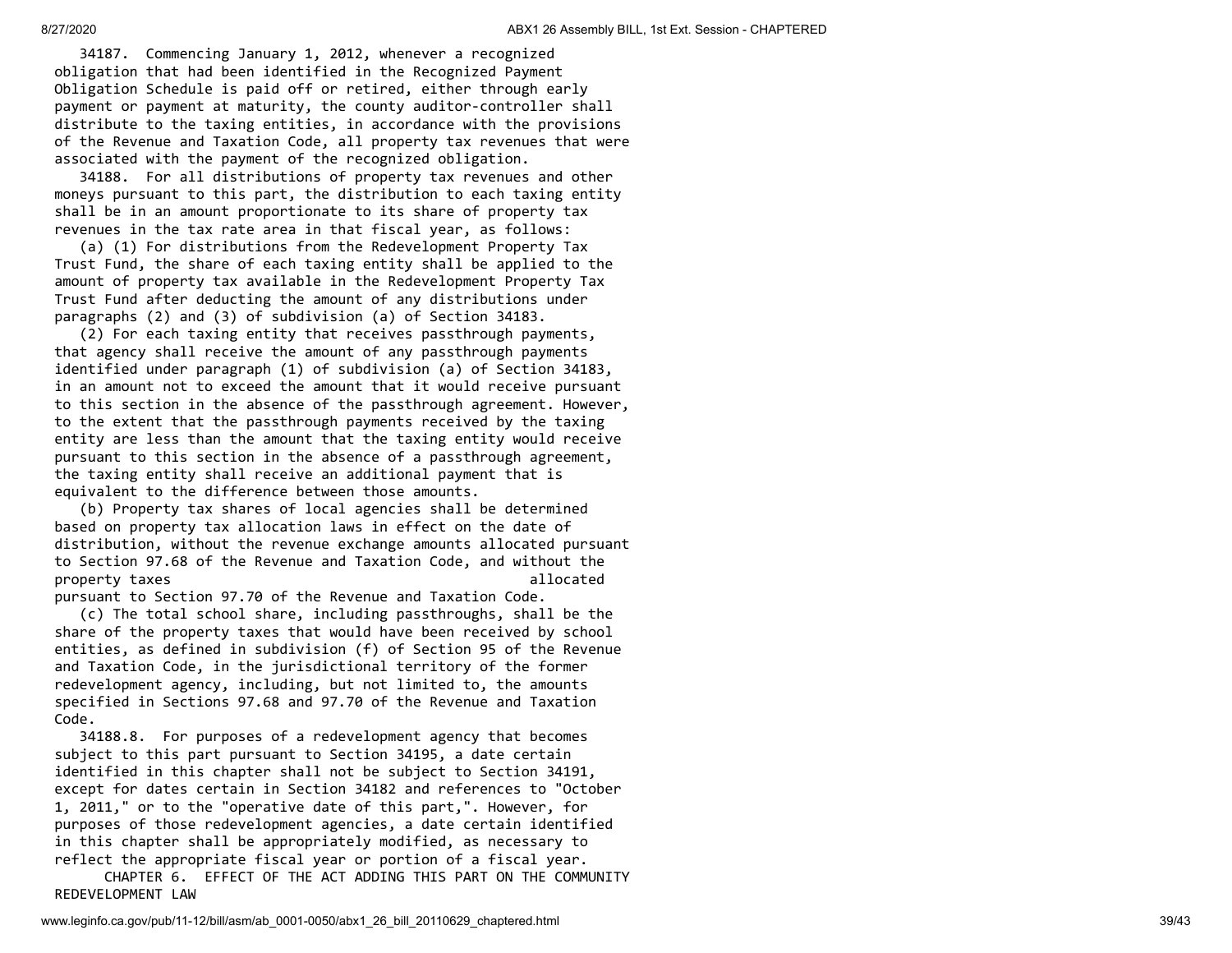34187. Commencing January 1, 2012, whenever a recognized obligation that had been identified in the Recognized Payment Obligation Schedule is paid off or retired, either through early payment or payment at maturity, the county auditor-controller shall distribute to the taxing entities, in accordance with the provisions of the Revenue and Taxation Code, all property tax revenues that were associated with the payment of the recognized obligation.

 34188. For all distributions of property tax revenues and other moneys pursuant to this part, the distribution to each taxing entity shall be in an amount proportionate to its share of property tax revenues in the tax rate area in that fiscal year, as follows:

 (a) (1) For distributions from the Redevelopment Property Tax Trust Fund, the share of each taxing entity shall be applied to the amount of property tax available in the Redevelopment Property Tax Trust Fund after deducting the amount of any distributions under paragraphs (2) and (3) of subdivision (a) of Section 34183.

 (2) For each taxing entity that receives passthrough payments, that agency shall receive the amount of any passthrough payments identified under paragraph (1) of subdivision (a) of Section 34183, in an amount not to exceed the amount that it would receive pursuant to this section in the absence of the passthrough agreement. However, to the extent that the passthrough payments received by the taxing entity are less than the amount that the taxing entity would receive pursuant to this section in the absence of a passthrough agreement, the taxing entity shall receive an additional payment that is equivalent to the difference between those amounts.

 (b) Property tax shares of local agencies shall be determined based on property tax allocation laws in effect on the date of distribution, without the revenue exchange amounts allocated pursuant to Section 97.68 of the Revenue and Taxation Code, and without the property taxes allocated a set of the set of the set of the set of the set of the set of the set of the set of the set of the set of the set of the set of the set of the set of the set of the set of the set of the set of t pursuant to Section 97.70 of the Revenue and Taxation Code.

 (c) The total school share, including passthroughs, shall be the share of the property taxes that would have been received by school entities, as defined in subdivision (f) of Section 95 of the Revenue and Taxation Code, in the jurisdictional territory of the former redevelopment agency, including, but not limited to, the amounts specified in Sections 97.68 and 97.70 of the Revenue and Taxation Code.

 34188.8. For purposes of a redevelopment agency that becomes subject to this part pursuant to Section 34195, a date certain identified in this chapter shall not be subject to Section 34191, except for dates certain in Section 34182 and references to "October 1, 2011," or to the "operative date of this part,". However, for purposes of those redevelopment agencies, a date certain identified in this chapter shall be appropriately modified, as necessary to reflect the appropriate fiscal year or portion of a fiscal year.

 CHAPTER 6. EFFECT OF THE ACT ADDING THIS PART ON THE COMMUNITY REDEVELOPMENT LAW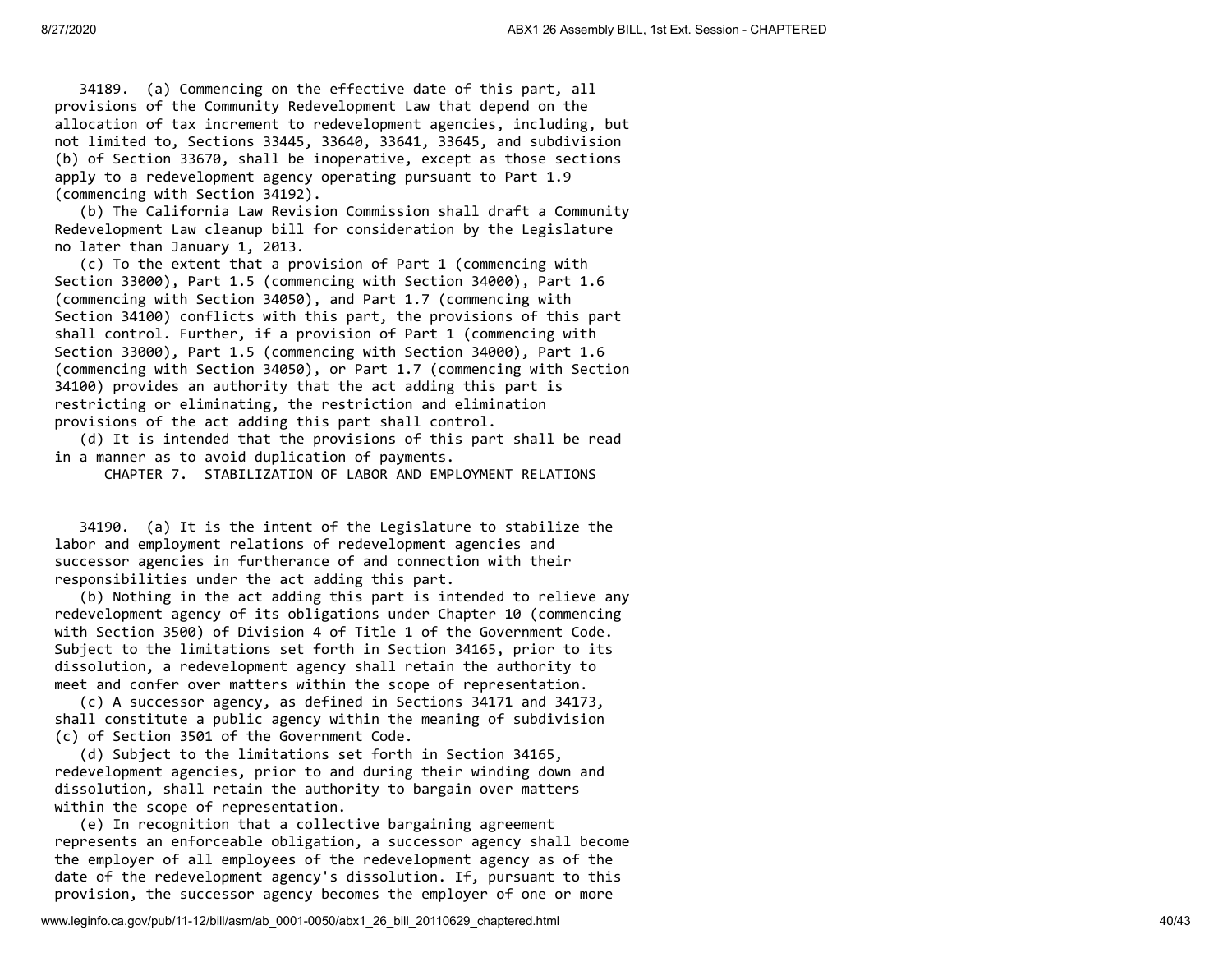34189. (a) Commencing on the effective date of this part, all provisions of the Community Redevelopment Law that depend on the allocation of tax increment to redevelopment agencies, including, but not limited to, Sections 33445, 33640, 33641, 33645, and subdivision (b) of Section 33670, shall be inoperative, except as those sections apply to a redevelopment agency operating pursuant to Part 1.9 (commencing with Section 34192).

 (b) The California Law Revision Commission shall draft a Community Redevelopment Law cleanup bill for consideration by the Legislature no later than January 1, 2013.

 (c) To the extent that a provision of Part 1 (commencing with Section 33000), Part 1.5 (commencing with Section 34000), Part 1.6 (commencing with Section 34050), and Part 1.7 (commencing with Section 34100) conflicts with this part, the provisions of this part shall control. Further, if a provision of Part 1 (commencing with Section 33000), Part 1.5 (commencing with Section 34000), Part 1.6 (commencing with Section 34050), or Part 1.7 (commencing with Section 34100) provides an authority that the act adding this part is restricting or eliminating, the restriction and elimination provisions of the act adding this part shall control.

 (d) It is intended that the provisions of this part shall be read in a manner as to avoid duplication of payments.

CHAPTER 7. STABILIZATION OF LABOR AND EMPLOYMENT RELATIONS

 34190. (a) It is the intent of the Legislature to stabilize the labor and employment relations of redevelopment agencies and successor agencies in furtherance of and connection with their responsibilities under the act adding this part.

 (b) Nothing in the act adding this part is intended to relieve any redevelopment agency of its obligations under Chapter 10 (commencing with Section 3500) of Division 4 of Title 1 of the Government Code. Subject to the limitations set forth in Section 34165, prior to its dissolution, a redevelopment agency shall retain the authority to meet and confer over matters within the scope of representation.

 (c) A successor agency, as defined in Sections 34171 and 34173, shall constitute a public agency within the meaning of subdivision (c) of Section 3501 of the Government Code.

 (d) Subject to the limitations set forth in Section 34165, redevelopment agencies, prior to and during their winding down and dissolution, shall retain the authority to bargain over matters within the scope of representation.

 (e) In recognition that a collective bargaining agreement represents an enforceable obligation, a successor agency shall become the employer of all employees of the redevelopment agency as of the date of the redevelopment agency's dissolution. If, pursuant to this provision, the successor agency becomes the employer of one or more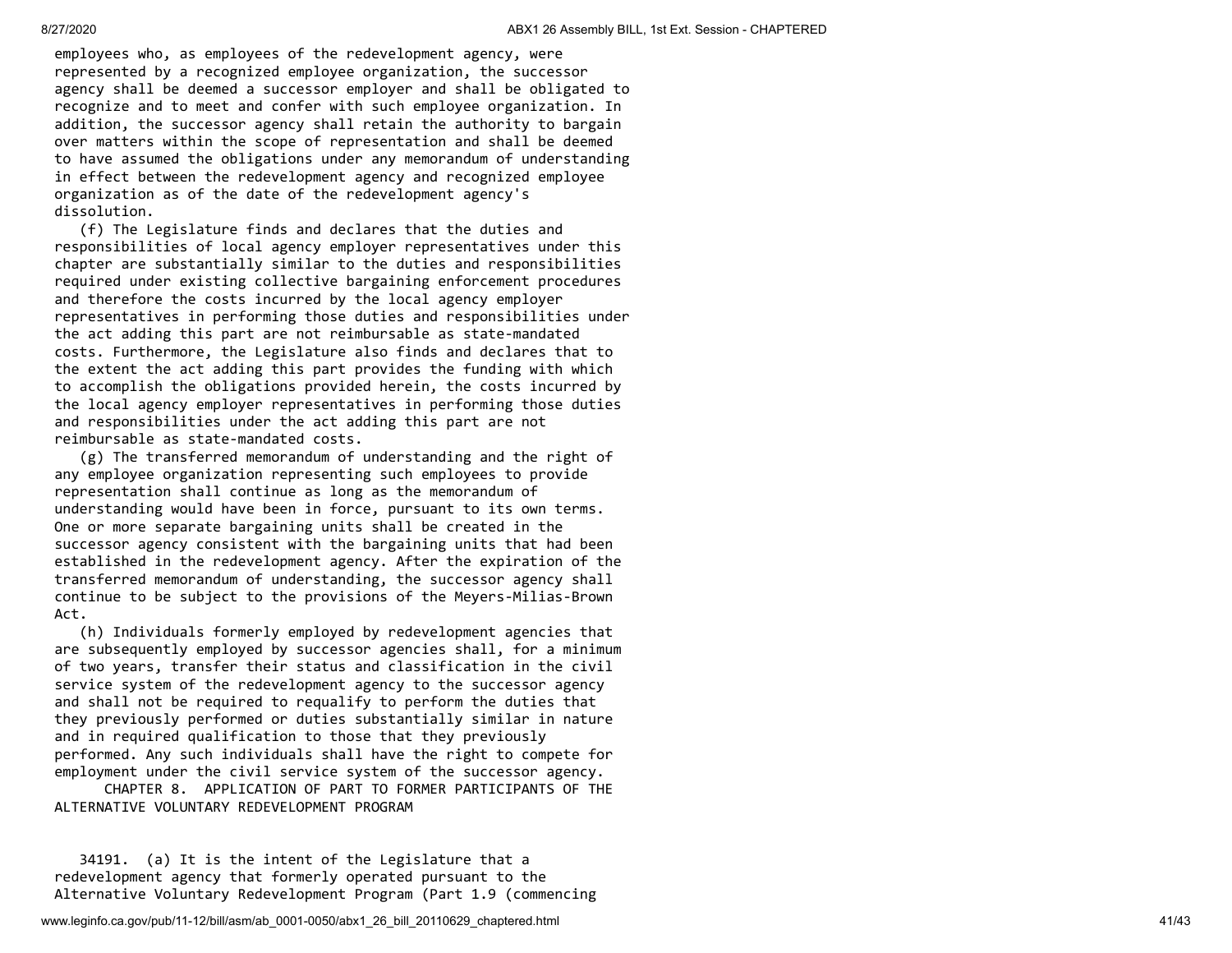employees who, as employees of the redevelopment agency, were represented by a recognized employee organization, the successor agency shall be deemed a successor employer and shall be obligated to recognize and to meet and confer with such employee organization. In addition, the successor agency shall retain the authority to bargain over matters within the scope of representation and shall be deemed to have assumed the obligations under any memorandum of understanding in effect between the redevelopment agency and recognized employee organization as of the date of the redevelopment agency's dissolution.

 (f) The Legislature finds and declares that the duties and responsibilities of local agency employer representatives under this chapter are substantially similar to the duties and responsibilities required under existing collective bargaining enforcement procedures and therefore the costs incurred by the local agency employer representatives in performing those duties and responsibilities under the act adding this part are not reimbursable as state-mandated costs. Furthermore, the Legislature also finds and declares that to the extent the act adding this part provides the funding with which to accomplish the obligations provided herein, the costs incurred by the local agency employer representatives in performing those duties and responsibilities under the act adding this part are not reimbursable as state-mandated costs.

 (g) The transferred memorandum of understanding and the right of any employee organization representing such employees to provide representation shall continue as long as the memorandum of understanding would have been in force, pursuant to its own terms. One or more separate bargaining units shall be created in the successor agency consistent with the bargaining units that had been established in the redevelopment agency. After the expiration of the transferred memorandum of understanding, the successor agency shall continue to be subject to the provisions of the Meyers-Milias-Brown Act.

 (h) Individuals formerly employed by redevelopment agencies that are subsequently employed by successor agencies shall, for a minimum of two years, transfer their status and classification in the civil service system of the redevelopment agency to the successor agency and shall not be required to requalify to perform the duties that they previously performed or duties substantially similar in nature and in required qualification to those that they previously performed. Any such individuals shall have the right to compete for employment under the civil service system of the successor agency.

 CHAPTER 8. APPLICATION OF PART TO FORMER PARTICIPANTS OF THE ALTERNATIVE VOLUNTARY REDEVELOPMENT PROGRAM

 34191. (a) It is the intent of the Legislature that a redevelopment agency that formerly operated pursuant to the Alternative Voluntary Redevelopment Program (Part 1.9 (commencing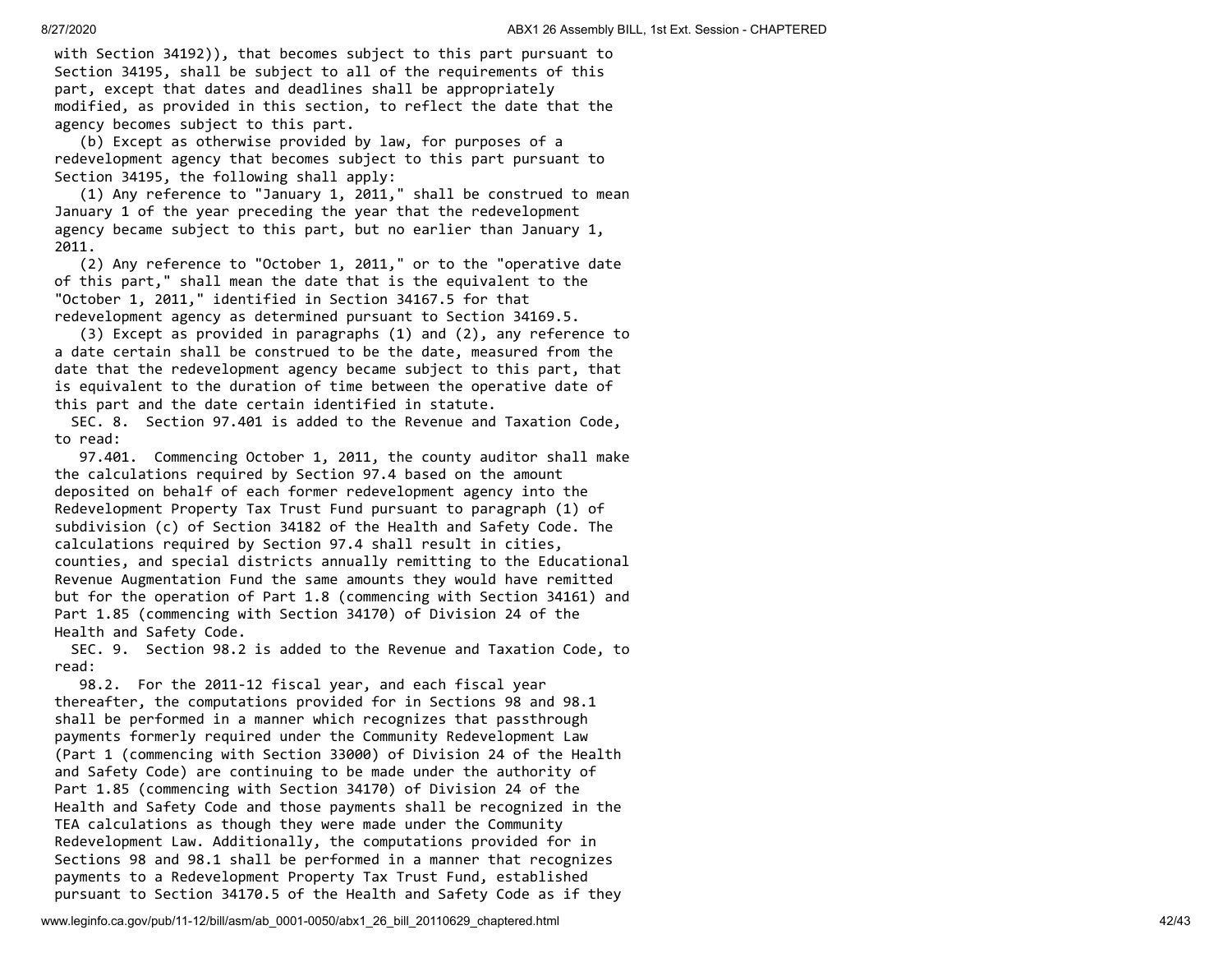with Section 34192)), that becomes subject to this part pursuant to Section 34195, shall be subject to all of the requirements of this part, except that dates and deadlines shall be appropriately modified, as provided in this section, to reflect the date that the agency becomes subject to this part.

 (b) Except as otherwise provided by law, for purposes of a redevelopment agency that becomes subject to this part pursuant to Section 34195, the following shall apply:

 (1) Any reference to "January 1, 2011," shall be construed to mean January 1 of the year preceding the year that the redevelopment agency became subject to this part, but no earlier than January 1, 2011.

 (2) Any reference to "October 1, 2011," or to the "operative date of this part," shall mean the date that is the equivalent to the "October 1, 2011," identified in Section 34167.5 for that redevelopment agency as determined pursuant to Section 34169.5.

 (3) Except as provided in paragraphs (1) and (2), any reference to a date certain shall be construed to be the date, measured from the date that the redevelopment agency became subject to this part, that is equivalent to the duration of time between the operative date of this part and the date certain identified in statute.

 SEC. 8. Section 97.401 is added to the Revenue and Taxation Code, to read:

 97.401. Commencing October 1, 2011, the county auditor shall make the calculations required by Section 97.4 based on the amount deposited on behalf of each former redevelopment agency into the Redevelopment Property Tax Trust Fund pursuant to paragraph (1) of subdivision (c) of Section 34182 of the Health and Safety Code. The calculations required by Section 97.4 shall result in cities, counties, and special districts annually remitting to the Educational Revenue Augmentation Fund the same amounts they would have remitted but for the operation of Part 1.8 (commencing with Section 34161) and Part 1.85 (commencing with Section 34170) of Division 24 of the Health and Safety Code.

 SEC. 9. Section 98.2 is added to the Revenue and Taxation Code, to read:

 98.2. For the 2011-12 fiscal year, and each fiscal year thereafter, the computations provided for in Sections 98 and 98.1 shall be performed in a manner which recognizes that passthrough payments formerly required under the Community Redevelopment Law (Part 1 (commencing with Section 33000) of Division 24 of the Health and Safety Code) are continuing to be made under the authority of Part 1.85 (commencing with Section 34170) of Division 24 of the Health and Safety Code and those payments shall be recognized in the TEA calculations as though they were made under the Community Redevelopment Law. Additionally, the computations provided for in Sections 98 and 98.1 shall be performed in a manner that recognizes payments to a Redevelopment Property Tax Trust Fund, established pursuant to Section 34170.5 of the Health and Safety Code as if they